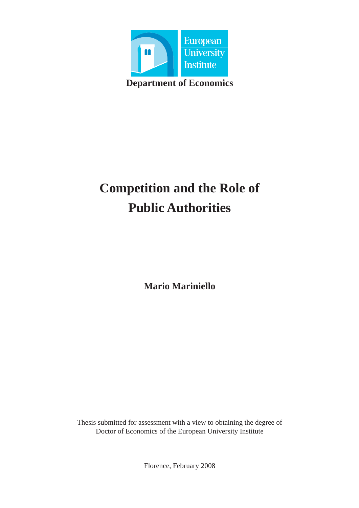

# **Competition and the Role of Public Authorities**

**Mario Mariniello**

Thesis submitted for assessment with a view to obtaining the degree of Doctor of Economics of the European University Institute

Florence, February 2008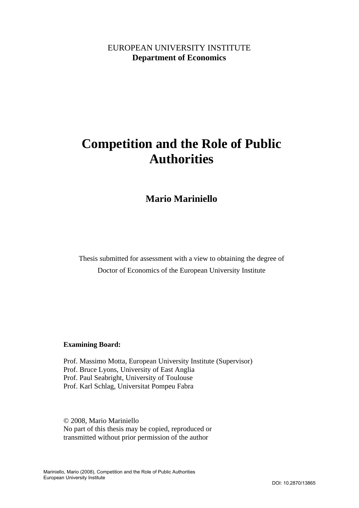# EUROPEAN UNIVERSITY INSTITUTE **Department of Economics**

# **Competition and the Role of Public Authorities**

# **Mario Mariniello**

Thesis submitted for assessment with a view to obtaining the degree of Doctor of Economics of the European University Institute

### **Examining Board:**

Prof. Massimo Motta, European University Institute (Supervisor) Prof. Bruce Lyons, University of East Anglia Prof. Paul Seabright, University of Toulouse Prof. Karl Schlag, Universitat Pompeu Fabra

© 2008, Mario Mariniello No part of this thesis may be copied, reproduced or transmitted without prior permission of the author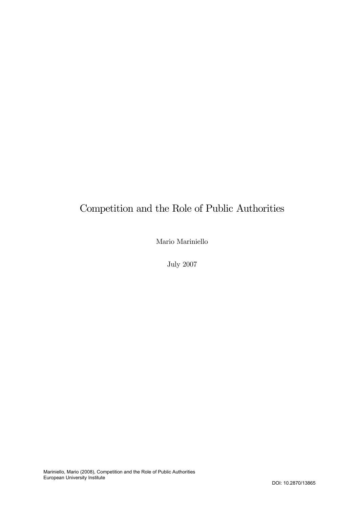# Competition and the Role of Public Authorities

Mario Mariniello

July 2007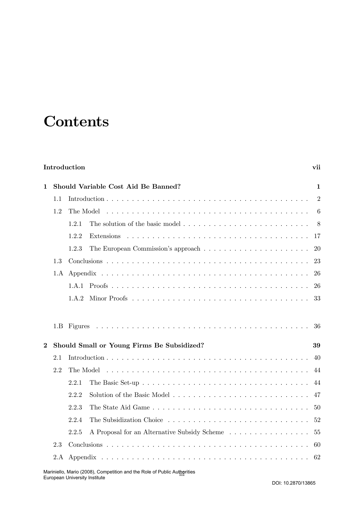# **Contents**

# Introduction vii

| $\mathbf{1}$   | Should Variable Cost Aid Be Banned? |                                                                                                      |                |  |
|----------------|-------------------------------------|------------------------------------------------------------------------------------------------------|----------------|--|
|                | 1.1                                 |                                                                                                      | $\overline{2}$ |  |
|                | 1.2                                 | The Model                                                                                            | 6              |  |
|                |                                     | The solution of the basic model $\ldots \ldots \ldots \ldots \ldots \ldots \ldots \ldots 8$<br>1.2.1 |                |  |
|                |                                     | 1.2.2                                                                                                | -17            |  |
|                |                                     | 1.2.3                                                                                                | 20             |  |
|                | 1.3                                 |                                                                                                      | 23             |  |
|                | 1.A                                 |                                                                                                      | 26             |  |
|                |                                     |                                                                                                      | 26             |  |
|                |                                     | 1.A.2                                                                                                | 33             |  |
|                |                                     |                                                                                                      | 36             |  |
| $\overline{2}$ |                                     | Should Small or Young Firms Be Subsidized?<br>39                                                     |                |  |
|                | 2.1                                 |                                                                                                      | 40             |  |
|                | 2.2                                 | The Model                                                                                            | 44             |  |
|                |                                     | 2.2.1                                                                                                | 44             |  |
|                |                                     | 2.2.2                                                                                                | 47             |  |
|                |                                     | 2.2.3                                                                                                | 50             |  |
|                |                                     | 2.2.4                                                                                                | 52             |  |
|                |                                     | 2.2.5<br>A Proposal for an Alternative Subsidy Scheme                                                | 55             |  |
|                | 2.3                                 |                                                                                                      | -60            |  |
|                |                                     |                                                                                                      | 62             |  |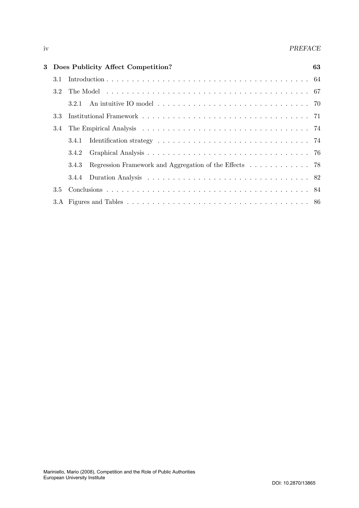#### iv PREFACE

|     | 3 Does Publicity Affect Competition?                            | 63 |
|-----|-----------------------------------------------------------------|----|
| 3.1 |                                                                 |    |
| 3.2 |                                                                 |    |
|     | 3.2.1                                                           |    |
| 3.3 |                                                                 |    |
| 3.4 |                                                                 |    |
|     | 3.4.1                                                           |    |
|     | 3.4.2                                                           |    |
|     | Regression Framework and Aggregation of the Effects 78<br>3.4.3 |    |
|     |                                                                 |    |
| 3.5 |                                                                 |    |
|     |                                                                 |    |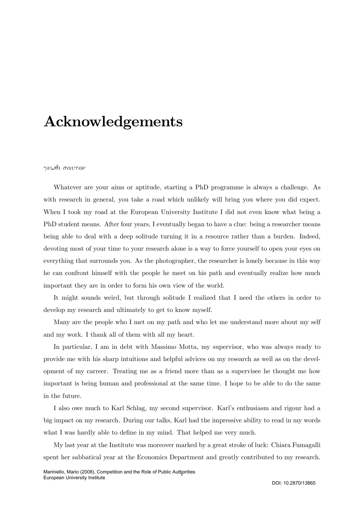# Acknowledgements

#### γνωθι σαυτoν

Whatever are your aims or aptitude, starting a PhD programme is always a challenge. As with research in general, you take a road which unlikely will bring you where you did expect. When I took my road at the European University Institute I did not even know what being a PhD student means. After four years, I eventually began to have a clue: being a researcher means being able to deal with a deep solitude turning it in a resource rather than a burden. Indeed, devoting most of your time to your research alone is a way to force yourself to open your eyes on everything that surrounds you. As the photographer, the researcher is lonely because in this way he can confront himself with the people he meet on his path and eventually realize how much important they are in order to form his own view of the world.

It might sounds weird, but through solitude I realized that I need the others in order to develop my research and ultimately to get to know myself.

Many are the people who I met on my path and who let me understand more about my self and my work. I thank all of them with all my heart.

In particular, I am in debt with Massimo Motta, my supervisor, who was always ready to provide me with his sharp intuitions and helpful advices on my research as well as on the development of my carreer. Treating me as a friend more than as a supervisee he thought me how important is being human and professional at the same time. I hope to be able to do the same in the future.

I also owe much to Karl Schlag, my second supervisor. Karl's enthusiasm and rigour had a big impact on my research. During our talks, Karl had the impressive ability to read in my words what I was hardly able to define in my mind. That helped me very much.

My last year at the Institute was moreover marked by a great stroke of luck: Chiara Fumagalli spent her sabbatical year at the Economics Department and greatly contributed to my research.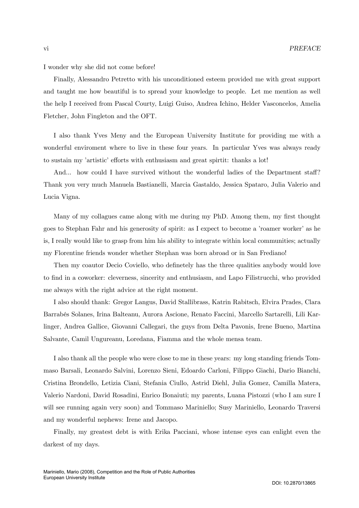I wonder why she did not come before!

Finally, Alessandro Petretto with his unconditioned esteem provided me with great support and taught me how beautiful is to spread your knowledge to people. Let me mention as well the help I received from Pascal Courty, Luigi Guiso, Andrea Ichino, Helder Vasconcelos, Amelia Fletcher, John Fingleton and the OFT.

I also thank Yves Meny and the European University Institute for providing me with a wonderful enviroment where to live in these four years. In particular Yves was always ready to sustain my 'artistic' efforts with enthusiasm and great spirtit: thanks a lot!

And... how could I have survived without the wonderful ladies of the Department staff? Thank you very much Manuela Bastianelli, Marcia Gastaldo, Jessica Spataro, Julia Valerio and Lucia Vigna.

Many of my collagues came along with me during my PhD. Among them, my first thought goes to Stephan Fahr and his generosity of spirit: as I expect to become a 'roamer worker' as he is, I really would like to grasp from him his ability to integrate within local communities; actually my Florentine friends wonder whether Stephan was born abroad or in San Frediano!

Then my coautor Decio Coviello, who definetely has the three qualities anybody would love to find in a coworker: cleverness, sincerity and enthusiasm, and Lapo Filistrucchi, who provided me always with the right advice at the right moment.

I also should thank: Gregor Langus, David Stallibrass, Katrin Rabitsch, Elvira Prades, Clara Barrabés Solanes, Irina Balteanu, Aurora Ascione, Renato Faccini, Marcello Sartarelli, Lili Karlinger, Andrea Gallice, Giovanni Callegari, the guys from Delta Pavonis, Irene Bueno, Martina Salvante, Camil Ungureanu, Loredana, Fiamma and the whole mensa team.

I also thank all the people who were close to me in these years: my long standing friends Tommaso Barsali, Leonardo Salvini, Lorenzo Sieni, Edoardo Carloni, Filippo Giachi, Dario Bianchi, Cristina Brondello, Letizia Ciani, Stefania Ciullo, Astrid Diehl, Julia Gomez, Camilla Matera, Valerio Nardoni, David Rosadini, Enrico Bonaiuti; my parents, Luana Pistozzi (who I am sure I will see running again very soon) and Tommaso Mariniello; Susy Mariniello, Leonardo Traversi and my wonderful nephews: Irene and Jacopo.

Finally, my greatest debt is with Erika Pacciani, whose intense eyes can enlight even the darkest of my days.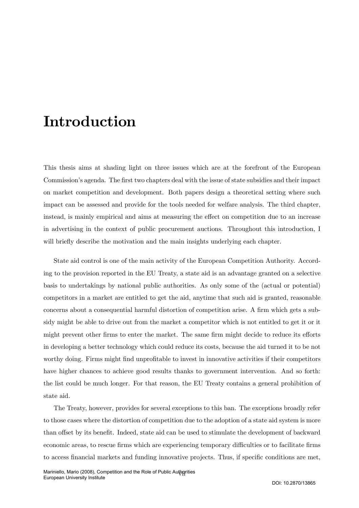# Introduction

This thesis aims at shading light on three issues which are at the forefront of the European Commission's agenda. The first two chapters deal with the issue of state subsidies and their impact on market competition and development. Both papers design a theoretical setting where such impact can be assessed and provide for the tools needed for welfare analysis. The third chapter, instead, is mainly empirical and aims at measuring the effect on competition due to an increase in advertising in the context of public procurement auctions. Throughout this introduction, I will briefly describe the motivation and the main insights underlying each chapter.

State aid control is one of the main activity of the European Competition Authority. According to the provision reported in the EU Treaty, a state aid is an advantage granted on a selective basis to undertakings by national public authorities. As only some of the (actual or potential) competitors in a market are entitled to get the aid, anytime that such aid is granted, reasonable concerns about a consequential harmful distortion of competition arise. A firm which gets a subsidy might be able to drive out from the market a competitor which is not entitled to get it or it might prevent other firms to enter the market. The same firm might decide to reduce its efforts in developing a better technology which could reduce its costs, because the aid turned it to be not worthy doing. Firms might find unprofitable to invest in innovative activities if their competitors have higher chances to achieve good results thanks to government intervention. And so forth: the list could be much longer. For that reason, the EU Treaty contains a general prohibition of state aid.

The Treaty, however, provides for several exceptions to this ban. The exceptions broadly refer to those cases where the distortion of competition due to the adoption of a state aid system is more than offset by its benefit. Indeed, state aid can be used to stimulate the development of backward economic areas, to rescue firms which are experiencing temporary difficulties or to facilitate firms to access financial markets and funding innovative projects. Thus, if specific conditions are met,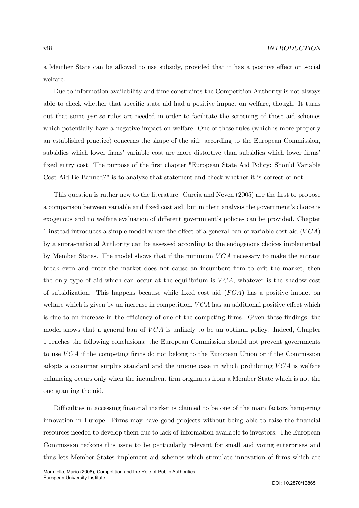a Member State can be allowed to use subsidy, provided that it has a positive effect on social welfare.

Due to information availability and time constraints the Competition Authority is not always able to check whether that specific state aid had a positive impact on welfare, though. It turns out that some per se rules are needed in order to facilitate the screening of those aid schemes which potentially have a negative impact on welfare. One of these rules (which is more properly an established practice) concerns the shape of the aid: according to the European Commission, subsidies which lower firms' variable cost are more distortive than subsidies which lower firms' fixed entry cost. The purpose of the first chapter "European State Aid Policy: Should Variable Cost Aid Be Banned?" is to analyze that statement and check whether it is correct or not.

This question is rather new to the literature: Garcia and Neven (2005) are the first to propose a comparison between variable and fixed cost aid, but in their analysis the government's choice is exogenous and no welfare evaluation of different government's policies can be provided. Chapter 1 instead introduces a simple model where the effect of a general ban of variable cost aid  $(VCA)$ by a supra-national Authority can be assessed according to the endogenous choices implemented by Member States. The model shows that if the minimum  $VCA$  necessary to make the entrant break even and enter the market does not cause an incumbent firm to exit the market, then the only type of aid which can occur at the equilibrium is  $VCA$ , whatever is the shadow cost of subsidization. This happens because while fixed cost aid  $(FCA)$  has a positive impact on welfare which is given by an increase in competition,  $VCA$  has an additional positive effect which is due to an increase in the efficiency of one of the competing firms. Given these findings, the model shows that a general ban of  $VCA$  is unlikely to be an optimal policy. Indeed, Chapter 1 reaches the following conclusions: the European Commission should not prevent governments to use VCA if the competing firms do not belong to the European Union or if the Commission adopts a consumer surplus standard and the unique case in which prohibiting  $VCA$  is welfare enhancing occurs only when the incumbent firm originates from a Member State which is not the one granting the aid.

Difficulties in accessing financial market is claimed to be one of the main factors hampering innovation in Europe. Firms may have good projects without being able to raise the financial resources needed to develop them due to lack of information available to investors. The European Commission reckons this issue to be particularly relevant for small and young enterprises and thus lets Member States implement aid schemes which stimulate innovation of firms which are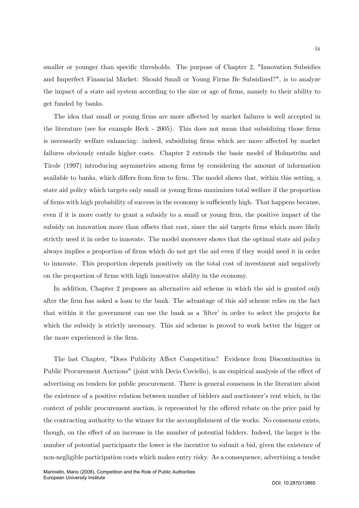smaller or younger than specific thresholds. The purpose of Chapter 2, "Innovation Subsidies and Imperfect Financial Market: Should Small or Young Firms Be Subsidized?", is to analyze the impact of a state aid system according to the size or age of firms, namely to their ability to get funded by banks.

The idea that small or young firms are more affected by market failures is well accepted in the literature (see for example Beck - 2005). This does not mean that subsidizing those firms is necessarily welfare enhancing: indeed, subsidizing firms which are more affected by market failures obviously entails higher costs. Chapter 2 extends the basic model of Holmström and Tirole (1997) introducing asymmetries among firms by considering the amount of information available to banks, which differs from firm to firm. The model shows that, within this setting, a state aid policy which targets only small or young firms maximizes total welfare if the proportion of firms with high probability of success in the economy is sufficiently high. That happens because, even if it is more costly to grant a subsidy to a small or young firm, the positive impact of the subsidy on innovation more than offsets that cost, since the aid targets firms which more likely strictly need it in order to innovate. The model moreover shows that the optimal state aid policy always implies a proportion of firms which do not get the aid even if they would need it in order to innovate. This proportion depends positively on the total cost of investment and negatively on the proportion of firms with high innovative ability in the economy.

In addition, Chapter 2 proposes an alternative aid scheme in which the aid is granted only after the firm has asked a loan to the bank. The advantage of this aid scheme relies on the fact that within it the government can use the bank as a 'filter' in order to select the projects for which the subsidy is strictly necessary. This aid scheme is proved to work better the bigger or the more experienced is the firm.

The last Chapter, "Does Publicity Affect Competition? Evidence from Discontinuities in Public Procurement Auctions" (joint with Decio Coviello), is an empirical analysis of the effect of advertising on tenders for public procurement. There is general consensus in the literature about the existence of a positive relation between number of bidders and auctioneer's rent which, in the context of public procurement auction, is represented by the offered rebate on the price paid by the contracting authority to the winner for the accomplishment of the works. No consensus exists, though, on the effect of an increase in the number of potential bidders. Indeed, the larger is the number of potential participants the lower is the incentive to submit a bid, given the existence of non-negligible participation costs which makes entry risky. As a consequence, advertising a tender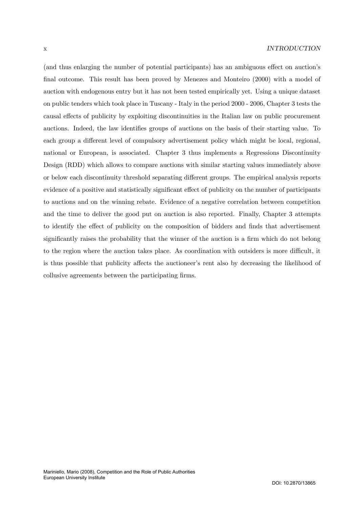(and thus enlarging the number of potential participants) has an ambiguous effect on auction's final outcome. This result has been proved by Menezes and Monteiro (2000) with a model of auction with endogenous entry but it has not been tested empirically yet. Using a unique dataset on public tenders which took place in Tuscany - Italy in the period 2000 - 2006, Chapter 3 tests the causal effects of publicity by exploiting discontinuities in the Italian law on public procurement auctions. Indeed, the law identifies groups of auctions on the basis of their starting value. To each group a different level of compulsory advertisement policy which might be local, regional, national or European, is associated. Chapter 3 thus implements a Regressions Discontinuity Design (RDD) which allows to compare auctions with similar starting values immediately above or below each discontinuity threshold separating different groups. The empirical analysis reports evidence of a positive and statistically significant effect of publicity on the number of participants to auctions and on the winning rebate. Evidence of a negative correlation between competition and the time to deliver the good put on auction is also reported. Finally, Chapter 3 attempts to identify the effect of publicity on the composition of bidders and finds that advertisement significantly raises the probability that the winner of the auction is a firm which do not belong to the region where the auction takes place. As coordination with outsiders is more difficult, it is thus possible that publicity affects the auctioneer's rent also by decreasing the likelihood of collusive agreements between the participating firms.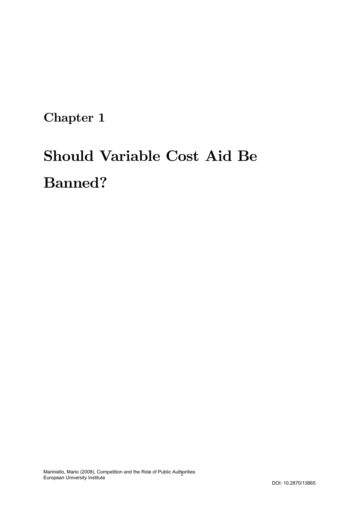Chapter 1

# Should Variable Cost Aid Be Banned?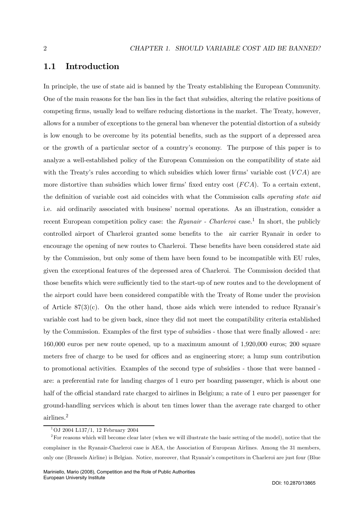## 1.1 Introduction

In principle, the use of state aid is banned by the Treaty establishing the European Community. One of the main reasons for the ban lies in the fact that subsidies, altering the relative positions of competing firms, usually lead to welfare reducing distortions in the market. The Treaty, however, allows for a number of exceptions to the general ban whenever the potential distortion of a subsidy is low enough to be overcome by its potential benefits, such as the support of a depressed area or the growth of a particular sector of a country's economy. The purpose of this paper is to analyze a well-established policy of the European Commission on the compatibility of state aid with the Treaty's rules according to which subsidies which lower firms' variable cost  $(VCA)$  are more distortive than subsidies which lower firms' fixed entry cost  $(FCA)$ . To a certain extent, the definition of variable cost aid coincides with what the Commission calls operating state aid i.e. aid ordinarily associated with business' normal operations. As an illustration, consider a recent European competition policy case: the  $Ryanair$  - Charleroi case.<sup>1</sup> In short, the publicly controlled airport of Charleroi granted some benefits to the air carrier Ryanair in order to encourage the opening of new routes to Charleroi. These benefits have been considered state aid by the Commission, but only some of them have been found to be incompatible with EU rules, given the exceptional features of the depressed area of Charleroi. The Commission decided that those benefits which were sufficiently tied to the start-up of new routes and to the development of the airport could have been considered compatible with the Treaty of Rome under the provision of Article  $87(3)(c)$ . On the other hand, those aids which were intended to reduce Ryanair's variable cost had to be given back, since they did not meet the compatibility criteria established by the Commission. Examples of the first type of subsidies - those that were finally allowed - are: 160,000 euros per new route opened, up to a maximum amount of 1,920,000 euros; 200 square meters free of charge to be used for offices and as engineering store; a lump sum contribution to promotional activities. Examples of the second type of subsidies - those that were banned are: a preferential rate for landing charges of 1 euro per boarding passenger, which is about one half of the official standard rate charged to airlines in Belgium; a rate of 1 euro per passenger for ground-handling services which is about ten times lower than the average rate charged to other airlines.<sup>2</sup>

 $1$ OJ 2004 L137/1, 12 February 2004

<sup>&</sup>lt;sup>2</sup>For reasons which will become clear later (when we will illustrate the basic setting of the model), notice that the complainer in the Ryanair-Charleroi case is AEA, the Association of European Airlines. Among the 31 members, only one (Brussels Airline) is Belgian. Notice, moreover, that Ryanair's competitors in Charleroi are just four (Blue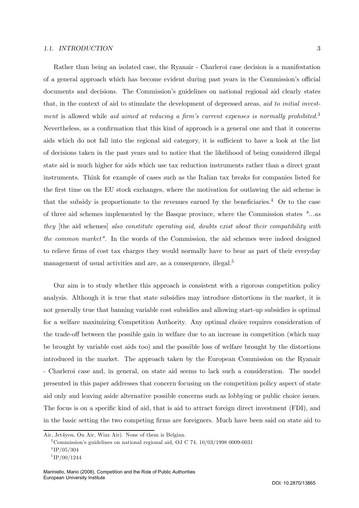#### 1.1. INTRODUCTION 3

Rather than being an isolated case, the Ryanair - Charleroi case decision is a manifestation of a general approach which has become evident during past years in the Commission's official documents and decisions. The Commission's guidelines on national regional aid clearly states that, in the context of aid to stimulate the development of depressed areas, aid to initial investment is allowed while *aid aimed at reducing a firm's current expenses is normally prohibited.*<sup>3</sup> Nevertheless, as a confirmation that this kind of approach is a general one and that it concerns aids which do not fall into the regional aid category, it is sufficient to have a look at the list of decisions taken in the past years and to notice that the likelihood of being considered illegal state aid is much higher for aids which use tax reduction instruments rather than a direct grant instruments. Think for example of cases such as the Italian tax breaks for companies listed for the first time on the EU stock exchanges, where the motivation for outlawing the aid scheme is that the subsidy is proportionate to the revenues earned by the beneficiaries.<sup>4</sup> Or to the case of three aid schemes implemented by the Basque province, where the Commission states "...as they [the aid schemes] also constitute operating aid, doubts exist about their compatibility with the common market". In the words of the Commission, the aid schemes were indeed designed to relieve firms of cost tax charges they would normally have to bear as part of their everyday management of usual activities and are, as a consequence, illegal.<sup>5</sup>

Our aim is to study whether this approach is consistent with a rigorous competition policy analysis. Although it is true that state subsidies may introduce distortions in the market, it is not generally true that banning variable cost subsidies and allowing start-up subsidies is optimal for a welfare maximizing Competition Authority. Any optimal choice requires consideration of the trade-off between the possible gain in welfare due to an increase in competition (which may be brought by variable cost aids too) and the possible loss of welfare brought by the distortions introduced in the market. The approach taken by the European Commission on the Ryanair - Charleroi case and, in general, on state aid seems to lack such a consideration. The model presented in this paper addresses that concern focusing on the competition policy aspect of state aid only and leaving aside alternative possible concerns such as lobbying or public choice issues. The focus is on a specific kind of aid, that is aid to attract foreign direct investment (FDI), and in the basic setting the two competing firms are foreigners. Much have been said on state aid to

Air, Jet4you, On Air, Wizz Air). None of them is Belgian.

<sup>3</sup>Commission's guidelines on national regional aid, OJ C 74, 10/03/1998 0009-0031  $^{4}$ IP/05/304

 ${}^{5}$ IP/00/1244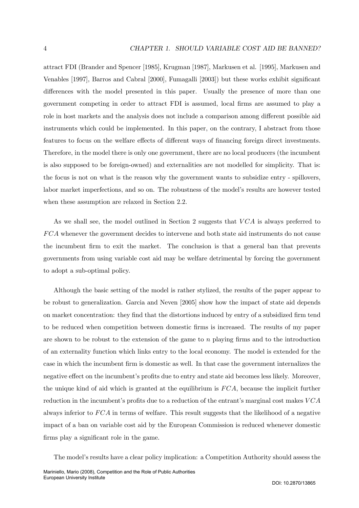attract FDI (Brander and Spencer [1985], Krugman [1987], Markusen et al. [1995], Markusen and Venables [1997], Barros and Cabral [2000], Fumagalli [2003]) but these works exhibit significant differences with the model presented in this paper. Usually the presence of more than one government competing in order to attract FDI is assumed, local firms are assumed to play a role in host markets and the analysis does not include a comparison among different possible aid instruments which could be implemented. In this paper, on the contrary, I abstract from those features to focus on the welfare effects of different ways of financing foreign direct investments. Therefore, in the model there is only one government, there are no local producers (the incumbent is also supposed to be foreign-owned) and externalities are not modelled for simplicity. That is: the focus is not on what is the reason why the government wants to subsidize entry - spillovers, labor market imperfections, and so on. The robustness of the model's results are however tested when these assumption are relaxed in Section 2.2.

As we shall see, the model outlined in Section 2 suggests that  $VCA$  is always preferred to FCA whenever the government decides to intervene and both state aid instruments do not cause the incumbent firm to exit the market. The conclusion is that a general ban that prevents governments from using variable cost aid may be welfare detrimental by forcing the government to adopt a sub-optimal policy.

Although the basic setting of the model is rather stylized, the results of the paper appear to be robust to generalization. Garcia and Neven [2005] show how the impact of state aid depends on market concentration: they find that the distortions induced by entry of a subsidized firm tend to be reduced when competition between domestic firms is increased. The results of my paper are shown to be robust to the extension of the game to  $n$  playing firms and to the introduction of an externality function which links entry to the local economy. The model is extended for the case in which the incumbent firm is domestic as well. In that case the government internalizes the negative effect on the incumbent's profits due to entry and state aid becomes less likely. Moreover, the unique kind of aid which is granted at the equilibrium is FCA, because the implicit further reduction in the incumbent's profits due to a reduction of the entrant's marginal cost makes  $VCA$ always inferior to FCA in terms of welfare. This result suggests that the likelihood of a negative impact of a ban on variable cost aid by the European Commission is reduced whenever domestic firms play a significant role in the game.

The model's results have a clear policy implication: a Competition Authority should assess the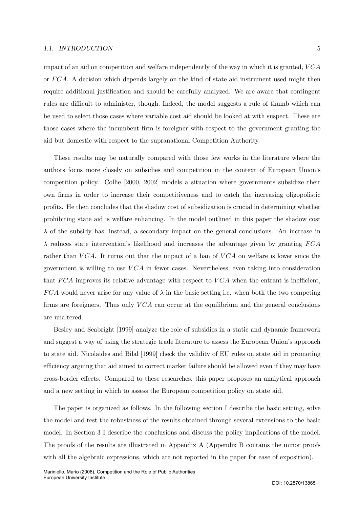#### 1.1. INTRODUCTION 5

impact of an aid on competition and welfare independently of the way in which it is granted,  $VCA$ or FCA. A decision which depends largely on the kind of state aid instrument used might then require additional justification and should be carefully analyzed. We are aware that contingent rules are difficult to administer, though. Indeed, the model suggests a rule of thumb which can be used to select those cases where variable cost aid should be looked at with suspect. These are those cases where the incumbent firm is foreigner with respect to the government granting the

aid but domestic with respect to the supranational Competition Authority.

These results may be naturally compared with those few works in the literature where the authors focus more closely on subsidies and competition in the context of European Union's competition policy. Collie [2000, 2002] models a situation where governments subsidize their own firms in order to increase their competitiveness and to catch the increasing oligopolistic profits. He then concludes that the shadow cost of subsidization is crucial in determining whether prohibiting state aid is welfare enhancing. In the model outlined in this paper the shadow cost  $\lambda$  of the subsidy has, instead, a secondary impact on the general conclusions. An increase in  $\lambda$  reduces state intervention's likelihood and increases the advantage given by granting  $FCA$ rather than  $VCA$ . It turns out that the impact of a ban of  $VCA$  on welfare is lower since the government is willing to use  $VCA$  in fewer cases. Nevertheless, even taking into consideration that  $FCA$  improves its relative advantage with respect to  $VCA$  when the entrant is inefficient,  $FCA$  would never arise for any value of  $\lambda$  in the basic setting i.e. when both the two competing firms are foreigners. Thus only  $VCA$  can occur at the equilibrium and the general conclusions are unaltered.

Besley and Seabright [1999] analyze the role of subsidies in a static and dynamic framework and suggest a way of using the strategic trade literature to assess the European Union's approach to state aid. Nicolaides and Bilal [1999] check the validity of EU rules on state aid in promoting efficiency arguing that aid aimed to correct market failure should be allowed even if they may have cross-border effects. Compared to these researches, this paper proposes an analytical approach and a new setting in which to assess the European competition policy on state aid.

The paper is organized as follows. In the following section I describe the basic setting, solve the model and test the robustness of the results obtained through several extensions to the basic model. In Section 3 I describe the conclusions and discuss the policy implications of the model. The proofs of the results are illustrated in Appendix A (Appendix B contains the minor proofs with all the algebraic expressions, which are not reported in the paper for ease of exposition).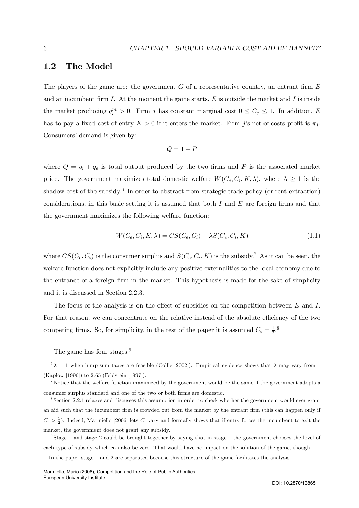### 1.2 The Model

The players of the game are: the government  $G$  of a representative country, an entrant firm  $E$ and an incumbent firm  $I$ . At the moment the game starts,  $E$  is outside the market and  $I$  is inside the market producing  $q_i^m > 0$ . Firm j has constant marginal cost  $0 \leq C_j \leq 1$ . In addition, E has to pay a fixed cost of entry  $K > 0$  if it enters the market. Firm j's net-of-costs profit is  $\pi_i$ . Consumers' demand is given by:

$$
Q = 1 - P
$$

where  $Q = q_i + q_e$  is total output produced by the two firms and P is the associated market price. The government maximizes total domestic welfare  $W(C_e, C_i, K, \lambda)$ , where  $\lambda \geq 1$  is the shadow cost of the subsidy.<sup>6</sup> In order to abstract from strategic trade policy (or rent-extraction) considerations, in this basic setting it is assumed that both  $I$  and  $E$  are foreign firms and that the government maximizes the following welfare function:

$$
W(C_e, C_i, K, \lambda) = CS(C_e, C_i) - \lambda S(C_e, C_i, K)
$$
\n
$$
(1.1)
$$

where  $CS(C_e, C_i)$  is the consumer surplus and  $S(C_e, C_i, K)$  is the subsidy.<sup>7</sup> As it can be seen, the welfare function does not explicitly include any positive externalities to the local economy due to the entrance of a foreign firm in the market. This hypothesis is made for the sake of simplicity and it is discussed in Section 2.2.3.

The focus of the analysis is on the effect of subsidies on the competition between E and I. For that reason, we can concentrate on the relative instead of the absolute efficiency of the two competing firms. So, for simplicity, in the rest of the paper it is assumed  $C_i = \frac{1}{2}$ .<sup>8</sup>

The game has four stages:<sup>9</sup>

In the paper stage 1 and 2 are separated because this structure of the game facilitates the analysis.

 $6\lambda = 1$  when lump-sum taxes are feasible (Collie [2002]). Empirical evidence shows that  $\lambda$  may vary from 1 (Kaplow [1996]) to 2.65 (Feldstein [1997]).

<sup>&</sup>lt;sup>7</sup>Notice that the welfare function maximized by the government would be the same if the government adopts a consumer surplus standard and one of the two or both firms are domestic.

<sup>8</sup>Section 2.2.1 relaxes and discusses this assumption in order to check whether the government would ever grant an aid such that the incumbent firm is crowded out from the market by the entrant firm (this can happen only if  $C_i > \frac{1}{2}$ ). Indeed, Mariniello [2006] lets  $C_i$  vary and formally shows that if entry forces the incumbent to exit the market, the government does not grant any subsidy.

<sup>9</sup>Stage 1 and stage 2 could be brought together by saying that in stage 1 the government chooses the level of each type of subsidy which can also be zero. That would have no impact on the solution of the game, though.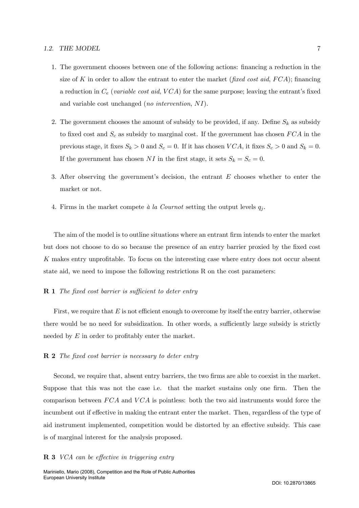#### 1.2. THE MODEL 7

- 1. The government chooses between one of the following actions: financing a reduction in the size of K in order to allow the entrant to enter the market (fixed cost aid,  $FCA$ ); financing a reduction in  $C_e$  (variable cost aid, VCA) for the same purpose; leaving the entrant's fixed and variable cost unchanged (no intervention, NI).
- 2. The government chooses the amount of subsidy to be provided, if any. Define  $S_k$  as subsidy to fixed cost and  $S_c$  as subsidy to marginal cost. If the government has chosen  $FCA$  in the previous stage, it fixes  $S_k > 0$  and  $S_c = 0$ . If it has chosen  $VCA$ , it fixes  $S_c > 0$  and  $S_k = 0$ . If the government has chosen NI in the first stage, it sets  $S_k = S_c = 0$ .
- 3. After observing the government's decision, the entrant  $E$  chooses whether to enter the market or not.
- 4. Firms in the market compete à la Cournot setting the output levels  $q_i$ .

The aim of the model is to outline situations where an entrant firm intends to enter the market but does not choose to do so because the presence of an entry barrier proxied by the fixed cost K makes entry unprofitable. To focus on the interesting case where entry does not occur absent state aid, we need to impose the following restrictions R on the cost parameters:

#### **R 1** The fixed cost barrier is sufficient to deter entry

First, we require that  $E$  is not efficient enough to overcome by itself the entry barrier, otherwise there would be no need for subsidization. In other words, a sufficiently large subsidy is strictly needed by E in order to profitably enter the market.

#### R 2 The fixed cost barrier is necessary to deter entry

Second, we require that, absent entry barriers, the two firms are able to coexist in the market. Suppose that this was not the case i.e. that the market sustains only one firm. Then the comparison between  $FCA$  and  $VCA$  is pointless: both the two aid instruments would force the incumbent out if effective in making the entrant enter the market. Then, regardless of the type of aid instrument implemented, competition would be distorted by an effective subsidy. This case is of marginal interest for the analysis proposed.

#### R 3 VCA can be effective in triggering entry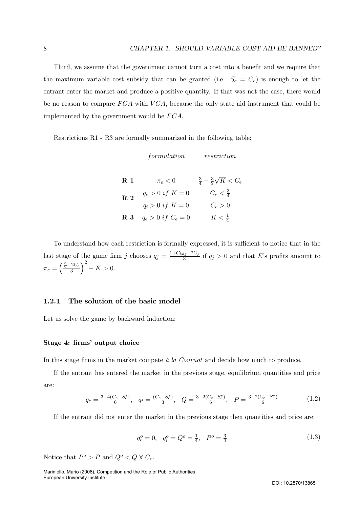Third, we assume that the government cannot turn a cost into a benefit and we require that the maximum variable cost subsidy that can be granted (i.e.  $S_c = C_e$ ) is enough to let the entrant enter the market and produce a positive quantity. If that was not the case, there would be no reason to compare  $FCA$  with  $VCA$ , because the only state aid instrument that could be implemented by the government would be FCA.

Restrictions R1 - R3 are formally summarized in the following table:

|                           | formulation            | restriction                               |
|---------------------------|------------------------|-------------------------------------------|
| $\bf R$ 1                 | $\pi_e < 0$            | $\frac{3}{4} - \frac{3}{2}\sqrt{K} < C_e$ |
| $\overline{\mathrm{R}}$ 2 | $q_e > 0$ if $K = 0$   | $C_e < \frac{3}{4}$                       |
|                           | $q_i > 0$ if $K = 0$   | $C_e > 0$                                 |
| ${\bf R}$ $3$             | $q_e > 0$ if $C_e = 0$ | $K<\frac{1}{4}$                           |

To understand how each restriction is formally expressed, it is sufficient to notice that in the last stage of the game firm j chooses  $q_j = \frac{1+C_{l\neq j}-2C_j}{3}$  if  $q_j > 0$  and that E's profits amount to  $\pi_e = \left(\frac{\frac{3}{2}-2C_e}{3}\right)$  $\chi^2$  $- K > 0.$ 

#### 1.2.1 The solution of the basic model

Let us solve the game by backward induction:

#### Stage 4: firms' output choice

In this stage firms in the market compete à la Cournot and decide how much to produce.

If the entrant has entered the market in the previous stage, equilibrium quantities and price are:

$$
q_e = \frac{3 - 4(C_e - S_c^*)}{6}, \quad q_i = \frac{(C_e - S_c^*)}{3}, \quad Q = \frac{3 - 2(C_e - S_c^*)}{6}, \quad P = \frac{3 + 2(C_e - S_c^*)}{6}
$$
(1.2)

If the entrant did not enter the market in the previous stage then quantities and price are:

$$
q_e^o = 0, \quad q_i^o = Q^o = \frac{1}{4}, \quad P^o = \frac{3}{4} \tag{1.3}
$$

Notice that  $P^o > P$  and  $Q^o < Q \; \forall \; C_e.$ 

Mariniello, Mario (2008), Competition and the Role of Public Authorities European University Institute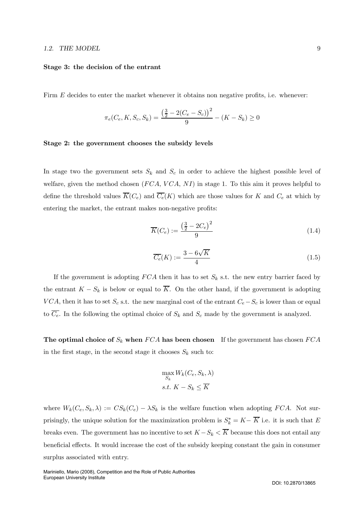#### 1.2. THE MODEL 9

#### Stage 3: the decision of the entrant

Firm E decides to enter the market whenever it obtains non negative profits, i.e. whenever:

$$
\pi_e(C_e, K, S_c, S_k) = \frac{\left(\frac{3}{2} - 2(C_e - S_c)\right)^2}{9} - (K - S_k) \ge 0
$$

#### Stage 2: the government chooses the subsidy levels

In stage two the government sets  $S_k$  and  $S_c$  in order to achieve the highest possible level of welfare, given the method chosen  $(FCA, VCA, NI)$  in stage 1. To this aim it proves helpful to define the threshold values  $\overline{K}(C_e)$  and  $\overline{C_e}(K)$  which are those values for K and  $C_e$  at which by entering the market, the entrant makes non-negative profits:

$$
\overline{K}(C_e) := \frac{\left(\frac{3}{2} - 2C_e\right)^2}{9} \tag{1.4}
$$

$$
\overline{C_e}(K) := \frac{3 - 6\sqrt{K}}{4} \tag{1.5}
$$

If the government is adopting  $FCA$  then it has to set  $S_k$  s.t. the new entry barrier faced by the entrant  $K - S_k$  is below or equal to  $\overline{K}$ . On the other hand, if the government is adopting VCA, then it has to set  $S_c$  s.t. the new marginal cost of the entrant  $C_e-S_c$  is lower than or equal to  $\overline{C_e}$ . In the following the optimal choice of  $S_k$  and  $S_c$  made by the government is analyzed.

The optimal choice of  $S_k$  when  $FCA$  has been chosen If the government has chosen  $FCA$ in the first stage, in the second stage it chooses  $S_k$  such to:

$$
\max_{S_k} W_k(C_e, S_k, \lambda)
$$
  
s.t.  $K - S_k \le \overline{K}$ 

where  $W_k(C_e, S_k, \lambda) := CS_k(C_e) - \lambda S_k$  is the welfare function when adopting FCA. Not surprisingly, the unique solution for the maximization problem is  $S_k^* = K - \overline{K}$  i.e. it is such that E breaks even. The government has no incentive to set  $K - S_k < \overline{K}$  because this does not entail any beneficial effects. It would increase the cost of the subsidy keeping constant the gain in consumer surplus associated with entry.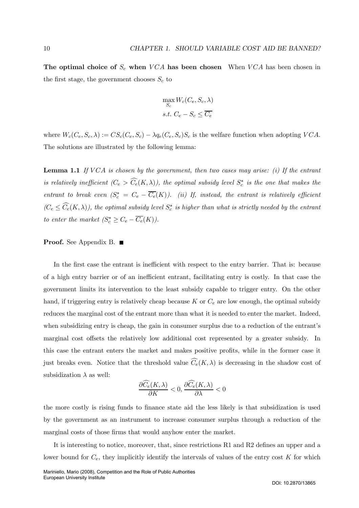The optimal choice of  $S_c$  when  $VCA$  has been chosen When  $VCA$  has been chosen in the first stage, the government chooses  $S_c$  to

$$
\max_{S_c} W_c(C_e, S_c, \lambda)
$$
  
s.t.  $C_e - S_c \le \overline{C_e}$ 

where  $W_c(C_e, S_c, \lambda) := CS_c(C_e, S_c) - \lambda q_e(C_e, S_c)S_c$  is the welfare function when adopting  $VCA$ . The solutions are illustrated by the following lemma:

**Lemma 1.1** If VCA is chosen by the government, then two cases may arise: (i) If the entrant is relatively inefficient  $(C_e > C_e(K, \lambda))$ , the optimal subsidy level  $S_c^*$  is the one that makes the entrant to break even  $(S_c^* = C_e - \overline{C_e}(K))$ . (ii) If, instead, the entrant is relatively efficient  $(C_e \leq C_e(K,\lambda))$ , the optimal subsidy level  $S_c^*$  is higher than what is strictly needed by the entrant to enter the market  $(S_c^* \geq C_e - C_e(K))$ .

#### Proof. See Appendix B. ■

In the first case the entrant is inefficient with respect to the entry barrier. That is: because of a high entry barrier or of an inefficient entrant, facilitating entry is costly. In that case the government limits its intervention to the least subsidy capable to trigger entry. On the other hand, if triggering entry is relatively cheap because K or  $C_e$  are low enough, the optimal subsidy reduces the marginal cost of the entrant more than what it is needed to enter the market. Indeed, when subsidizing entry is cheap, the gain in consumer surplus due to a reduction of the entrant's marginal cost offsets the relatively low additional cost represented by a greater subsidy. In this case the entrant enters the market and makes positive profits, while in the former case it just breaks even. Notice that the threshold value  $C_e(K, \lambda)$  is decreasing in the shadow cost of subsidization  $\lambda$  as well:

$$
\frac{\partial \widehat{C}_e(K,\lambda)}{\partial K} < 0, \frac{\partial \widehat{C}_e(K,\lambda)}{\partial \lambda} < 0
$$

the more costly is rising funds to finance state aid the less likely is that subsidization is used by the government as an instrument to increase consumer surplus through a reduction of the marginal costs of those firms that would anyhow enter the market.

It is interesting to notice, moreover, that, since restrictions R1 and R2 defines an upper and a lower bound for  $C_e$ , they implicitly identify the intervals of values of the entry cost  $K$  for which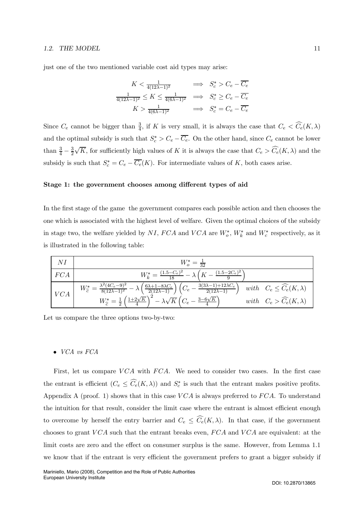#### 1.2. THE MODEL 11

just one of the two mentioned variable cost aid types may arise:

$$
K < \frac{1}{4(12\lambda - 1)^2} \quad \implies \quad S_c^* > C_e - \overline{C_e}
$$
\n
$$
\frac{1}{4(12\lambda - 1)^2} \le K \le \frac{1}{4(6\lambda - 1)^2} \quad \implies \quad S_c^* \ge C_e - \overline{C_e}
$$
\n
$$
K > \frac{1}{4(6\lambda - 1)^2} \quad \implies \quad S_c^* = C_e - \overline{C_e}
$$

Since  $C_e$  cannot be bigger than  $\frac{3}{4}$ , if K is very small, it is always the case that  $C_e < \widehat{C}_e(K, \lambda)$ and the optimal subsidy is such that  $S_c^* > C_e - C_e$ . On the other hand, since  $C_e$  cannot be lower than  $\frac{3}{4} - \frac{3}{2}$  $\sqrt{K}$ , for sufficiently high values of K it is always the case that  $C_e > \widehat{C}_e(K, \lambda)$  and the subsidy is such that  $S_c^* = C_e - \overline{C_e}(K)$ . For intermediate values of K, both cases arise.

#### Stage 1: the government chooses among different types of aid

In the first stage of the game the government compares each possible action and then chooses the one which is associated with the highest level of welfare. Given the optimal choices of the subsidy in stage two, the welfare yielded by  $NI$ ,  $FCA$  and  $VCA$  are  $W_o^*$ ,  $W_k^*$  and  $W_c^*$  respectively, as it is illustrated in the following table:

| NI  | $W_o^* = \frac{1}{32}$                                                                                                                                                                                                                                                                |                                        |
|-----|---------------------------------------------------------------------------------------------------------------------------------------------------------------------------------------------------------------------------------------------------------------------------------------|----------------------------------------|
| FCA | $W_k^* = \frac{(1.5 - C_e)^2}{18} - \lambda \left(K - \frac{(1.5 - 2C_e)^2}{9}\right)$                                                                                                                                                                                                |                                        |
| VCA | $W_{\tilde{c}}^* = \frac{\lambda^2 (4C_e - 9)^2}{8(12\lambda - 1)^2} - \lambda \left( \frac{6\lambda + 1 - 8\lambda C_e}{2(12\lambda - 1)} \right) \left( C_e - \frac{3(3\lambda - 1) + 12\lambda C_e}{2(12\lambda - 1)} \right) \quad with \quad C_e \leq \widehat{C}_e(K, \lambda)$ |                                        |
|     | $W_{\widehat{c}}^* = \frac{1}{2} \left( \frac{1+2\sqrt{K}}{4} \right)^2 - \lambda \sqrt{K} \left( C_e - \frac{3-6\sqrt{K}}{4} \right)$                                                                                                                                                | with $C_e > \widehat{C_e}(K, \lambda)$ |

Let us compare the three options two-by-two:

#### • VCA vs FCA

First, let us compare  $VCA$  with  $FCA$ . We need to consider two cases. In the first case the entrant is efficient  $(C_e \leq C_e(K,\lambda))$  and  $S_c^*$  is such that the entrant makes positive profits. Appendix A (proof. 1) shows that in this case  $VCA$  is always preferred to  $FCA$ . To understand the intuition for that result, consider the limit case where the entrant is almost efficient enough to overcome by herself the entry barrier and  $C_e \leq C_e(K,\lambda)$ . In that case, if the government chooses to grant  $VCA$  such that the entrant breaks even,  $FCA$  and  $VCA$  are equivalent: at the limit costs are zero and the effect on consumer surplus is the same. However, from Lemma 1.1 we know that if the entrant is very efficient the government prefers to grant a bigger subsidy if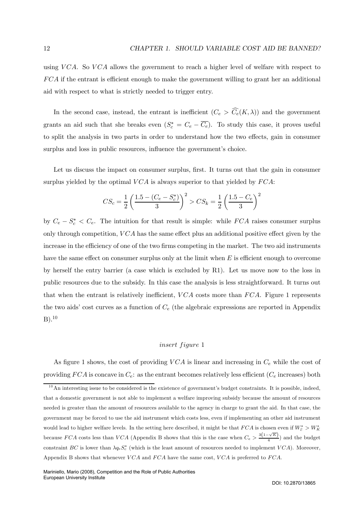using VCA. So VCA allows the government to reach a higher level of welfare with respect to FCA if the entrant is efficient enough to make the government willing to grant her an additional aid with respect to what is strictly needed to trigger entry.

In the second case, instead, the entrant is inefficient  $(C_e > C_e(K, \lambda))$  and the government grants an aid such that she breaks even  $(S_c^* = C_e - C_e)$ . To study this case, it proves useful to split the analysis in two parts in order to understand how the two effects, gain in consumer surplus and loss in public resources, influence the government's choice.

Let us discuss the impact on consumer surplus, first. It turns out that the gain in consumer surplus yielded by the optimal  $VCA$  is always superior to that yielded by  $FCA$ :

$$
CS_c = \frac{1}{2} \left( \frac{1.5 - (C_e - S_c^*)}{3} \right)^2 > CS_k = \frac{1}{2} \left( \frac{1.5 - C_e}{3} \right)^2
$$

by  $C_e - S_c^* < C_e$ . The intuition for that result is simple: while  $FCA$  raises consumer surplus only through competition,  $VCA$  has the same effect plus an additional positive effect given by the increase in the efficiency of one of the two firms competing in the market. The two aid instruments have the same effect on consumer surplus only at the limit when  $E$  is efficient enough to overcome by herself the entry barrier (a case which is excluded by R1). Let us move now to the loss in public resources due to the subsidy. In this case the analysis is less straightforward. It turns out that when the entrant is relatively inefficient,  $VCA$  costs more than  $FCA$ . Figure 1 represents the two aids' cost curves as a function of  $C_e$  (the algebraic expressions are reported in Appendix  $B)$ <sup>10</sup>

### insert figure 1

As figure 1 shows, the cost of providing  $VCA$  is linear and increasing in  $C_e$  while the cost of providing  $FCA$  is concave in  $C_e$ : as the entrant becomes relatively less efficient ( $C_e$  increases) both

 $10$ An interesting issue to be considered is the existence of government's budget constraints. It is possible, indeed, that a domestic government is not able to implement a welfare improving subsidy because the amount of resources needed is greater than the amount of resources available to the agency in charge to grant the aid. In that case, the government may be forced to use the aid instrument which costs less, even if implementing an other aid instrument would lead to higher welfare levels. In the setting here described, it might be that  $FCA$  is chosen even if  $W_c^* > W_K^*$ because FCA costs less than VCA (Appendix B shows that this is the case when  $C_e > \frac{3(1-\sqrt{K})}{4}$ ) and the budget constraint BC is lower than  $\lambda q_e S_c^*$  (which is the least amount of resources needed to implement  $VCA$ ). Moreover, Appendix B shows that whenever  $VCA$  and  $FCA$  have the same cost,  $VCA$  is preferred to  $FCA$ .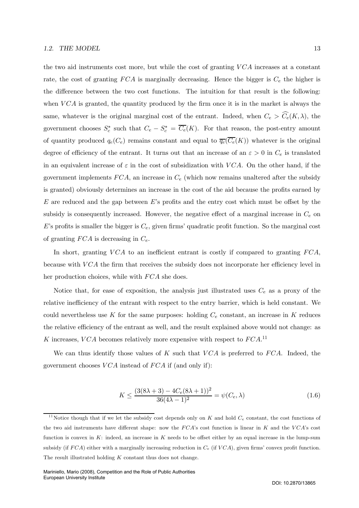the two aid instruments cost more, but while the cost of granting  $VCA$  increases at a constant rate, the cost of granting  $FCA$  is marginally decreasing. Hence the bigger is  $C_e$  the higher is the difference between the two cost functions. The intuition for that result is the following: when  $VCA$  is granted, the quantity produced by the firm once it is in the market is always the same, whatever is the original marginal cost of the entrant. Indeed, when  $C_e > C_e(K, \lambda)$ , the government chooses  $S_c^*$  such that  $C_e - S_c^* = C_e(K)$ . For that reason, the post-entry amount of quantity produced  $q_e(C_e)$  remains constant and equal to  $\overline{q_e}(C_e(K))$  whatever is the original degree of efficiency of the entrant. It turns out that an increase of an  $\varepsilon > 0$  in  $C_e$  is translated in an equivalent increase of  $\varepsilon$  in the cost of subsidization with VCA. On the other hand, if the government implements  $FCA$ , an increase in  $C_e$  (which now remains unaltered after the subsidy is granted) obviously determines an increase in the cost of the aid because the profits earned by  $E$  are reduced and the gap between  $E$ 's profits and the entry cost which must be offset by the subsidy is consequently increased. However, the negative effect of a marginal increase in  $C_e$  on  $E$ 's profits is smaller the bigger is  $C_e$ , given firms' quadratic profit function. So the marginal cost of granting  $FCA$  is decreasing in  $C_e$ .

In short, granting  $VCA$  to an inefficient entrant is costly if compared to granting  $FCA$ , because with  $VCA$  the firm that receives the subsidy does not incorporate her efficiency level in her production choices, while with  $FCA$  she does.

Notice that, for ease of exposition, the analysis just illustrated uses  $C_e$  as a proxy of the relative inefficiency of the entrant with respect to the entry barrier, which is held constant. We could nevertheless use K for the same purposes: holding  $C_e$  constant, an increase in K reduces the relative efficiency of the entrant as well, and the result explained above would not change: as K increases, VCA becomes relatively more expensive with respect to  $FCA$ .<sup>11</sup>

We can thus identify those values of K such that  $VCA$  is preferred to  $FCA$ . Indeed, the government chooses  $VCA$  instead of  $FCA$  if (and only if):

$$
K \le \frac{(3(8\lambda + 3) - 4C_e(8\lambda + 1))^2}{36(4\lambda - 1)^2} = \psi(C_e, \lambda)
$$
\n(1.6)

<sup>&</sup>lt;sup>11</sup>Notice though that if we let the subsidy cost depends only on K and hold  $C_e$  constant, the cost functions of the two aid instruments have different shape: now the  $FCA$ 's cost function is linear in K and the  $VCA$ 's cost function is convex in  $K$ : indeed, an increase in  $K$  needs to be offset either by an equal increase in the lump-sum subsidy (if  $FCA$ ) either with a marginally increasing reduction in  $C_e$  (if  $VCA$ ), given firms' convex profit function. The result illustrated holding  $K$  constant thus does not change.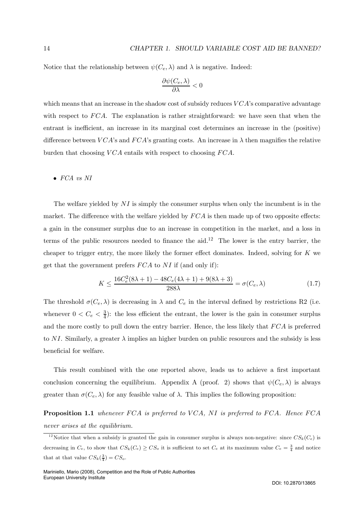Notice that the relationship between  $\psi(C_e, \lambda)$  and  $\lambda$  is negative. Indeed:

$$
\frac{\partial \psi(C_e, \lambda)}{\partial \lambda} < 0
$$

which means that an increase in the shadow cost of subsidy reduces  $VCA$ 's comparative advantage with respect to FCA. The explanation is rather straightforward: we have seen that when the entrant is inefficient, an increase in its marginal cost determines an increase in the (positive) difference between  $VCA$ 's and  $FCA$ 's granting costs. An increase in  $\lambda$  then magnifies the relative burden that choosing  $VCA$  entails with respect to choosing  $FCA$ .

### • FCA vs NI

The welfare yielded by  $NI$  is simply the consumer surplus when only the incumbent is in the market. The difference with the welfare yielded by  $FCA$  is then made up of two opposite effects: a gain in the consumer surplus due to an increase in competition in the market, and a loss in terms of the public resources needed to finance the aid.<sup>12</sup> The lower is the entry barrier, the cheaper to trigger entry, the more likely the former effect dominates. Indeed, solving for  $K$  we get that the government prefers  $FCA$  to NI if (and only if):

$$
K \le \frac{16C_e^2(8\lambda + 1) - 48C_e(4\lambda + 1) + 9(8\lambda + 3)}{288\lambda} = \sigma(C_e, \lambda)
$$
\n(1.7)

The threshold  $\sigma(C_e, \lambda)$  is decreasing in  $\lambda$  and  $C_e$  in the interval defined by restrictions R2 (i.e. whenever  $0 < C_e < \frac{3}{4}$ : the less efficient the entrant, the lower is the gain in consumer surplus and the more costly to pull down the entry barrier. Hence, the less likely that FCA is preferred to NI. Similarly, a greater  $\lambda$  implies an higher burden on public resources and the subsidy is less beneficial for welfare.

This result combined with the one reported above, leads us to achieve a first important conclusion concerning the equilibrium. Appendix A (proof. 2) shows that  $\psi(C_e, \lambda)$  is always greater than  $\sigma(C_e, \lambda)$  for any feasible value of  $\lambda$ . This implies the following proposition:

**Proposition 1.1** whenever FCA is preferred to VCA, NI is preferred to FCA. Hence FCA never arises at the equilibrium.

<sup>&</sup>lt;sup>12</sup>Notice that when a subsidy is granted the gain in consumer surplus is always non-negative: since  $CS_k(C_e)$  is decreasing in  $C_e$ , to show that  $CS_k(C_e) \geq CS_o$  it is sufficient to set  $C_e$  at its maximum value  $C_e = \frac{3}{4}$  and notice that at that value  $CS_k(\frac{3}{4}) = CS_o$ .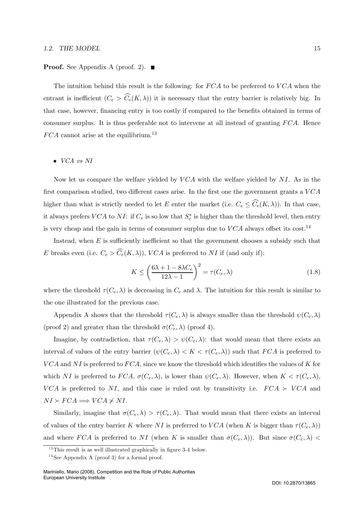#### 1.2. THE MODEL 15

#### **Proof.** See Appendix A (proof. 2).  $\blacksquare$

The intuition behind this result is the following: for  $FCA$  to be preferred to  $VCA$  when the entrant is inefficient  $(C_e > C_e(K, \lambda))$  it is necessary that the entry barrier is relatively big. In that case, however, financing entry is too costly if compared to the benefits obtained in terms of consumer surplus. It is thus preferable not to intervene at all instead of granting FCA. Hence  $FCA$  cannot arise at the equilibrium.<sup>13</sup>

#### • VCA vs NI

Now let us compare the welfare yielded by  $VCA$  with the welfare yielded by NI. As in the first comparison studied, two different cases arise. In the first one the government grants a  $VCA$ higher than what is strictly needed to let E enter the market (i.e.  $C_e \leq C_e(K, \lambda)$ ). In that case, it always prefers  $VCA$  to  $NI$ : if  $C_e$  is so low that  $S_c^*$  is higher than the threshold level, then entry is very cheap and the gain in terms of consumer surplus due to  $VCA$  always offset its cost.<sup>14</sup>

Instead, when  $E$  is sufficiently inefficient so that the government chooses a subsidy such that E breaks even (i.e.  $C_e > C_e(K, \lambda)$ ), VCA is preferred to NI if (and only if):

$$
K \le \left(\frac{6\lambda + 1 - 8\lambda C_e}{12\lambda - 1}\right)^2 = \tau(C_e, \lambda)
$$
\n(1.8)

where the threshold  $\tau(C_e, \lambda)$  is decreasing in  $C_e$  and  $\lambda$ . The intuition for this result is similar to the one illustrated for the previous case.

Appendix A shows that the threshold  $\tau(C_e, \lambda)$  is always smaller than the threshold  $\psi(C_e, \lambda)$ (proof 2) and greater than the threshold  $\sigma(C_e, \lambda)$  (proof 4).

Imagine, by contradiction, that  $\tau(C_e, \lambda) > \psi(C_e, \lambda)$ : that would mean that there exists an interval of values of the entry barrier  $(\psi(C_e, \lambda) < K < \tau(C_e, \lambda))$  such that  $FCA$  is preferred to  $VCA$  and NI is preferred to  $FCA$ , since we know the threshold which identifies the values of K for which NI is preferred to  $FCA$ ,  $\sigma(C_e, \lambda)$ , is lower than  $\psi(C_e, \lambda)$ . However, when  $K < \tau(C_e, \lambda)$ , VCA is preferred to NI, and this case is ruled out by transitivity i.e.  $FCA \succ VCA$  and  $NI \succ FCA \Longrightarrow VCA \not\succ NI.$ 

Similarly, imagine that  $\sigma(C_e, \lambda) > \tau(C_e, \lambda)$ . That would mean that there exists an interval of values of the entry barrier K where NI is preferred to VCA (when K is bigger than  $\tau(C_e, \lambda)$ ) and where FCA is preferred to NI (when K is smaller than  $\sigma(C_e, \lambda)$ ). But since  $\sigma(C_e, \lambda)$ 

 $13$ This result is as well illustrated graphically in figure 3-4 below.

 $14$ See Appendix A (proof 3) for a formal proof.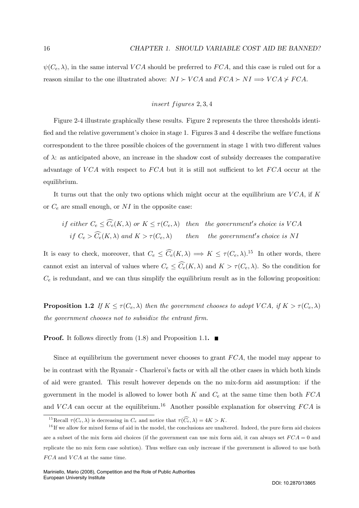$\psi(C_e, \lambda)$ , in the same interval VCA should be preferred to FCA, and this case is ruled out for a reason similar to the one illustrated above:  $NI \succ VCA$  and  $FCA \succ NI \Longrightarrow VCA \not\succ FCA$ .

### $insert$  figures  $2, 3, 4$

Figure 2-4 illustrate graphically these results. Figure 2 represents the three thresholds identified and the relative government's choice in stage 1. Figures 3 and 4 describe the welfare functions correspondent to the three possible choices of the government in stage 1 with two different values of  $\lambda$ : as anticipated above, an increase in the shadow cost of subsidy decreases the comparative advantage of  $VCA$  with respect to  $FCA$  but it is still not sufficient to let  $FCA$  occur at the equilibrium.

It turns out that the only two options which might occur at the equilibrium are  $VCA$ , if K or  $C_e$  are small enough, or  $NI$  in the opposite case:

if either 
$$
C_e \leq C_e(K, \lambda)
$$
 or  $K \leq \tau(C_e, \lambda)$  then the government's choice is VCA  
if  $C_e > \widehat{C}_e(K, \lambda)$  and  $K > \tau(C_e, \lambda)$  then the government's choice is NI

It is easy to check, moreover, that  $C_e \leq \widehat{C_e}(K,\lambda) \implies K \leq \tau(C_e,\lambda).$ <sup>15</sup> In other words, there cannot exist an interval of values where  $C_e \leq C_e(K, \lambda)$  and  $K > \tau(C_e, \lambda)$ . So the condition for  $C_e$  is redundant, and we can thus simplify the equilibrium result as in the following proposition:

**Proposition 1.2** If  $K \leq \tau(C_e, \lambda)$  then the government chooses to adopt VCA, if  $K > \tau(C_e, \lambda)$ the government chooses not to subsidize the entrant firm.

**Proof.** It follows directly from  $(1.8)$  and Proposition 1.1.  $\blacksquare$ 

Since at equilibrium the government never chooses to grant FCA, the model may appear to be in contrast with the Ryanair - Charleroi's facts or with all the other cases in which both kinds of aid were granted. This result however depends on the no mix-form aid assumption: if the government in the model is allowed to lower both  $K$  and  $C_e$  at the same time then both  $FCA$ and VCA can occur at the equilibrium.<sup>16</sup> Another possible explanation for observing FCA is

<sup>&</sup>lt;sup>15</sup>Recall  $\tau(C_e, \lambda)$  is decreasing in  $C_e$  and notice that  $\tau(\widehat{C}_e, \lambda) = 4K > K$ .

 $1<sup>6</sup>$  If we allow for mixed forms of aid in the model, the conclusions are unaltered. Indeed, the pure form aid choices are a subset of the mix form aid choices (if the government can use mix form aid, it can always set  $FCA = 0$  and replicate the no mix form case solution). Thus welfare can only increase if the government is allowed to use both  $FCA$  and  $VCA$  at the same time.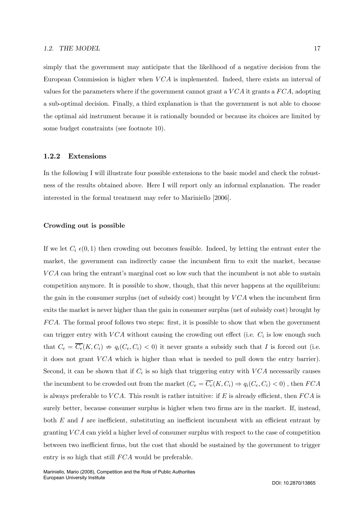simply that the government may anticipate that the likelihood of a negative decision from the European Commission is higher when  $VCA$  is implemented. Indeed, there exists an interval of values for the parameters where if the government cannot grant a  $VCA$  it grants a  $FCA$ , adopting a sub-optimal decision. Finally, a third explanation is that the government is not able to choose the optimal aid instrument because it is rationally bounded or because its choices are limited by some budget constraints (see footnote 10).

#### 1.2.2 Extensions

In the following I will illustrate four possible extensions to the basic model and check the robustness of the results obtained above. Here I will report only an informal explanation. The reader interested in the formal treatment may refer to Mariniello [2006].

#### Crowding out is possible

If we let  $C_i \epsilon(0,1)$  then crowding out becomes feasible. Indeed, by letting the entrant enter the market, the government can indirectly cause the incumbent firm to exit the market, because VCA can bring the entrant's marginal cost so low such that the incumbent is not able to sustain competition anymore. It is possible to show, though, that this never happens at the equilibrium: the gain in the consumer surplus (net of subsidy cost) brought by  $VCA$  when the incumbent firm exits the market is never higher than the gain in consumer surplus (net of subsidy cost) brought by FCA. The formal proof follows two steps: first, it is possible to show that when the government can trigger entry with  $VCA$  without causing the crowding out effect (i.e.  $C_i$  is low enough such that  $C_e = \overline{C_e}(K, C_i) \Rightarrow q_i(C_e, C_i) < 0$  it never grants a subsidy such that I is forced out (i.e. it does not grant  $VCA$  which is higher than what is needed to pull down the entry barrier). Second, it can be shown that if  $C_i$  is so high that triggering entry with  $VCA$  necessarily causes the incumbent to be crowded out from the market  $(C_e = \overline{C_e}(K, C_i) \Rightarrow q_i(C_e, C_i) < 0)$ , then  $FCA$ is always preferable to  $VCA$ . This result is rather intuitive: if E is already efficient, then  $FCA$  is surely better, because consumer surplus is higher when two firms are in the market. If, instead, both  $E$  and  $I$  are inefficient, substituting an inefficient incumbent with an efficient entrant by granting  $VCA$  can yield a higher level of consumer surplus with respect to the case of competition between two inefficient firms, but the cost that should be sustained by the government to trigger entry is so high that still FCA would be preferable.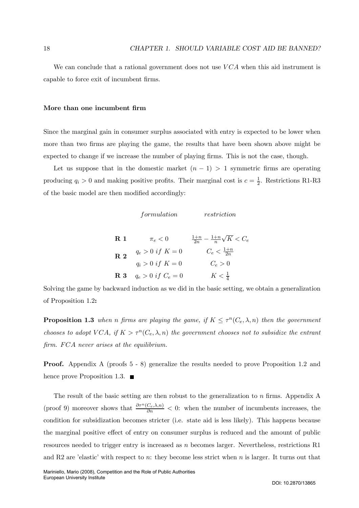We can conclude that a rational government does not use  $VCA$  when this aid instrument is capable to force exit of incumbent firms.

#### More than one incumbent firm

Since the marginal gain in consumer surplus associated with entry is expected to be lower when more than two firms are playing the game, the results that have been shown above might be expected to change if we increase the number of playing firms. This is not the case, though.

Let us suppose that in the domestic market  $(n - 1) > 1$  symmetric firms are operating producing  $q_i > 0$  and making positive profits. Their marginal cost is  $c = \frac{1}{2}$ . Restrictions R1-R3 of the basic model are then modified accordingly:

|                           | formulation            | restriction                                    |
|---------------------------|------------------------|------------------------------------------------|
| $\mathbf R$ 1             | $\pi_e < 0$            | $\frac{1+n}{2n} - \frac{1+n}{n}\sqrt{K} < C_e$ |
| $\overline{\mathrm{R}}$ 2 | $q_e > 0$ if $K = 0$   | $C_e < \frac{1+n}{2n}$                         |
|                           | $q_i > 0$ if $K = 0$   | $C_e > 0$                                      |
| $\bf R$ 3                 | $q_e > 0$ if $C_e = 0$ | $K<\frac{1}{4}$                                |

Solving the game by backward induction as we did in the basic setting, we obtain a generalization of Proposition 1.2:

**Proposition 1.3** when n firms are playing the game, if  $K \leq \tau^n(C_e, \lambda, n)$  then the government chooses to adopt VCA, if  $K > \tau^n(C_e, \lambda, n)$  the government chooses not to subsidize the entrant firm. FCA never arises at the equilibrium.

Proof. Appendix A (proofs 5 - 8) generalize the results needed to prove Proposition 1.2 and hence prove Proposition 1.3.  $\blacksquare$ 

The result of the basic setting are then robust to the generalization to  $n$  firms. Appendix A (proof 9) moreover shows that  $\frac{\partial \tau^n(C_e,\lambda,n)}{\partial n} < 0$ : when the number of incumbents increases, the condition for subsidization becomes stricter (i.e. state aid is less likely). This happens because the marginal positive effect of entry on consumer surplus is reduced and the amount of public resources needed to trigger entry is increased as n becomes larger. Nevertheless, restrictions R1 and R2 are 'elastic' with respect to n: they become less strict when n is larger. It turns out that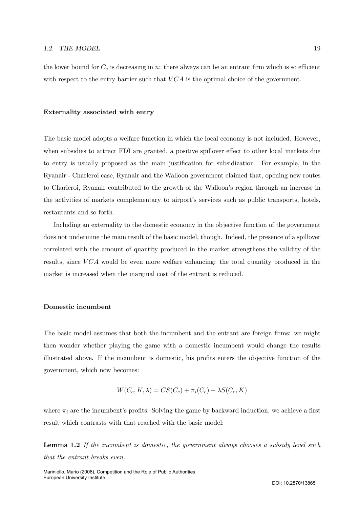the lower bound for  $C_e$  is decreasing in n: there always can be an entrant firm which is so efficient with respect to the entry barrier such that  $VCA$  is the optimal choice of the government.

#### Externality associated with entry

The basic model adopts a welfare function in which the local economy is not included. However, when subsidies to attract FDI are granted, a positive spillover effect to other local markets due to entry is usually proposed as the main justification for subsidization. For example, in the Ryanair - Charleroi case, Ryanair and the Walloon government claimed that, opening new routes to Charleroi, Ryanair contributed to the growth of the Walloon's region through an increase in the activities of markets complementary to airport's services such as public transports, hotels, restaurants and so forth.

Including an externality to the domestic economy in the objective function of the government does not undermine the main result of the basic model, though. Indeed, the presence of a spillover correlated with the amount of quantity produced in the market strengthens the validity of the results, since  $VCA$  would be even more welfare enhancing: the total quantity produced in the market is increased when the marginal cost of the entrant is reduced.

#### Domestic incumbent

The basic model assumes that both the incumbent and the entrant are foreign firms: we might then wonder whether playing the game with a domestic incumbent would change the results illustrated above. If the incumbent is domestic, his profits enters the objective function of the government, which now becomes:

$$
W(C_e, K, \lambda) = CS(C_e) + \pi_i(C_e) - \lambda S(C_e, K)
$$

where  $\pi_i$  are the incumbent's profits. Solving the game by backward induction, we achieve a first result which contrasts with that reached with the basic model:

Lemma 1.2 If the incumbent is domestic, the government always chooses a subsidy level such that the entrant breaks even.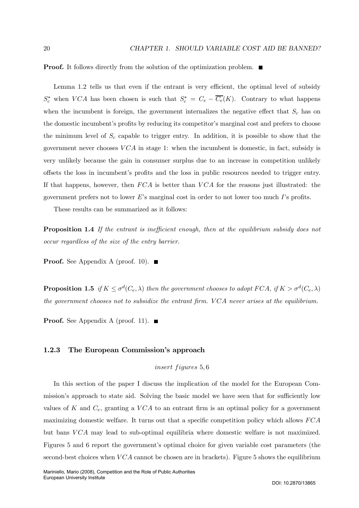**Proof.** It follows directly from the solution of the optimization problem.  $\blacksquare$ 

Lemma 1.2 tells us that even if the entrant is very efficient, the optimal level of subsidy  $S_c^*$  when VCA has been chosen is such that  $S_c^* = C_e - C_e(K)$ . Contrary to what happens when the incumbent is foreign, the government internalizes the negative effect that  $S_c$  has on the domestic incumbent's profits by reducing its competitor's marginal cost and prefers to choose the minimum level of  $S_c$  capable to trigger entry. In addition, it is possible to show that the government never chooses  $VCA$  in stage 1: when the incumbent is domestic, in fact, subsidy is very unlikely because the gain in consumer surplus due to an increase in competition unlikely offsets the loss in incumbent's profits and the loss in public resources needed to trigger entry. If that happens, however, then  $FCA$  is better than  $VCA$  for the reasons just illustrated: the government prefers not to lower  $E$ 's marginal cost in order to not lower too much  $I$ 's profits.

These results can be summarized as it follows:

**Proposition 1.4** If the entrant is inefficient enough, then at the equilibrium subsidy does not occur regardless of the size of the entry barrier.

**Proof.** See Appendix A (proof. 10).  $\blacksquare$ 

**Proposition 1.5** if  $K \leq \sigma^d(C_e, \lambda)$  then the government chooses to adopt  $FCA$ , if  $K > \sigma^d(C_e, \lambda)$ the government chooses not to subsidize the entrant firm.  $VCA$  never arises at the equilibrium.

**Proof.** See Appendix A (proof. 11).  $\blacksquare$ 

#### 1.2.3 The European Commission's approach

insert figures 5,6

In this section of the paper I discuss the implication of the model for the European Commission's approach to state aid. Solving the basic model we have seen that for sufficiently low values of K and  $C_e$ , granting a VCA to an entrant firm is an optimal policy for a government maximizing domestic welfare. It turns out that a specific competition policy which allows FCA but bans VCA may lead to sub-optimal equilibria where domestic welfare is not maximized. Figures 5 and 6 report the government's optimal choice for given variable cost parameters (the second-best choices when  $VCA$  cannot be chosen are in brackets). Figure 5 shows the equilibrium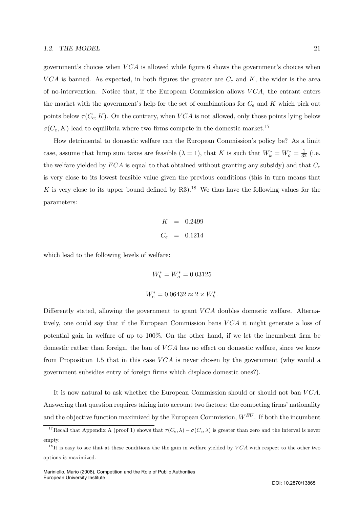#### 1.2. THE MODEL 21

government's choices when  $VCA$  is allowed while figure 6 shows the government's choices when VCA is banned. As expected, in both figures the greater are  $C_e$  and K, the wider is the area of no-intervention. Notice that, if the European Commission allows  $VCA$ , the entrant enters the market with the government's help for the set of combinations for  $C_e$  and K which pick out points below  $\tau(C_e, K)$ . On the contrary, when VCA is not allowed, only those points lying below  $\sigma(C_e, K)$  lead to equilibria where two firms compete in the domestic market.<sup>17</sup>

How detrimental to domestic welfare can the European Commission's policy be? As a limit case, assume that lump sum taxes are feasible  $(\lambda = 1)$ , that K is such that  $W_k^* = W_o^* = \frac{1}{32}$  (i.e. the welfare yielded by  $FCA$  is equal to that obtained without granting any subsidy) and that  $C_e$ is very close to its lowest feasible value given the previous conditions (this in turn means that K is very close to its upper bound defined by R3).<sup>18</sup> We thus have the following values for the parameters:

$$
K = 0.2499
$$
  

$$
C_e = 0.1214
$$

which lead to the following levels of welfare:

$$
W_k^* = W_o^* = 0.03125
$$
  

$$
W_c^* = 0.06432 \approx 2 \times W_k^*.
$$

Differently stated, allowing the government to grant  $VCA$  doubles domestic welfare. Alternatively, one could say that if the European Commission bans VCA it might generate a loss of potential gain in welfare of up to 100%. On the other hand, if we let the incumbent firm be domestic rather than foreign, the ban of  $VCA$  has no effect on domestic welfare, since we know from Proposition 1.5 that in this case  $VCA$  is never chosen by the government (why would a government subsidies entry of foreign firms which displace domestic ones?).

It is now natural to ask whether the European Commission should or should not ban  $VCA$ . Answering that question requires taking into account two factors: the competing firms' nationality and the objective function maximized by the European Commission,  $W^{EU}$ . If both the incumbent

<sup>&</sup>lt;sup>17</sup>Recall that Appendix A (proof 1) shows that  $\tau(C_e, \lambda) - \sigma(C_e, \lambda)$  is greater than zero and the interval is never empty.

 $1<sup>8</sup>$ It is easy to see that at these conditions the the gain in welfare yielded by  $VCA$  with respect to the other two options is maximized.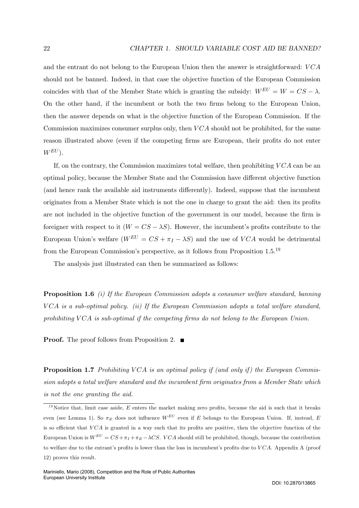and the entrant do not belong to the European Union then the answer is straightforward:  $VCA$ should not be banned. Indeed, in that case the objective function of the European Commission coincides with that of the Member State which is granting the subsidy:  $W^{EU} = W = CS - \lambda$ . On the other hand, if the incumbent or both the two firms belong to the European Union, then the answer depends on what is the objective function of the European Commission. If the Commission maximizes consumer surplus only, then  $VCA$  should not be prohibited, for the same reason illustrated above (even if the competing firms are European, their profits do not enter  $W^{EU}$ ).

If, on the contrary, the Commission maximizes total welfare, then prohibiting  $VCA$  can be an optimal policy, because the Member State and the Commission have different objective function (and hence rank the available aid instruments differently). Indeed, suppose that the incumbent originates from a Member State which is not the one in charge to grant the aid: then its profits are not included in the objective function of the government in our model, because the firm is foreigner with respect to it  $(W = CS - \lambda S)$ . However, the incumbent's profits contribute to the European Union's welfare  $(W^{EU} = CS + \pi_I - \lambda S)$  and the use of VCA would be detrimental from the European Commission's perspective, as it follows from Proposition 1.5.19

The analysis just illustrated can then be summarized as follows:

**Proposition 1.6** (i) If the European Commission adopts a consumer welfare standard, banning  $VCA$  is a sub-optimal policy. (ii) If the European Commission adopts a total welfare standard, prohibiting VCA is sub-optimal if the competing firms do not belong to the European Union.

**Proof.** The proof follows from Proposition 2.

**Proposition 1.7** Prohibiting VCA is an optimal policy if (and only if) the European Commission adopts a total welfare standard and the incumbent firm originates from a Member State which is not the one granting the aid.

<sup>&</sup>lt;sup>19</sup>Notice that, limit case aside,  $E$  enters the market making zero profits, because the aid is such that it breaks even (see Lemma 1). So  $\pi_E$  does not influence  $W^{EU}$  even if E belongs to the European Union. If, instead, E is so efficient that  $VCA$  is granted in a way such that its profits are positive, then the objective function of the European Union is  $W^{EU} = CS + \pi_I + \pi_E - \lambda CS$ . VCA should still be prohibited, though, because the contribution to welfare due to the entrant's profits is lower than the loss in incumbent's profits due to  $VCA$ . Appendix A (proof 12) proves this result.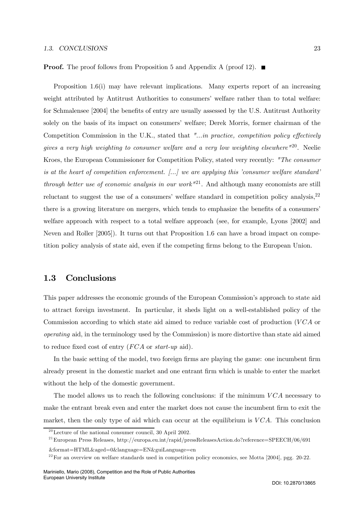#### 1.3. CONCLUSIONS 23

**Proof.** The proof follows from Proposition 5 and Appendix A (proof 12).  $\blacksquare$ 

Proposition 1.6(i) may have relevant implications. Many experts report of an increasing weight attributed by Antitrust Authorities to consumers' welfare rather than to total welfare: for Schmalensee [2004] the benefits of entry are usually assessed by the U.S. Antitrust Authority solely on the basis of its impact on consumers' welfare; Derek Morris, former chairman of the Competition Commission in the U.K., stated that "...in practice, competition policy effectively gives a very high weighting to consumer welfare and a very low weighting elsewhere  $^{\prime\prime\prime}$ <sup>20</sup>. Neelie Kroes, the European Commissioner for Competition Policy, stated very recently: "The consumer is at the heart of competition enforcement. [...] we are applying this 'consumer welfare standard' through better use of economic analysis in our work<sup>"21</sup>. And although many economists are still reluctant to suggest the use of a consumers' welfare standard in competition policy analysis,<sup>22</sup> there is a growing literature on mergers, which tends to emphasize the benefits of a consumers' welfare approach with respect to a total welfare approach (see, for example, Lyons [2002] and Neven and Roller [2005]). It turns out that Proposition 1.6 can have a broad impact on competition policy analysis of state aid, even if the competing firms belong to the European Union.

## 1.3 Conclusions

This paper addresses the economic grounds of the European Commission's approach to state aid to attract foreign investment. In particular, it sheds light on a well-established policy of the Commission according to which state aid aimed to reduce variable cost of production  $(VCA)$ operating aid, in the terminology used by the Commission) is more distortive than state aid aimed to reduce fixed cost of entry (FCA or start-up aid).

In the basic setting of the model, two foreign firms are playing the game: one incumbent firm already present in the domestic market and one entrant firm which is unable to enter the market without the help of the domestic government.

The model allows us to reach the following conclusions: if the minimum  $VCA$  necessary to make the entrant break even and enter the market does not cause the incumbent firm to exit the market, then the only type of aid which can occur at the equilibrium is  $VCA$ . This conclusion

 $20^{\circ}$  Lecture of the national consumer council, 30 April 2002.

<sup>&</sup>lt;sup>21</sup>European Press Releases, http://europa.eu.int/rapid/pressReleasesAction.do?reference=SPEECH/06/691

<sup>&</sup>amp;format=HTML&aged=0&language=EN&guiLanguage=en

 $^{22}$  For an overview on welfare standards used in competition policy economics, see Motta [2004], pgg. 20-22.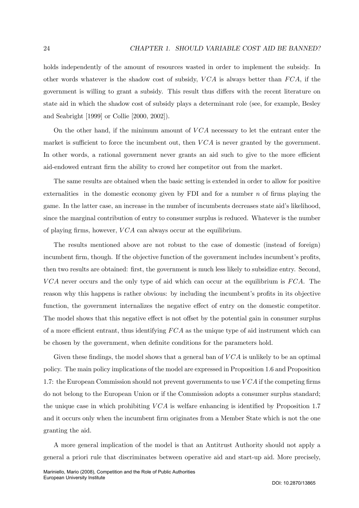holds independently of the amount of resources wasted in order to implement the subsidy. In other words whatever is the shadow cost of subsidy,  $VCA$  is always better than  $FCA$ , if the government is willing to grant a subsidy. This result thus differs with the recent literature on state aid in which the shadow cost of subsidy plays a determinant role (see, for example, Besley and Seabright [1999] or Collie [2000, 2002]).

On the other hand, if the minimum amount of  $VCA$  necessary to let the entrant enter the market is sufficient to force the incumbent out, then  $VCA$  is never granted by the government. In other words, a rational government never grants an aid such to give to the more efficient aid-endowed entrant firm the ability to crowd her competitor out from the market.

The same results are obtained when the basic setting is extended in order to allow for positive externalities in the domestic economy given by FDI and for a number  $n$  of firms playing the game. In the latter case, an increase in the number of incumbents decreases state aid's likelihood, since the marginal contribution of entry to consumer surplus is reduced. Whatever is the number of playing firms, however,  $VCA$  can always occur at the equilibrium.

The results mentioned above are not robust to the case of domestic (instead of foreign) incumbent firm, though. If the objective function of the government includes incumbent's profits, then two results are obtained: first, the government is much less likely to subsidize entry. Second,  $VCA$  never occurs and the only type of aid which can occur at the equilibrium is  $FCA$ . The reason why this happens is rather obvious: by including the incumbent's profits in its objective function, the government internalizes the negative effect of entry on the domestic competitor. The model shows that this negative effect is not offset by the potential gain in consumer surplus of a more efficient entrant, thus identifying  $FCA$  as the unique type of aid instrument which can be chosen by the government, when definite conditions for the parameters hold.

Given these findings, the model shows that a general ban of  $VCA$  is unlikely to be an optimal policy. The main policy implications of the model are expressed in Proposition 1.6 and Proposition 1.7: the European Commission should not prevent governments to use  $VCA$  if the competing firms do not belong to the European Union or if the Commission adopts a consumer surplus standard; the unique case in which prohibiting  $VCA$  is welfare enhancing is identified by Proposition 1.7 and it occurs only when the incumbent firm originates from a Member State which is not the one granting the aid.

A more general implication of the model is that an Antitrust Authority should not apply a general a priori rule that discriminates between operative aid and start-up aid. More precisely,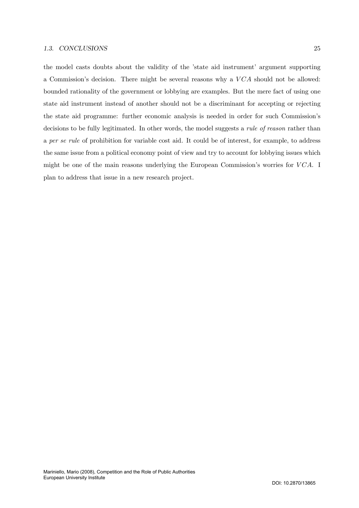the model casts doubts about the validity of the 'state aid instrument' argument supporting a Commission's decision. There might be several reasons why a  $VCA$  should not be allowed: bounded rationality of the government or lobbying are examples. But the mere fact of using one state aid instrument instead of another should not be a discriminant for accepting or rejecting the state aid programme: further economic analysis is needed in order for such Commission's decisions to be fully legitimated. In other words, the model suggests a *rule of reason* rather than a per se rule of prohibition for variable cost aid. It could be of interest, for example, to address the same issue from a political economy point of view and try to account for lobbying issues which might be one of the main reasons underlying the European Commission's worries for  $VCA$ . I plan to address that issue in a new research project.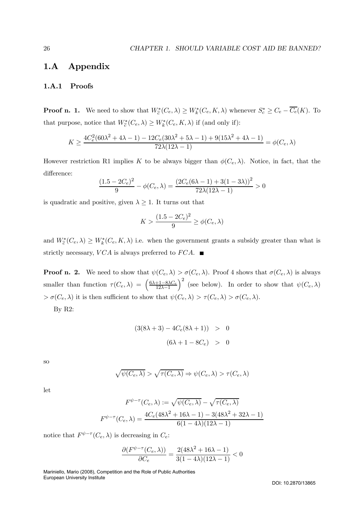# 1.A Appendix

## 1.A.1 Proofs

**Proof n. 1.** We need to show that  $W^*_{\tilde{c}}(C_e, \lambda) \ge W^*_k(C_e, K, \lambda)$  whenever  $S^*_c \ge C_e - C_e(K)$ . To that purpose, notice that  $W^*_{\tilde{c}}(C_e, \lambda) \ge W^*_{k}(C_e, K, \lambda)$  if (and only if):

$$
K \ge \frac{4C_e^2 (60\lambda^2 + 4\lambda - 1) - 12C_e (30\lambda^2 + 5\lambda - 1) + 9(15\lambda^2 + 4\lambda - 1)}{72\lambda(12\lambda - 1)} = \phi(C_e, \lambda)
$$

However restriction R1 implies K to be always bigger than  $\phi(C_e, \lambda)$ . Notice, in fact, that the difference:

$$
\frac{(1.5 - 2C_e)^2}{9} - \phi(C_e, \lambda) = \frac{(2C_e(6\lambda - 1) + 3(1 - 3\lambda))^2}{72\lambda(12\lambda - 1)} > 0
$$

is quadratic and positive, given  $\lambda \geq 1$ . It turns out that

$$
K > \frac{(1.5 - 2C_e)^2}{9} \ge \phi(C_e, \lambda)
$$

and  $W^*_{\tilde{c}}(C_e, \lambda) \ge W^*_{k}(C_e, K, \lambda)$  i.e. when the government grants a subsidy greater than what is strictly necessary,  $VCA$  is always preferred to  $FCA$ .

**Proof n. 2.** We need to show that  $\psi(C_e, \lambda) > \sigma(C_e, \lambda)$ . Proof 4 shows that  $\sigma(C_e, \lambda)$  is always smaller than function  $\tau(C_e, \lambda) = \begin{pmatrix} \frac{6\lambda + 1 - 8\lambda C_e}{12\lambda - 1} \end{pmatrix}$  $12\lambda-1$  $\big)^2$  (see below). In order to show that  $\psi(C_e, \lambda)$  $> \sigma(C_e, \lambda)$  it is then sufficient to show that  $\psi(C_e, \lambda) > \tau(C_e, \lambda) > \sigma(C_e, \lambda)$ .

By R2:

$$
(3(8\lambda + 3) - 4C_e(8\lambda + 1)) > 0
$$
  

$$
(6\lambda + 1 - 8C_e) > 0
$$

so

$$
\sqrt{\psi(C_e,\lambda)} > \sqrt{\tau(C_e,\lambda)} \Rightarrow \psi(C_e,\lambda) > \tau(C_e,\lambda)
$$

let

$$
F^{\psi-\tau}(C_e, \lambda) := \sqrt{\psi(C_e, \lambda)} - \sqrt{\tau(C_e, \lambda)}
$$

$$
F^{\psi-\tau}(C_e, \lambda) = \frac{4C_e(48\lambda^2 + 16\lambda - 1) - 3(48\lambda^2 + 32\lambda - 1)}{6(1 - 4\lambda)(12\lambda - 1)}
$$

notice that  $F^{\psi-\tau}(C_e, \lambda)$  is decreasing in  $C_e$ :

$$
\frac{\partial (F^{\psi-\tau}(C_e,\lambda))}{\partial C_e} = \frac{2(48\lambda^2 + 16\lambda - 1)}{3(1-4\lambda)(12\lambda - 1)} < 0
$$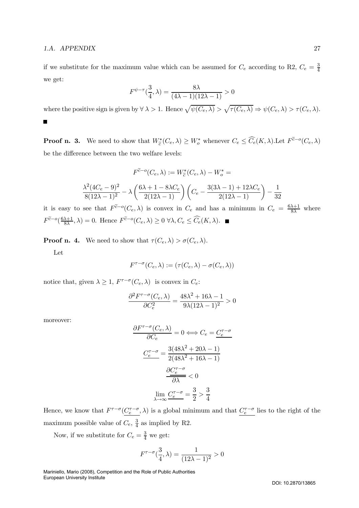#### 1.A. APPENDIX 27

if we substitute for the maximum value which can be assumed for  $C_e$  according to R2,  $C_e = \frac{3}{4}$ we get:

$$
F^{\psi-\tau}(\frac{3}{4},\lambda)=\frac{8\lambda}{(4\lambda-1)(12\lambda-1)}>0
$$

where the positive sign is given by  $\forall \lambda > 1$ . Hence  $\sqrt{\psi(C_e, \lambda)} > \sqrt{\tau(C_e, \lambda)} \Rightarrow \psi(C_e, \lambda) > \tau(C_e, \lambda)$ .  $\blacksquare$ 

**Proof n. 3.** We need to show that  $W^*_{\tilde{c}}(C_e, \lambda) \geq W^*_{o}$  whenever  $C_e \leq \widehat{C}_e(K, \lambda)$ . Let  $F^{\tilde{c}-o}(C_e, \lambda)$ be the difference between the two welfare levels:

$$
F^{\tilde{c}-o}(C_e, \lambda) := W_{\tilde{c}}^*(C_e, \lambda) - W_o^* =
$$
  

$$
\frac{\lambda^2 (4C_e - 9)^2}{8(12\lambda - 1)^2} - \lambda \left(\frac{6\lambda + 1 - 8\lambda C_e}{2(12\lambda - 1)}\right) \left(C_e - \frac{3(3\lambda - 1) + 12\lambda C_e}{2(12\lambda - 1)}\right) - \frac{1}{32}
$$

it is easy to see that  $F^{\tilde{c}-o}(C_e, \lambda)$  is convex in  $C_e$  and has a minimum in  $C_e = \frac{6\lambda+1}{8\lambda}$  where  $F^{\tilde{c}-o}(\frac{6\lambda+1}{8\lambda},\lambda)=0.$  Hence  $F^{\tilde{c}-o}(C_e,\lambda)\geq 0 \,\forall \lambda,C_e\leq \widehat{C_e}(K,\lambda).$ 

**Proof n. 4.** We need to show that  $\tau(C_e, \lambda) > \sigma(C_e, \lambda)$ .

Let

$$
F^{\tau-\sigma}(C_e,\lambda) := (\tau(C_e,\lambda) - \sigma(C_e,\lambda))
$$

notice that, given  $\lambda \geq 1$ ,  $F^{\tau-\sigma}(C_e, \lambda)$  is convex in  $C_e$ :

$$
\frac{\partial^2 F^{\tau-\sigma}(C_e,\lambda)}{\partial C_e^2} = \frac{48\lambda^2 + 16\lambda - 1}{9\lambda(12\lambda - 1)^2} > 0
$$

moreover:

$$
\frac{\partial F^{\tau-\sigma}(C_e, \lambda)}{\partial C_e} = 0 \iff C_e = \frac{C_e^{\tau-\sigma}}{2}
$$

$$
\frac{C_e^{\tau-\sigma}}{2(48\lambda^2 + 16\lambda - 1)}
$$

$$
\frac{\partial C_e^{\tau-\sigma}}{\partial \lambda} < 0
$$

$$
\lim_{\lambda \to \infty} \frac{C_e^{\tau-\sigma}}{2} = \frac{3}{2} > \frac{3}{4}
$$

Hence, we know that  $F^{\tau-\sigma}(\underline{C_{e}^{\tau-\sigma}},\lambda)$  is a global minimum and that  $\underline{C_{e}^{\tau-\sigma}}$  lies to the right of the maximum possible value of  $C_e$ ,  $\frac{3}{4}$  as implied by R2.

Now, if we substitute for  $C_e = \frac{3}{4}$  we get:

$$
F^{\tau-\sigma}(\frac{3}{4},\lambda) = \frac{1}{(12\lambda - 1)^2} > 0
$$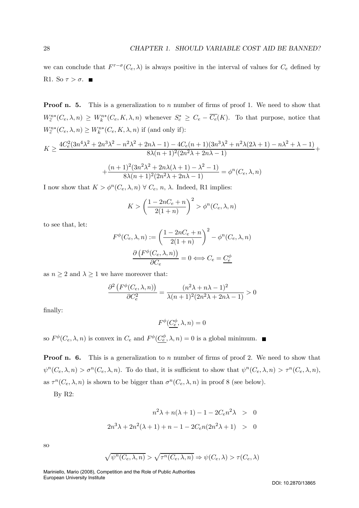we can conclude that  $F^{\tau-\sigma}(C_e, \lambda)$  is always positive in the interval of values for  $C_e$  defined by R1. So  $\tau > \sigma$ .

**Proof n. 5.** This is a generalization to n number of firms of proof 1. We need to show that  $W^{n*}_{\tilde{c}}(C_e, \lambda, n) \geq W^{n*}_{k}(C_e, K, \lambda, n)$  whenever  $S_c^* \geq C_e - \overline{C_e}(K)$ . To that purpose, notice that  $W^{n*}_{\tilde{c}}(C_e, \lambda, n) \ge W^{n*}_{k}(C_e, K, \lambda, n)$  if (and only if):

$$
K \ge \frac{4C_e^2(3n^4\lambda^2 + 2n^3\lambda^2 - n^2\lambda^2 + 2n\lambda - 1) - 4C_e(n+1)(3n^3\lambda^2 + n^2\lambda(2\lambda + 1) - n\lambda^2 + \lambda - 1)}{8\lambda(n+1)^2(2n^2\lambda + 2n\lambda - 1)} + \frac{(n+1)^2(3n^2\lambda^2 + 2n\lambda(\lambda + 1) - \lambda^2 - 1)}{8\lambda(n+1)^2(2n^2\lambda + 2n\lambda - 1)} = \phi^n(C_e, \lambda, n)
$$

I now show that  $K > \phi^n(C_e, \lambda, n) \ \forall \ C_e, n, \lambda$ . Indeed, R1 implies:

$$
K > \left(\frac{1 - 2nC_e + n}{2(1+n)}\right)^2 > \phi^n(C_e, \lambda, n)
$$

to see that, let:

$$
F^{\phi}(C_e, \lambda, n) := \left(\frac{1 - 2nC_e + n}{2(1+n)}\right)^2 - \phi^n(C_e, \lambda, n)
$$

$$
\frac{\partial (F^{\phi}(C_e, \lambda, n))}{\partial C_e} = 0 \Longleftrightarrow C_e = \underline{C_e^{\phi}}
$$

as  $n \geq 2$  and  $\lambda \geq 1$  we have moreover that:

$$
\frac{\partial^2 \left( F^{\phi}(C_e, \lambda, n) \right)}{\partial C_e^2} = \frac{(n^2 \lambda + n\lambda - 1)^2}{\lambda (n+1)^2 (2n^2 \lambda + 2n\lambda - 1)} > 0
$$

finally:

$$
F^{\phi}(\underline{C^{\phi}_e},\lambda,n)=0
$$

so  $F^{\phi}(C_e, \lambda, n)$  is convex in  $C_e$  and  $F^{\phi}(\underline{C_e^{\phi}}, \lambda, n)=0$  is a global minimum.

**Proof n. 6.** This is a generalization to n number of firms of proof 2. We need to show that  $\psi^{n}(C_{e}, \lambda, n) > \sigma^{n}(C_{e}, \lambda, n)$ . To do that, it is sufficient to show that  $\psi^{n}(C_{e}, \lambda, n) > \tau^{n}(C_{e}, \lambda, n)$ , as  $\tau^{n}(C_e, \lambda, n)$  is shown to be bigger than  $\sigma^{n}(C_e, \lambda, n)$  in proof 8 (see below).

By R2:

$$
n^{2}\lambda + n(\lambda + 1) - 1 - 2C_{e}n^{2}\lambda > 0
$$
  

$$
2n^{3}\lambda + 2n^{2}(\lambda + 1) + n - 1 - 2C_{e}n(2n^{2}\lambda + 1) > 0
$$

so

$$
\sqrt{\psi^n(C_e, \lambda, n)} > \sqrt{\tau^n(C_e, \lambda, n)} \Rightarrow \psi(C_e, \lambda) > \tau(C_e, \lambda)
$$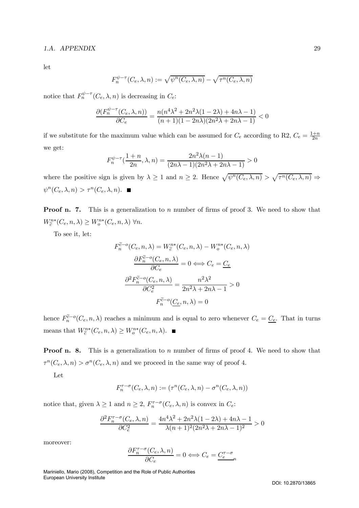# 1.A. APPENDIX 29

let

$$
F_n^{\psi-\tau}(C_e,\lambda,n) := \sqrt{\psi^n(C_e,\lambda,n)} - \sqrt{\tau^n(C_e,\lambda,n)}
$$

notice that  $F_n^{\psi-\tau}(C_e, \lambda, n)$  is decreasing in  $C_e$ :

$$
\frac{\partial (F_n^{\psi-\tau}(C_e,\lambda,n))}{\partial C_e}=\frac{n(n^4\lambda^2+2n^2\lambda(1-2\lambda)+4n\lambda-1)}{(n+1)(1-2n\lambda)(2n^2\lambda+2n\lambda-1)}<0
$$

if we substitute for the maximum value which can be assumed for  $C_e$  according to R2,  $C_e = \frac{1+n}{2n}$ we get:

$$
F_n^{\psi-\tau}(\frac{1+n}{2n}, \lambda, n) = \frac{2n^2\lambda(n-1)}{(2n\lambda-1)(2n^2\lambda+2n\lambda-1)} > 0
$$

where the positive sign is given by  $\lambda \geq 1$  and  $n \geq 2$ . Hence  $\sqrt{\psi^n(C_e, \lambda, n)} > \sqrt{\tau^n(C_e, \lambda, n)} \Rightarrow$  $\psi^n(C_e, \lambda, n) > \tau^n(C_e, \lambda, n).$ 

**Proof n. 7.** This is a generalization to n number of firms of proof 3. We need to show that  $W^{n*}_{\widetilde{c}}(C_e, n, \lambda) \geq W^{n*}_{o}(C_e, n, \lambda) \ \forall n.$ 

To see it, let:

$$
F_n^{\tilde{c}-o}(C_e, n, \lambda) = W_c^{n*}(C_e, n, \lambda) - W_o^{n*}(C_e, n, \lambda)
$$

$$
\frac{\partial F_n^{\tilde{c}-o}(C_e, n, \lambda)}{\partial C_e} = 0 \Longleftrightarrow C_e = \underline{C_e}
$$

$$
\frac{\partial^2 F_n^{\tilde{c}-o}(C_e, n, \lambda)}{\partial C_e^2} = \frac{n^2 \lambda^2}{2n^2 \lambda + 2n \lambda - 1} > 0
$$

$$
F_n^{\tilde{c}-o}(\underline{C_e}, n, \lambda) = 0
$$

hence  $F_n^{\tilde{c}-o}(C_e, n, \lambda)$  reaches a minimum and is equal to zero whenever  $C_e = \underline{C_e}$ . That in turns means that  $W^{n*}_{\tilde{c}}(C_e, n, \lambda) \geq W^{n*}_o(C_e, n, \lambda)$ .

**Proof n. 8.** This is a generalization to n number of firms of proof 4. We need to show that  $\tau^{n}(C_e, \lambda, n) > \sigma^{n}(C_e, \lambda, n)$  and we proceed in the same way of proof 4.

Let

$$
F_n^{\tau-\sigma}(C_e,\lambda,n) := (\tau^n(C_e,\lambda,n) - \sigma^n(C_e,\lambda,n))
$$

notice that, given  $\lambda \geq 1$  and  $n \geq 2$ ,  $F_n^{\tau-\sigma}(C_e, \lambda, n)$  is convex in  $C_e$ :

$$
\frac{\partial^2 F_n^{\tau-\sigma}(C_e, \lambda, n)}{\partial C_e^2} = \frac{4n^4\lambda^2 + 2n^2\lambda(1-2\lambda) + 4n\lambda - 1}{\lambda(n+1)^2(2n^2\lambda + 2n\lambda - 1)^2} > 0
$$

moreover:

$$
\frac{\partial F_n^{\tau-\sigma}(C_e, \lambda, n)}{\partial C_e} = 0 \Longleftrightarrow C_e = \underline{C_e^{\tau-\sigma}}_n
$$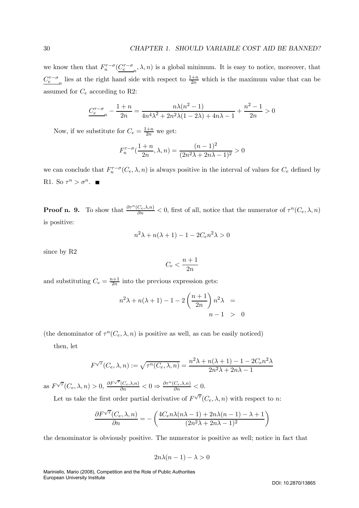we know then that  $F_n^{\tau-\sigma}(\underline{C_e^{\tau-\sigma}}_n, \lambda, n)$  is a global minimum. It is easy to notice, moreover, that  $C_e^{\tau-\sigma}$  lies at the right hand side with respect to  $\frac{1+n}{2n}$  which is the maximum value that can be assumed for  $C_e$  according to R2:

$$
\underbrace{C_e^{\tau-\sigma}}_{n} - \frac{1+n}{2n} = \frac{n\lambda(n^2-1)}{4n^4\lambda^2 + 2n^2\lambda(1-2\lambda) + 4n\lambda - 1} + \frac{n^2-1}{2n} > 0
$$

Now, if we substitute for  $C_e = \frac{1+n}{2n}$  we get:

$$
F_n^{\tau-\sigma}(\frac{1+n}{2n}, \lambda, n) = \frac{(n-1)^2}{(2n^2\lambda+2n\lambda-1)^2} > 0
$$

we can conclude that  $F_n^{\tau-\sigma}(C_e, \lambda, n)$  is always positive in the interval of values for  $C_e$  defined by R1. So  $\tau^n > \sigma^n$ .

**Proof n.** 9. To show that  $\frac{\partial \tau^n(C_e, \lambda, n)}{\partial n} < 0$ , first of all, notice that the numerator of  $\tau^n(C_e, \lambda, n)$ is positive:

$$
n^2\lambda + n(\lambda + 1) - 1 - 2C_e n^2 \lambda > 0
$$

since by R2

$$
C_e<\frac{n+1}{2n}
$$

and substituting  $C_e = \frac{n+1}{2n}$  into the previous expression gets:

$$
n^2\lambda + n(\lambda + 1) - 1 - 2\left(\frac{n+1}{2n}\right)n^2\lambda =
$$
  
 
$$
n - 1 > 0
$$

(the denominator of  $\tau^{n}(C_{e}, \lambda, n)$  is positive as well, as can be easily noticed)

then, let

$$
F^{\sqrt{\tau}}(C_e, \lambda, n) := \sqrt{\tau^n(C_e, \lambda, n)} = \frac{n^2 \lambda + n(\lambda + 1) - 1 - 2C_e n^2 \lambda}{2n^2 \lambda + 2n\lambda - 1}
$$

as  $F^{\sqrt{\tau}}(C_e, \lambda, n) > 0, \frac{\partial F^{\sqrt{\tau}}(C_e, \lambda, n)}{\partial n} < 0 \Rightarrow \frac{\partial \tau^n(C_e, \lambda, n)}{\partial n} < 0.$ 

Let us take the first order partial derivative of  $F^{\sqrt{\tau}}(C_e, \lambda, n)$  with respect to n:

$$
\frac{\partial F^{\sqrt{\tau}}(C_e, \lambda, n)}{\partial n} = -\left(\frac{4C_e n\lambda(n\lambda - 1) + 2n\lambda(n - 1) - \lambda + 1}{(2n^2\lambda + 2n\lambda - 1)^2}\right)
$$

the denominator is obviously positive. The numerator is positive as well; notice in fact that

$$
2n\lambda(n-1) - \lambda > 0
$$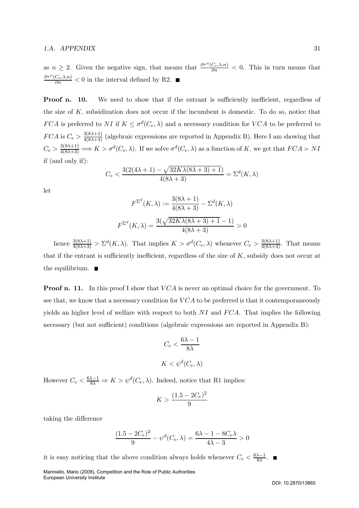as  $n \geq 2$ . Given the negative sign, that means that  $\frac{\partial \tau^n(C_e, \lambda, n)}{\partial n} < 0$ . This in turn means that  $\frac{\partial \tau^n(C_e, \lambda, n)}{\partial n} < 0$  in the interval defined by R2.

**Proof n. 10.** We need to show that if the entrant is sufficiently inefficient, regardless of the size of  $K$ , subsidization does not occur if the incumbent is domestic. To do so, notice that FCA is preferred to NI if  $K \leq \sigma^d(C_e, \lambda)$  and a necessary condition for VCA to be preferred to  $FCA$  is  $C_e > \frac{3(8\lambda+1)}{4(8\lambda+3)}$  (algebraic expressions are reported in Appendix B). Here I am showing that  $C_e > \frac{3(8\lambda+1)}{4(8\lambda+3)} \Longrightarrow K > \sigma^d(C_e, \lambda)$ . If we solve  $\sigma^d(C_e, \lambda)$  as a function of K, we get that  $FCA \succ NI$ if (and only if):

$$
C_e < \frac{3(2(4\lambda + 1) - \sqrt{32K\lambda(8\lambda + 3) + 1})}{4(8\lambda + 3)} = \Sigma^d(K, \lambda)
$$

let

$$
F^{\Sigma^{d}}(K,\lambda) := \frac{3(8\lambda + 1)}{4(8\lambda + 3)} - \Sigma^{d}(K,\lambda)
$$

$$
F^{\Sigma^{d}}(K,\lambda) = \frac{3(\sqrt{32K\lambda(8\lambda + 3) + 1} - 1)}{4(8\lambda + 3)} > 0
$$

hence  $\frac{3(8\lambda+1)}{4(8\lambda+3)} > \Sigma^d(K,\lambda)$ . That implies  $K > \sigma^d(C_e,\lambda)$  whenever  $C_e > \frac{3(8\lambda+1)}{4(8\lambda+3)}$ . That means that if the entrant is sufficiently inefficient, regardless of the size of  $K$ , subsidy does not occur at the equilibrium.  $\blacksquare$ 

**Proof n. 11.** In this proof I show that  $VCA$  is never an optimal choice for the government. To see that, we know that a necessary condition for  $VCA$  to be preferred is that it contemporaneously yields an higher level of welfare with respect to both  $NI$  and  $FCA$ . That implies the following necessary (but not sufficient) conditions (algebraic expressions are reported in Appendix B):

$$
C_e < \frac{6\lambda - 1}{8\lambda}
$$
\n
$$
K < \psi^d(C_e, \lambda)
$$

However  $C_e < \frac{6\lambda - 1}{8\lambda} \Rightarrow K > \psi^d(C_e, \lambda)$ . Indeed, notice that R1 implies:

$$
K > \frac{(1.5 - 2C_e)^2}{9}
$$

taking the difference

$$
\frac{(1.5 - 2C_e)^2}{9} - \psi^d(C_e, \lambda) = \frac{6\lambda - 1 - 8C_e\lambda}{4\lambda - 3} > 0
$$

it is easy noticing that the above condition always holds whenever  $C_e < \frac{6\lambda - 1}{8\lambda}$ .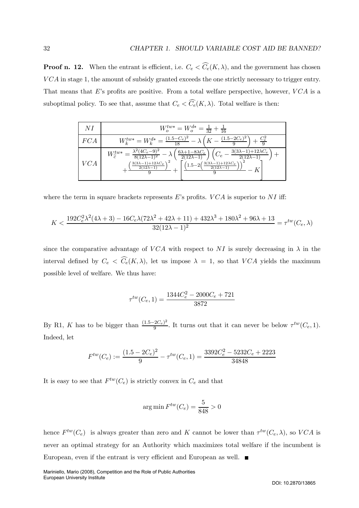**Proof n. 12.** When the entrant is efficient, i.e.  $C_e < C_e(K, \lambda)$ , and the government has chosen VCA in stage 1, the amount of subsidy granted exceeds the one strictly necessary to trigger entry. That means that E's profits are positive. From a total welfare perspective, however,  $VCA$  is a suboptimal policy. To see that, assume that  $C_e < C_e(K, \lambda)$ . Total welfare is then:

| NI         | $W_o^{tw*} = W_o^{d*} = \frac{1}{32} + \frac{1}{16}$                                                                                                                                                                                                                                                                                                                                   |  |
|------------|----------------------------------------------------------------------------------------------------------------------------------------------------------------------------------------------------------------------------------------------------------------------------------------------------------------------------------------------------------------------------------------|--|
| FCA        | $W_k^{tw*} = W_k^{d*} = \frac{(1.5 - C_e)^2}{18} - \lambda \left(K - \frac{(1.5 - 2C_e)^2}{9}\right) + \frac{C_e^2}{9}$                                                                                                                                                                                                                                                                |  |
| <b>VCA</b> | $W_{\widetilde{c}}^{tw*} = \frac{\lambda^2 (4C_e - 9)^2}{8(12\lambda - 1)^2} - \lambda \left( \frac{6\lambda + 1 - 8\lambda C_e}{2(12\lambda - 1)} \right) \left( C_e - \frac{3(3\lambda - 1) + 12\lambda C_e}{2(12\lambda - 1)} \right)$<br>$\frac{(3(3\lambda-1)+12\lambda C_e)}{2}$<br>$(1.5-2\left(\frac{3(3\lambda-1)+12\lambda C_e}{2(12\lambda-1)}\right))$<br>$2(12\lambda-1)$ |  |

where the term in square brackets represents E's profits.  $VCA$  is superior to NI iff:

$$
K < \frac{192C_e^2\lambda^2(4\lambda + 3) - 16C_e\lambda(72\lambda^2 + 42\lambda + 11) + 432\lambda^3 + 180\lambda^2 + 96\lambda + 13}{32(12\lambda - 1)^2} = \tau^{tw}(C_e, \lambda)
$$

since the comparative advantage of VCA with respect to NI is surely decreasing in  $\lambda$  in the interval defined by  $C_e \langle C_e(K,\lambda), \rangle$  let us impose  $\lambda = 1$ , so that  $VCA$  yields the maximum possible level of welfare. We thus have:

$$
\tau^{tw}(C_e, 1) = \frac{1344C_e^2 - 2000C_e + 721}{3872}
$$

By R1, K has to be bigger than  $\frac{(1.5-2C_e)^2}{9}$ . It turns out that it can never be below  $\tau^{tw}(C_e, 1)$ . Indeed, let

$$
F^{tw}(C_e) := \frac{(1.5 - 2C_e)^2}{9} - \tau^{tw}(C_e, 1) = \frac{3392C_e^2 - 5232C_e + 2223}{34848}
$$

It is easy to see that  $F^{tw}(C_e)$  is strictly convex in  $C_e$  and that

$$
\arg\min F^{tw}(C_e) = \frac{5}{848} > 0
$$

hence  $F^{tw}(C_e)$  is always greater than zero and K cannot be lower than  $\tau^{tw}(C_e, \lambda)$ , so VCA is never an optimal strategy for an Authority which maximizes total welfare if the incumbent is European, even if the entrant is very efficient and European as well.  $\blacksquare$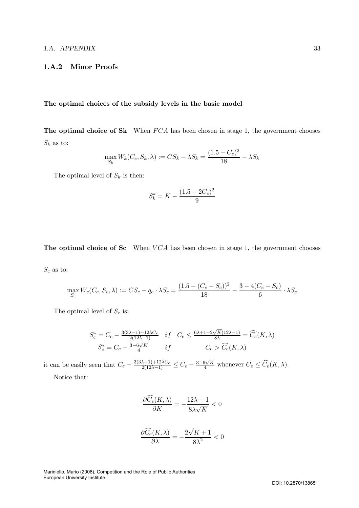## 1.A.2 Minor Proofs

# The optimal choices of the subsidy levels in the basic model

The optimal choice of Sk When  $FCA$  has been chosen in stage 1, the government chooses  $S_k$  as to:

$$
\max_{S_k} W_k(C_e, S_k, \lambda) := CS_k - \lambda S_k = \frac{(1.5 - C_e)^2}{18} - \lambda S_k
$$

The optimal level of  $S_k$  is then:

$$
S_k^* = K - \frac{(1.5 - 2C_e)^2}{9}
$$

The optimal choice of Sc When  $VCA$  has been chosen in stage 1, the government chooses

 $S_c$  as to:

$$
\max_{S_c} W_c(C_e, S_c, \lambda) := CS_c - q_e \cdot \lambda S_c = \frac{(1.5 - (C_e - S_c))^2}{18} - \frac{3 - 4(C_e - S_c)}{6} \cdot \lambda S_c
$$

The optimal level of  $S_c$  is:

$$
S_c^* = C_e - \frac{3(3\lambda - 1) + 12\lambda C_e}{2(12\lambda - 1)} \quad if \quad C_e \le \frac{6\lambda + 1 - 2\sqrt{K}(12\lambda - 1)}{8\lambda} = \widehat{C_e}(K, \lambda)
$$

$$
S_c^* = C_e - \frac{3 - 6\sqrt{K}}{4} \quad if \quad C_e > \widehat{C_e}(K, \lambda)
$$

it can be easily seen that  $C_e - \frac{3(3\lambda - 1) + 12\lambda C_e}{2(12\lambda - 1)} \leq C_e - \frac{3 - 6\sqrt{K}}{4}$  whenever  $C_e \leq \widehat{C}_e(K, \lambda)$ . Notice that:

$$
\frac{\partial \widehat{C}_e(K, \lambda)}{\partial K} = -\frac{12\lambda -1}{8\lambda\sqrt{K}} <
$$

< 0

$$
\frac{\partial \widehat{C}_e(K, \lambda)}{\partial \lambda} = -\frac{2\sqrt{K}+1}{8\lambda^2} < 0
$$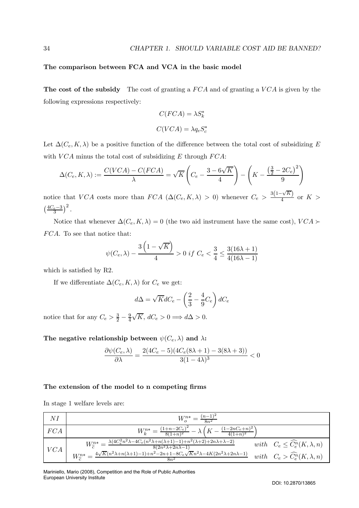## The comparison between FCA and VCA in the basic model

The cost of the subsidy The cost of granting a  $FCA$  and of granting a  $VCA$  is given by the following expressions respectively:

$$
C(FCA) = \lambda S_k^*
$$

$$
C(VCA) = \lambda q_e S_c^*
$$

Let  $\Delta(C_e, K, \lambda)$  be a positive function of the difference between the total cost of subsidizing E with  $VCA$  minus the total cost of subsidizing E through  $FCA$ :

$$
\Delta(C_e, K, \lambda) := \frac{C(VCA) - C(FCA)}{\lambda} = \sqrt{K} \left( C_e - \frac{3 - 6\sqrt{K}}{4} \right) - \left( K - \frac{\left(\frac{3}{2} - 2C_e\right)^2}{9} \right)
$$

notice that VCA costs more than  $FCA \ (\Delta(C_e, K, \lambda) > 0)$  whenever  $C_e > \frac{3(1-\sqrt{K})}{4}$  $\frac{\sqrt{H}}{4}$  or  $K >$  $\left(\frac{4C_e-3}{3}\right)^2$ .

Notice that whenever  $\Delta(C_e, K, \lambda) = 0$  (the two aid instrument have the same cost),  $VCA \succ$ FCA. To see that notice that:

$$
\psi(C_e, \lambda) - \frac{3\left(1 - \sqrt{K}\right)}{4} > 0 \text{ if } C_e < \frac{3}{4} \le \frac{3(16\lambda + 1)}{4(16\lambda - 1)}
$$

which is satisfied by R2.

If we differentiate  $\Delta(C_e, K, \lambda)$  for  $C_e$  we get:

$$
d\Delta = \sqrt{K}dC_e - \left(\frac{2}{3} - \frac{4}{9}C_e\right)dC_e
$$

notice that for any  $C_e > \frac{3}{2} - \frac{9}{4}$  $\sqrt{K}$ ,  $dC_e > 0 \Longrightarrow d\Delta > 0$ .

The negative relationship between  $\psi(C_e, \lambda)$  and  $\lambda$ :

$$
\frac{\partial \psi(C_e, \lambda)}{\partial \lambda} = \frac{2(4C_e - 5)(4C_e(8\lambda + 1) - 3(8\lambda + 3))}{3(1 - 4\lambda)^3} < 0
$$

## The extension of the model to n competing firms

In stage 1 welfare levels are:

| NI  | $W_0^{n*} = \frac{(n-1)^2}{8n^2}$                                                                                                                                                 |                                                |
|-----|-----------------------------------------------------------------------------------------------------------------------------------------------------------------------------------|------------------------------------------------|
| FCA | $W_k^{n*} = \frac{(1+n-2C_e)^2}{8(1+n)^2} - \lambda \left( K - \frac{(1-2nC_e+n)^2}{4(1+n)^2} \right)$                                                                            |                                                |
| VCA | $W_{\tilde{c}}^{n*} = \frac{\lambda (4C_e^2 n^2 \lambda - 4C_e(n^2 \lambda + n(\lambda + 1) - 1) + n^2(\lambda + 2) + 2n\lambda + \lambda - 2)}{8(2n^2 \lambda + 2n\lambda - 1)}$ | with $C_e \leq \widehat{C_e^n}(K, \lambda, n)$ |
|     | $W_{\odot}^{n*} = \frac{4\sqrt{K}(n^2\lambda + n(\lambda+1)-1) + n^2 - 2n + 1 - 8C_e\sqrt{K}n^2\lambda - 4K(2n^2\lambda + 2n\lambda - 1)}{2}$                                     | with $C_e > \widehat{C_e^n}(K, \lambda, n)$    |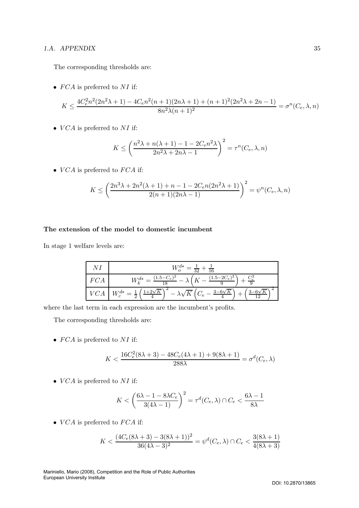## 1.A. APPENDIX 35

The corresponding thresholds are:

•  $FCA$  is preferred to  $NI$  if:

$$
K \le \frac{4C_e^2 n^2 (2n^2 \lambda + 1) - 4C_e n^2 (n+1)(2n \lambda + 1) + (n+1)^2 (2n^2 \lambda + 2n - 1)}{8n^2 \lambda (n+1)^2} = \sigma^n(C_e, \lambda, n)
$$

•  $VCA$  is preferred to  $NI$  if:

$$
K \le \left(\frac{n^2\lambda + n(\lambda + 1) - 1 - 2C_e n^2\lambda}{2n^2\lambda + 2n\lambda - 1}\right)^2 = \tau^n(C_e, \lambda, n)
$$

•  $VCA$  is preferred to  $FCA$  if:

$$
K \le \left(\frac{2n^3\lambda + 2n^2(\lambda + 1) + n - 1 - 2C_e n(2n^2\lambda + 1)}{2(n+1)(2n\lambda - 1)}\right)^2 = \psi^n(C_e, \lambda, n)
$$

## The extension of the model to domestic incumbent

In stage 1 welfare levels are:

|     | $W_o^{d*} = \frac{1}{32} + \frac{1}{16}$                                                                                                                             |
|-----|----------------------------------------------------------------------------------------------------------------------------------------------------------------------|
| FCA | $W_k^{d*} = \frac{(1.5 - C_e)^2}{18} - \lambda \left(K - \frac{(1.5 - 2C_e)^2}{9}\right) + \frac{C_e^2}{9}$                                                          |
|     | $VCA\mid W_c^{d*} = \frac{1}{2}\left(\frac{1+2\sqrt{K}}{4}\right)^2 - \lambda\sqrt{K}\left(C_e - \frac{3-6\sqrt{K}}{4}\right) + \left(\frac{3-6\sqrt{K}}{12}\right)$ |

where the last term in each expression are the incumbent's profits.

The corresponding thresholds are:

•  $FCA$  is preferred to NI if:

$$
K<\frac{16C^2_e(8\lambda+3)-48C_e(4\lambda+1)+9(8\lambda+1)}{288\lambda}=\sigma^d(C_e,\lambda)
$$

•  $VCA$  is preferred to  $NI$  if:

$$
K < \left(\frac{6\lambda - 1 - 8\lambda C_e}{3(4\lambda - 1)}\right)^2 = \tau^d(C_e, \lambda) \cap C_e < \frac{6\lambda - 1}{8\lambda}
$$

•  $VCA$  is preferred to  $FCA$  if:

$$
K < \frac{(4C_e(8\lambda + 3) - 3(8\lambda + 1))^2}{36(4\lambda - 3)^2} = \psi^d(C_e, \lambda) \cap C_e < \frac{3(8\lambda + 1)}{4(8\lambda + 3)}
$$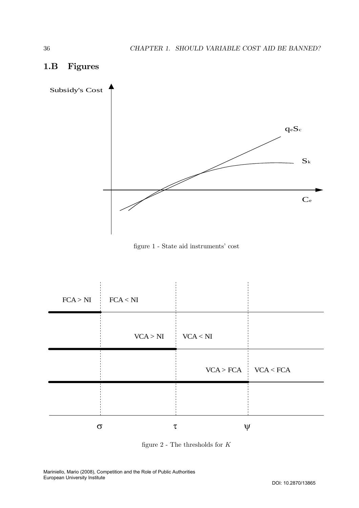

# 1.B Figures





figure  $2$  - The thresholds for  $K$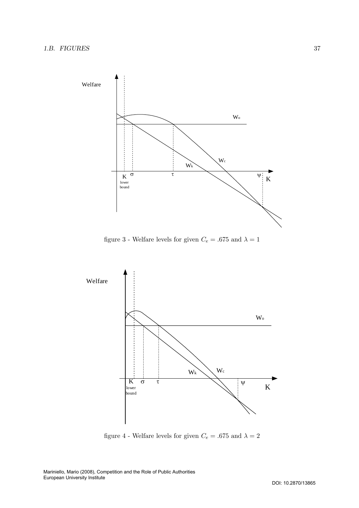

figure 3 - Welfare levels for given  $C_e =$  .675 and  $\lambda = 1$ 



figure 4 - Welfare levels for given  $C_e =$  .675 and  $\lambda = 2$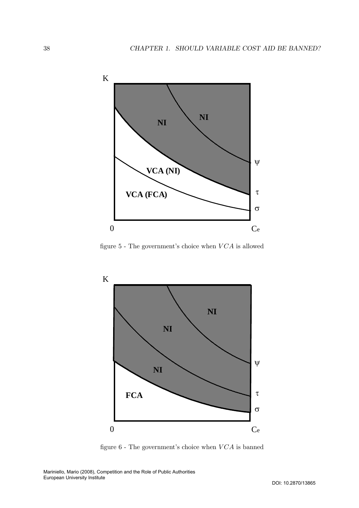

figure  $5$  - The government's choice when  $VCA$  is allowed



figure  $6$  - The government's choice when  $VCA$  is banned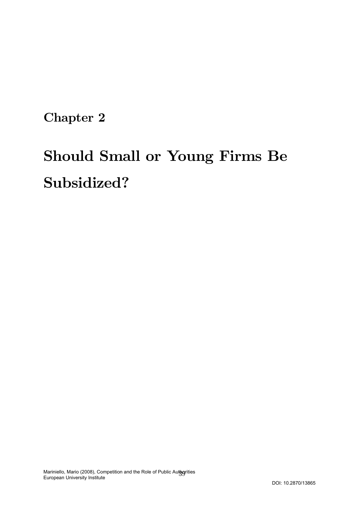Chapter 2

# Should Small or Young Firms Be Subsidized?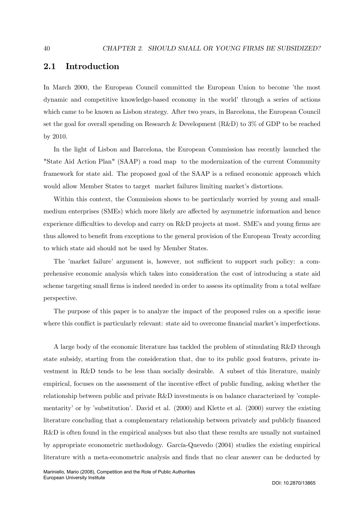# 2.1 Introduction

In March 2000, the European Council committed the European Union to become 'the most dynamic and competitive knowledge-based economy in the world' through a series of actions which came to be known as Lisbon strategy. After two years, in Barcelona, the European Council set the goal for overall spending on Research & Development (R&D) to 3% of GDP to be reached by 2010.

In the light of Lisbon and Barcelona, the European Commission has recently launched the "State Aid Action Plan" (SAAP) a road map to the modernization of the current Community framework for state aid. The proposed goal of the SAAP is a refined economic approach which would allow Member States to target market failures limiting market's distortions.

Within this context, the Commission shows to be particularly worried by young and smallmedium enterprises (SMEs) which more likely are affected by asymmetric information and hence experience difficulties to develop and carry on R&D projects at most. SME's and young firms are thus allowed to benefit from exceptions to the general provision of the European Treaty according to which state aid should not be used by Member States.

The 'market failure' argument is, however, not sufficient to support such policy: a comprehensive economic analysis which takes into consideration the cost of introducing a state aid scheme targeting small firms is indeed needed in order to assess its optimality from a total welfare perspective.

The purpose of this paper is to analyze the impact of the proposed rules on a specific issue where this conflict is particularly relevant: state aid to overcome financial market's imperfections.

A large body of the economic literature has tackled the problem of stimulating R&D through state subsidy, starting from the consideration that, due to its public good features, private investment in R&D tends to be less than socially desirable. A subset of this literature, mainly empirical, focuses on the assessment of the incentive effect of public funding, asking whether the relationship between public and private R&D investments is on balance characterized by 'complementarity' or by 'substitution'. David et al. (2000) and Klette et al. (2000) survey the existing literature concluding that a complementary relationship between privately and publicly financed R&D is often found in the empirical analyses but also that these results are usually not sustained by appropriate econometric methodology. García-Quevedo (2004) studies the existing empirical literature with a meta-econometric analysis and finds that no clear answer can be deducted by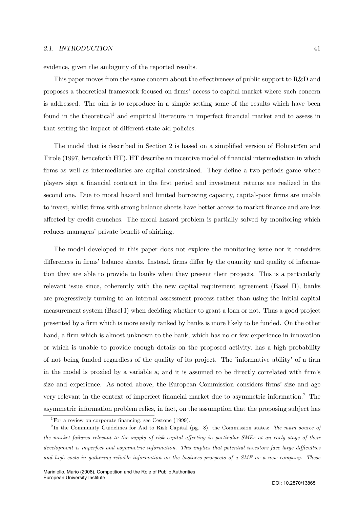#### 2.1. INTRODUCTION 41

evidence, given the ambiguity of the reported results.

This paper moves from the same concern about the effectiveness of public support to R&D and proposes a theoretical framework focused on firms' access to capital market where such concern is addressed. The aim is to reproduce in a simple setting some of the results which have been found in the theoretical<sup>1</sup> and empirical literature in imperfect financial market and to assess in that setting the impact of different state aid policies.

The model that is described in Section 2 is based on a simplified version of Holmström and Tirole (1997, henceforth HT). HT describe an incentive model of financial intermediation in which firms as well as intermediaries are capital constrained. They define a two periods game where players sign a financial contract in the first period and investment returns are realized in the second one. Due to moral hazard and limited borrowing capacity, capital-poor firms are unable to invest, whilst firms with strong balance sheets have better access to market finance and are less affected by credit crunches. The moral hazard problem is partially solved by monitoring which reduces managers' private benefit of shirking.

The model developed in this paper does not explore the monitoring issue nor it considers differences in firms' balance sheets. Instead, firms differ by the quantity and quality of information they are able to provide to banks when they present their projects. This is a particularly relevant issue since, coherently with the new capital requirement agreement (Basel II), banks are progressively turning to an internal assessment process rather than using the initial capital measurement system (Basel I) when deciding whether to grant a loan or not. Thus a good project presented by a firm which is more easily ranked by banks is more likely to be funded. On the other hand, a firm which is almost unknown to the bank, which has no or few experience in innovation or which is unable to provide enough details on the proposed activity, has a high probability of not being funded regardless of the quality of its project. The 'informative ability' of a firm in the model is proxied by a variable  $s_i$  and it is assumed to be directly correlated with firm's size and experience. As noted above, the European Commission considers firms' size and age very relevant in the context of imperfect financial market due to asymmetric information.2 The asymmetric information problem relies, in fact, on the assumption that the proposing subject has

<sup>&</sup>lt;sup>1</sup>For a review on corporate financing, see Cestone (1999).

<sup>&</sup>lt;sup>2</sup>In the Community Guidelines for Aid to Risk Capital (pg. 8), the Commission states: 'the main source of the market failures relevant to the supply of risk capital affecting in particular SMEs at an early stage of their development is imperfect and asymmetric information. This implies that potential investors face large difficulties and high costs in gathering reliable information on the business prospects of a SME or a new company. These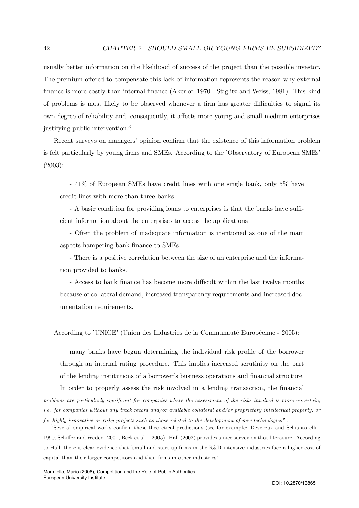usually better information on the likelihood of success of the project than the possible investor. The premium offered to compensate this lack of information represents the reason why external finance is more costly than internal finance (Akerlof, 1970 - Stiglitz and Weiss, 1981). This kind of problems is most likely to be observed whenever a firm has greater difficulties to signal its own degree of reliability and, consequently, it affects more young and small-medium enterprises justifying public intervention.3

Recent surveys on managers' opinion confirm that the existence of this information problem is felt particularly by young firms and SMEs. According to the 'Observatory of European SMEs' (2003):

- 41% of European SMEs have credit lines with one single bank, only 5% have credit lines with more than three banks

- A basic condition for providing loans to enterprises is that the banks have sufficient information about the enterprises to access the applications

- Often the problem of inadequate information is mentioned as one of the main aspects hampering bank finance to SMEs.

- There is a positive correlation between the size of an enterprise and the information provided to banks.

- Access to bank finance has become more difficult within the last twelve months because of collateral demand, increased transparency requirements and increased documentation requirements.

According to 'UNICE' (Union des Industries de la Communauté Européenne - 2005):

many banks have begun determining the individual risk profile of the borrower through an internal rating procedure. This implies increased scrutinity on the part of the lending institutions of a borrower's business operations and financial structure.

In order to properly assess the risk involved in a lending transaction, the financial

problems are particularly significant for companies where the assessment of the risks involved is more uncertain, i.e. for companies without any track record and/or available collateral and/or proprietary intellectual property, or for highly innovative or risky projects such as those related to the development of new technologies" .

<sup>3</sup>Several empirical works confirm these theoretical predictions (see for example: Devereux and Schiantarelli - 1990, Schiffer and Weder - 2001, Beck et al. - 2005). Hall (2002) provides a nice survey on that literature. According to Hall, there is clear evidence that 'small and start-up firms in the R&D-intensive industries face a higher cost of capital than their larger competitors and than firms in other industries'.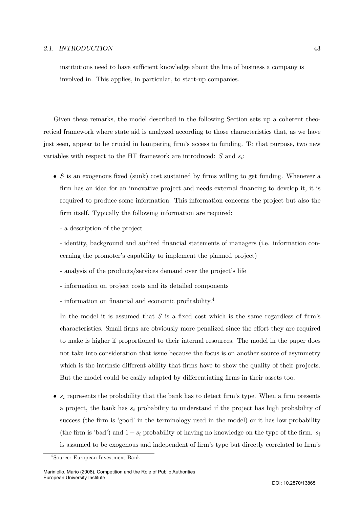#### 2.1. INTRODUCTION 43

institutions need to have sufficient knowledge about the line of business a company is involved in. This applies, in particular, to start-up companies.

Given these remarks, the model described in the following Section sets up a coherent theoretical framework where state aid is analyzed according to those characteristics that, as we have just seen, appear to be crucial in hampering firm's access to funding. To that purpose, two new variables with respect to the HT framework are introduced:  $S$  and  $s_i$ :

- $S$  is an exogenous fixed (sunk) cost sustained by firms willing to get funding. Whenever a firm has an idea for an innovative project and needs external financing to develop it, it is required to produce some information. This information concerns the project but also the firm itself. Typically the following information are required:
	- a description of the project

- identity, background and audited financial statements of managers (i.e. information concerning the promoter's capability to implement the planned project)

- analysis of the products/services demand over the project's life
- information on project costs and its detailed components
- information on financial and economic profitability.<sup>4</sup>

In the model it is assumed that  $S$  is a fixed cost which is the same regardless of firm's characteristics. Small firms are obviously more penalized since the effort they are required to make is higher if proportioned to their internal resources. The model in the paper does not take into consideration that issue because the focus is on another source of asymmetry which is the intrinsic different ability that firms have to show the quality of their projects. But the model could be easily adapted by differentiating firms in their assets too.

•  $s_i$  represents the probability that the bank has to detect firm's type. When a firm presents a project, the bank has  $s_i$  probability to understand if the project has high probability of success (the firm is 'good' in the terminology used in the model) or it has low probability (the firm is 'bad') and  $1 - s_i$  probability of having no knowledge on the type of the firm.  $s_i$ is assumed to be exogenous and independent of firm's type but directly correlated to firm's

<sup>4</sup>Source: European Investment Bank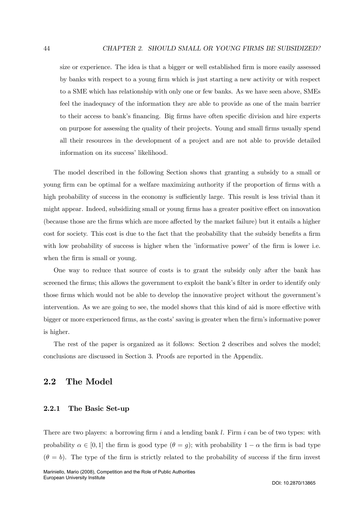size or experience. The idea is that a bigger or well established firm is more easily assessed by banks with respect to a young firm which is just starting a new activity or with respect to a SME which has relationship with only one or few banks. As we have seen above, SMEs feel the inadequacy of the information they are able to provide as one of the main barrier to their access to bank's financing. Big firms have often specific division and hire experts on purpose for assessing the quality of their projects. Young and small firms usually spend all their resources in the development of a project and are not able to provide detailed information on its success' likelihood.

The model described in the following Section shows that granting a subsidy to a small or young firm can be optimal for a welfare maximizing authority if the proportion of firms with a high probability of success in the economy is sufficiently large. This result is less trivial than it might appear. Indeed, subsidizing small or young firms has a greater positive effect on innovation (because those are the firms which are more affected by the market failure) but it entails a higher cost for society. This cost is due to the fact that the probability that the subsidy benefits a firm with low probability of success is higher when the 'informative power' of the firm is lower i.e. when the firm is small or young.

One way to reduce that source of costs is to grant the subsidy only after the bank has screened the firms; this allows the government to exploit the bank's filter in order to identify only those firms which would not be able to develop the innovative project without the government's intervention. As we are going to see, the model shows that this kind of aid is more effective with bigger or more experienced firms, as the costs' saving is greater when the firm's informative power is higher.

The rest of the paper is organized as it follows: Section 2 describes and solves the model; conclusions are discussed in Section 3. Proofs are reported in the Appendix.

# 2.2 The Model

# 2.2.1 The Basic Set-up

There are two players: a borrowing firm i and a lending bank l. Firm i can be of two types: with probability  $\alpha \in [0,1]$  the firm is good type  $(\theta = g)$ ; with probability  $1 - \alpha$  the firm is bad type  $(\theta = b)$ . The type of the firm is strictly related to the probability of success if the firm invest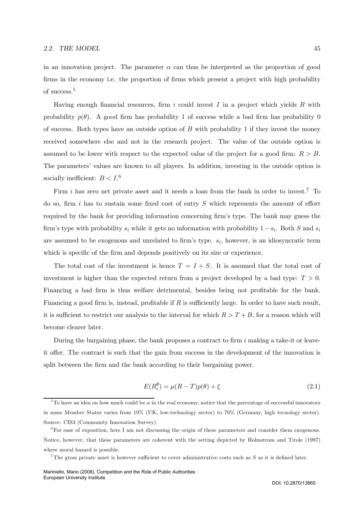in an innovation project. The parameter  $\alpha$  can thus be interpreted as the proportion of good firms in the economy i.e. the proportion of firms which present a project with high probability of success.<sup>5</sup>

Having enough financial resources, firm i could invest I in a project which yields R with probability  $p(\theta)$ . A good firm has probability 1 of success while a bad firm has probability 0 of success. Both types have an outside option of  $B$  with probability 1 if they invest the money received somewhere else and not in the research project. The value of the outside option is assumed to be lower with respect to the expected value of the project for a good firm:  $R > B$ . The parameters' values are known to all players. In addition, investing in the outside option is socially inefficient:  $B < I$ .<sup>6</sup>

Firm i has zero net private asset and it needs a loan from the bank in order to invest.<sup>7</sup> To do so, firm  $i$  has to sustain some fixed cost of entry  $S$  which represents the amount of effort required by the bank for providing information concerning firm's type. The bank may guess the firm's type with probability  $s_i$  while it gets no information with probability  $1-s_i$ . Both S and  $s_i$ are assumed to be exogenous and unrelated to firm's type.  $s_i$ , however, is an idiosyncratic term which is specific of the firm and depends positively on its size or experience.

The total cost of the investment is hence  $T = I + S$ . It is assumed that the total cost of investment is higher than the expected return from a project developed by a bad type:  $T > 0$ . Financing a bad firm is thus welfare detrimental, besides being not profitable for the bank. Financing a good firm is, instead, profitable if  $R$  is sufficiently large. In order to have such result, it is sufficient to restrict our analysis to the interval for which  $R>T+B$ , for a reason which will become clearer later.

During the bargaining phase, the bank proposes a contract to firm  $i$  making a take-it or leaveit offer. The contract is such that the gain from success in the development of the innovation is split between the firm and the bank according to their bargaining power.

$$
E(R_i^{\theta}) = \mu(R - T)p(\theta) + \xi
$$
\n(2.1)

<sup>&</sup>lt;sup>5</sup>To have an idea on how much could be  $\alpha$  in the real economy, notice that the percentage of successful innovators in some Member States varies from 19% (UK, low-technology sector) to 70% (Germany, high tecnology sector). Source: CIS3 (Community Innovation Survey).

<sup>&</sup>lt;sup>6</sup>For ease of exposition, here I am not discussing the origin of these parameters and consider them exogenous. Notice, however, that these parameters are coherent with the setting depicted by Holmstrom and Tirole (1997) where moral hazard is possible.

<sup>&</sup>lt;sup>7</sup>The gross private asset is however sufficient to cover administrative costs such as  $S$  as it is defined later.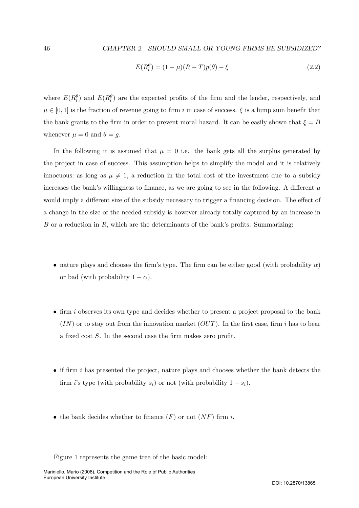$$
E(R_l^{\theta}) = (1 - \mu)(R - T)p(\theta) - \xi
$$
\n(2.2)

where  $E(R_i^{\theta})$  and  $E(R_l^{\theta})$  are the expected profits of the firm and the lender, respectively, and  $\mu \in [0,1]$  is the fraction of revenue going to firm i in case of success.  $\xi$  is a lump sum benefit that the bank grants to the firm in order to prevent moral hazard. It can be easily shown that  $\xi = B$ whenever  $\mu = 0$  and  $\theta = g$ .

In the following it is assumed that  $\mu = 0$  i.e. the bank gets all the surplus generated by the project in case of success. This assumption helps to simplify the model and it is relatively innocuous: as long as  $\mu \neq 1$ , a reduction in the total cost of the investment due to a subsidy increases the bank's willingness to finance, as we are going to see in the following. A different  $\mu$ would imply a different size of the subsidy necessary to trigger a financing decision. The effect of a change in the size of the needed subsidy is however already totally captured by an increase in  $B$  or a reduction in  $R$ , which are the determinants of the bank's profits. Summarizing:

- nature plays and chooses the firm's type. The firm can be either good (with probability  $\alpha$ ) or bad (with probability  $1 - \alpha$ ).
- firm i observes its own type and decides whether to present a project proposal to the bank  $(IN)$  or to stay out from the innovation market  $(OUT)$ . In the first case, firm i has to bear a fixed cost S. In the second case the firm makes zero profit.
- $\bullet$  if firm i has presented the project, nature plays and chooses whether the bank detects the firm i's type (with probability  $s_i$ ) or not (with probability  $1 - s_i$ ).
- the bank decides whether to finance  $(F)$  or not  $(NF)$  firm i.

Figure 1 represents the game tree of the basic model: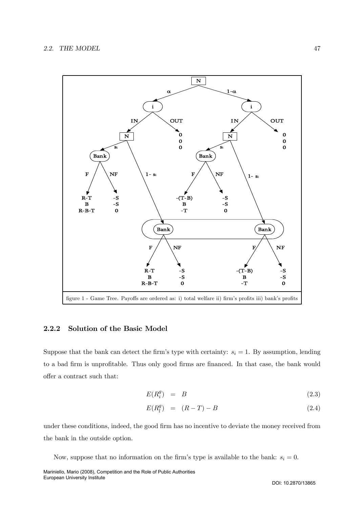

# 2.2.2 Solution of the Basic Model

Suppose that the bank can detect the firm's type with certainty:  $s_i = 1$ . By assumption, lending to a bad firm is unprofitable. Thus only good firms are financed. In that case, the bank would offer a contract such that:

$$
E(R_i^g) = B \tag{2.3}
$$

$$
E(R_l^g) = (R - T) - B \tag{2.4}
$$

under these conditions, indeed, the good firm has no incentive to deviate the money received from the bank in the outside option.

Now, suppose that no information on the firm's type is available to the bank:  $s_i = 0$ .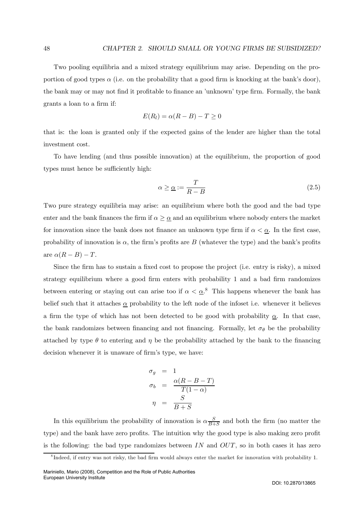Two pooling equilibria and a mixed strategy equilibrium may arise. Depending on the proportion of good types  $\alpha$  (i.e. on the probability that a good firm is knocking at the bank's door), the bank may or may not find it profitable to finance an 'unknown' type firm. Formally, the bank grants a loan to a firm if:

$$
E(R_l) = \alpha(R - B) - T \ge 0
$$

that is: the loan is granted only if the expected gains of the lender are higher than the total investment cost.

To have lending (and thus possible innovation) at the equilibrium, the proportion of good types must hence be sufficiently high:

$$
\alpha \geq \underline{\alpha} := \frac{T}{R - B} \tag{2.5}
$$

Two pure strategy equilibria may arise: an equilibrium where both the good and the bad type enter and the bank finances the firm if  $\alpha \geq \alpha$  and an equilibrium where nobody enters the market for innovation since the bank does not finance an unknown type firm if  $\alpha < \underline{\alpha}$ . In the first case, probability of innovation is  $\alpha$ , the firm's profits are B (whatever the type) and the bank's profits are  $\alpha(R - B) - T$ .

Since the firm has to sustain a fixed cost to propose the project (i.e. entry is risky), a mixed strategy equilibrium where a good firm enters with probability 1 and a bad firm randomizes between entering or staying out can arise too if  $\alpha < \underline{\alpha}$ .<sup>8</sup> This happens whenever the bank has belief such that it attaches  $\alpha$  probability to the left node of the infoset i.e. whenever it believes a firm the type of which has not been detected to be good with probability  $\alpha$ . In that case, the bank randomizes between financing and not financing. Formally, let  $\sigma_{\theta}$  be the probability attached by type  $\theta$  to entering and  $\eta$  be the probability attached by the bank to the financing decision whenever it is unaware of firm's type, we have:

$$
\begin{array}{rcl}\n\sigma_g &=& 1 \\
\sigma_b &=& \frac{\alpha (R - B - T)}{T(1 - \alpha)} \\
\eta &=& \frac{S}{B + S}\n\end{array}
$$

In this equilibrium the probability of innovation is  $\alpha \frac{S}{B+S}$  and both the firm (no matter the type) and the bank have zero profits. The intuition why the good type is also making zero profit is the following: the bad type randomizes between  $IN$  and  $OUT$ , so in both cases it has zero

<sup>&</sup>lt;sup>8</sup>Indeed, if entry was not risky, the bad firm would always enter the market for innovation with probability 1.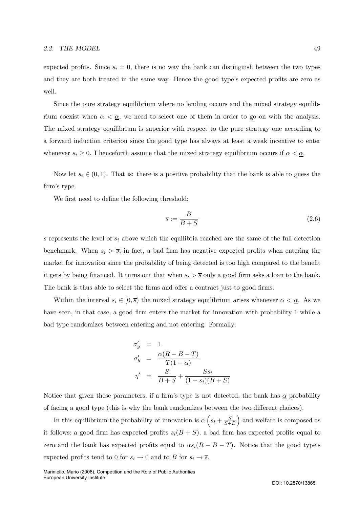expected profits. Since  $s_i = 0$ , there is no way the bank can distinguish between the two types and they are both treated in the same way. Hence the good type's expected profits are zero as well.

Since the pure strategy equilibrium where no lending occurs and the mixed strategy equilibrium coexist when  $\alpha < \underline{\alpha}$ , we need to select one of them in order to go on with the analysis. The mixed strategy equilibrium is superior with respect to the pure strategy one according to a forward induction criterion since the good type has always at least a weak incentive to enter whenever  $s_i \geq 0$ . I henceforth assume that the mixed strategy equilibrium occurs if  $\alpha < \underline{\alpha}$ .

Now let  $s_i \in (0,1)$ . That is: there is a positive probability that the bank is able to guess the firm's type.

We first need to define the following threshold:

$$
\overline{s} := \frac{B}{B+S} \tag{2.6}
$$

 $\overline{s}$  represents the level of  $s_i$  above which the equilibria reached are the same of the full detection benchmark. When  $s_i > \overline{s}$ , in fact, a bad firm has negative expected profits when entering the market for innovation since the probability of being detected is too high compared to the benefit it gets by being financed. It turns out that when  $s_i > \overline{s}$  only a good firm asks a loan to the bank. The bank is thus able to select the firms and offer a contract just to good firms.

Within the interval  $s_i \in [0, \overline{s})$  the mixed strategy equilibrium arises whenever  $\alpha < \underline{\alpha}$ . As we have seen, in that case, a good firm enters the market for innovation with probability 1 while a bad type randomizes between entering and not entering. Formally:

$$
\sigma'_{g} = 1
$$
  
\n
$$
\sigma'_{b} = \frac{\alpha(R - B - T)}{T(1 - \alpha)}
$$
  
\n
$$
\eta' = \frac{S}{B + S} + \frac{S s_{i}}{(1 - s_{i})(B + S)}
$$

Notice that given these parameters, if a firm's type is not detected, the bank has  $\alpha$  probability of facing a good type (this is why the bank randomizes between the two different choices).

In this equilibrium the probability of innovation is  $\alpha \left(s_i + \frac{S}{S+B}\right)$ ) and welfare is composed as it follows: a good firm has expected profits  $s_i(B + S)$ , a bad firm has expected profits equal to zero and the bank has expected profits equal to  $\alpha s_i(R - B - T)$ . Notice that the good type's expected profits tend to 0 for  $s_i \to 0$  and to B for  $s_i \to \overline{s}$ .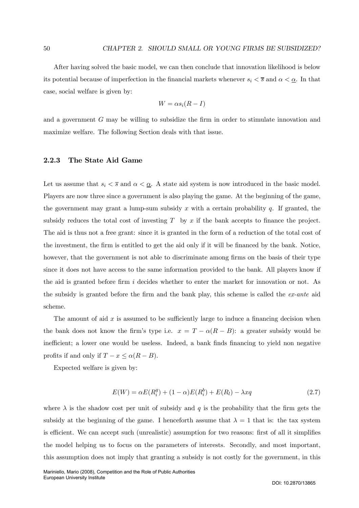After having solved the basic model, we can then conclude that innovation likelihood is below its potential because of imperfection in the financial markets whenever  $s_i < \overline{s}$  and  $\alpha < \underline{\alpha}$ . In that case, social welfare is given by:

$$
W = \alpha s_i (R - I)
$$

and a government G may be willing to subsidize the firm in order to stimulate innovation and maximize welfare. The following Section deals with that issue.

## 2.2.3 The State Aid Game

Let us assume that  $s_i < \overline{s}$  and  $\alpha < \underline{\alpha}$ . A state aid system is now introduced in the basic model. Players are now three since a government is also playing the game. At the beginning of the game, the government may grant a lump-sum subsidy x with a certain probability q. If granted, the subsidy reduces the total cost of investing  $T$  by  $x$  if the bank accepts to finance the project. The aid is thus not a free grant: since it is granted in the form of a reduction of the total cost of the investment, the firm is entitled to get the aid only if it will be financed by the bank. Notice, however, that the government is not able to discriminate among firms on the basis of their type since it does not have access to the same information provided to the bank. All players know if the aid is granted before firm i decides whether to enter the market for innovation or not. As the subsidy is granted before the firm and the bank play, this scheme is called the  $ex\text{-}ante$  aid scheme.

The amount of aid  $x$  is assumed to be sufficiently large to induce a financing decision when the bank does not know the firm's type i.e.  $x = T - \alpha(R - B)$ : a greater subsidy would be inefficient; a lower one would be useless. Indeed, a bank finds financing to yield non negative profits if and only if  $T - x \leq \alpha (R - B)$ .

Expected welfare is given by:

$$
E(W) = \alpha E(R_i^g) + (1 - \alpha)E(R_i^b) + E(R_l) - \lambda xq
$$
\n(2.7)

where  $\lambda$  is the shadow cost per unit of subsidy and q is the probability that the firm gets the subsidy at the beginning of the game. I henceforth assume that  $\lambda = 1$  that is: the tax system is efficient. We can accept such (unrealistic) assumption for two reasons: first of all it simplifies the model helping us to focus on the parameters of interests. Secondly, and most important, this assumption does not imply that granting a subsidy is not costly for the government, in this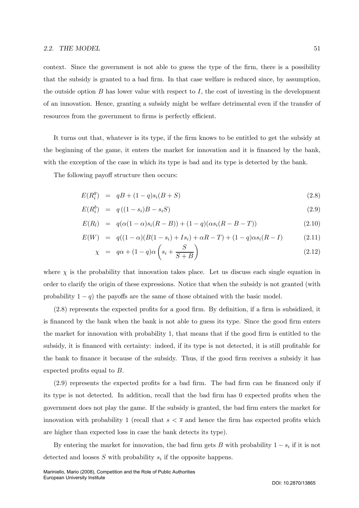#### 2.2. THE MODEL  $51$

context. Since the government is not able to guess the type of the firm, there is a possibility that the subsidy is granted to a bad firm. In that case welfare is reduced since, by assumption, the outside option  $B$  has lower value with respect to  $I$ , the cost of investing in the development of an innovation. Hence, granting a subsidy might be welfare detrimental even if the transfer of resources from the government to firms is perfectly efficient.

It turns out that, whatever is its type, if the firm knows to be entitled to get the subsidy at the beginning of the game, it enters the market for innovation and it is financed by the bank, with the exception of the case in which its type is bad and its type is detected by the bank.

The following payoff structure then occurs:

$$
E(R_i^g) = qB + (1-q)s_i(B+S)
$$
\n(2.8)

$$
E(R_i^b) = q((1 - s_i)B - s_iS) \tag{2.9}
$$

$$
E(R_l) = q(\alpha(1-\alpha)s_i(R-B)) + (1-q)(\alpha s_i(R-B-T))
$$
\n(2.10)

$$
E(W) = q((1 - \alpha)(B(1 - s_i) + Is_i) + \alpha R - T) + (1 - q)\alpha s_i(R - I)
$$
\n(2.11)

$$
\chi = q\alpha + (1-q)\alpha \left(s_i + \frac{S}{S+B}\right) \tag{2.12}
$$

where  $\chi$  is the probability that innovation takes place. Let us discuss each single equation in order to clarify the origin of these expressions. Notice that when the subsidy is not granted (with probability  $1 - q$ ) the payoffs are the same of those obtained with the basic model.

(2.8) represents the expected profits for a good firm. By definition, if a firm is subsidized, it is financed by the bank when the bank is not able to guess its type. Since the good firm enters the market for innovation with probability 1, that means that if the good firm is entitled to the subsidy, it is financed with certainty: indeed, if its type is not detected, it is still profitable for the bank to finance it because of the subsidy. Thus, if the good firm receives a subsidy it has expected profits equal to B.

(2.9) represents the expected profits for a bad firm. The bad firm can be financed only if its type is not detected. In addition, recall that the bad firm has 0 expected profits when the government does not play the game. If the subsidy is granted, the bad firm enters the market for innovation with probability 1 (recall that  $s < \overline{s}$  and hence the firm has expected profits which are higher than expected loss in case the bank detects its type).

By entering the market for innovation, the bad firm gets B with probability  $1 - s_i$  if it is not detected and looses  $S$  with probability  $s_i$  if the opposite happens.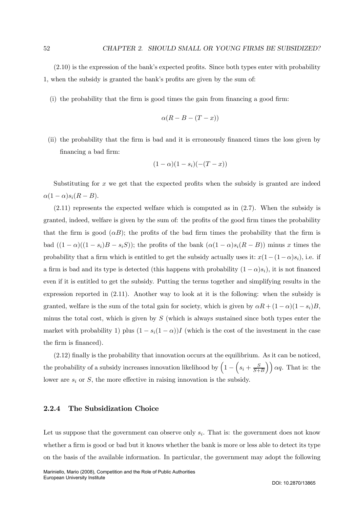(2.10) is the expression of the bank's expected profits. Since both types enter with probability 1, when the subsidy is granted the bank's profits are given by the sum of:

(i) the probability that the firm is good times the gain from financing a good firm:

$$
\alpha(R - B - (T - x))
$$

(ii) the probability that the firm is bad and it is erroneously financed times the loss given by financing a bad firm:

$$
(1-\alpha)(1-s_i)(-(T-x))
$$

Substituting for  $x$  we get that the expected profits when the subsidy is granted are indeed  $\alpha(1-\alpha)s_i(R-B).$ 

(2.11) represents the expected welfare which is computed as in (2.7). When the subsidy is granted, indeed, welfare is given by the sum of: the profits of the good firm times the probability that the firm is good  $(\alpha B)$ ; the profits of the bad firm times the probability that the firm is bad  $((1 - \alpha)((1 - s_i)B - s_iS))$ ; the profits of the bank  $(\alpha(1 - \alpha)s_i(R - B))$  minus x times the probability that a firm which is entitled to get the subsidy actually uses it:  $x(1-(1-\alpha)s_i)$ , i.e. if a firm is bad and its type is detected (this happens with probability  $(1 - \alpha)s_i$ ), it is not financed even if it is entitled to get the subsidy. Putting the terms together and simplifying results in the expression reported in (2.11). Another way to look at it is the following: when the subsidy is granted, welfare is the sum of the total gain for society, which is given by  $\alpha R + (1 - \alpha)(1 - s_i)B$ , minus the total cost, which is given by  $S$  (which is always sustained since both types enter the market with probability 1) plus  $(1 - s_i(1 - \alpha))I$  (which is the cost of the investment in the case the firm is financed).

(2.12) finally is the probability that innovation occurs at the equilibrium. As it can be noticed, the probability of a subsidy increases innovation likelihood by  $\left(1 - \left(s_i + \frac{S}{S+B}\right)\right) \alpha q$ . That is: the lower are  $s_i$  or  $S$ , the more effective in raising innovation is the subsidy.

# 2.2.4 The Subsidization Choice

Let us suppose that the government can observe only  $s_i$ . That is: the government does not know whether a firm is good or bad but it knows whether the bank is more or less able to detect its type on the basis of the available information. In particular, the government may adopt the following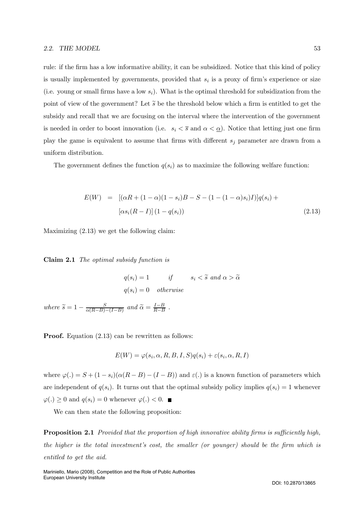#### 2.2. THE MODEL 53

rule: if the firm has a low informative ability, it can be subsidized. Notice that this kind of policy is usually implemented by governments, provided that  $s_i$  is a proxy of firm's experience or size (i.e. young or small firms have a low  $s_i$ ). What is the optimal threshold for subsidization from the point of view of the government? Let  $\tilde{s}$  be the threshold below which a firm is entitled to get the subsidy and recall that we are focusing on the interval where the intervention of the government is needed in order to boost innovation (i.e.  $s_i < \overline{s}$  and  $\alpha < \underline{\alpha}$ ). Notice that letting just one firm play the game is equivalent to assume that firms with different  $s_j$  parameter are drawn from a uniform distribution.

The government defines the function  $q(s_i)$  as to maximize the following welfare function:

$$
E(W) = [(\alpha R + (1 - \alpha)(1 - s_i)B - S - (1 - (1 - \alpha)s_i)I)]q(s_i) + [\alpha s_i(R - I)](1 - q(s_i))
$$
\n(2.13)

Maximizing (2.13) we get the following claim:

Claim 2.1 The optimal subsidy function is

$$
q(s_i) = 1
$$
 if  $s_i < \tilde{s}$  and  $\alpha > \tilde{\alpha}$   
 $q(s_i) = 0$  otherwise

where  $\widetilde{s} = 1 - \frac{S}{\alpha(R-B)-(I-B)}$  and  $\widetilde{\alpha} = \frac{I-B}{R-B}$ .

**Proof.** Equation (2.13) can be rewritten as follows:

$$
E(W) = \varphi(s_i, \alpha, R, B, I, S)q(s_i) + \varepsilon(s_i, \alpha, R, I)
$$

where  $\varphi(.) = S + (1 - s_i)(\alpha(R - B) - (I - B))$  and  $\varepsilon(.)$  is a known function of parameters which are independent of  $q(s_i)$ . It turns out that the optimal subsidy policy implies  $q(s_i)=1$  whenever  $\varphi(.) \geq 0$  and  $q(s_i)=0$  whenever  $\varphi(.) < 0$ .

We can then state the following proposition:

**Proposition 2.1** Provided that the proportion of high innovative ability firms is sufficiently high, the higher is the total investment's cost, the smaller (or younger) should be the firm which is entitled to get the aid.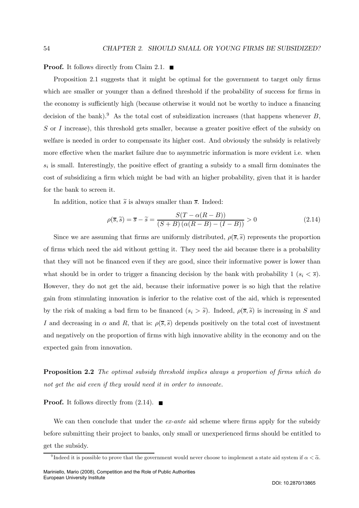**Proof.** It follows directly from Claim 2.1.  $\blacksquare$ 

Proposition 2.1 suggests that it might be optimal for the government to target only firms which are smaller or younger than a defined threshold if the probability of success for firms in the economy is sufficiently high (because otherwise it would not be worthy to induce a financing decision of the bank).<sup>9</sup> As the total cost of subsidization increases (that happens whenever  $B$ , S or I increase), this threshold gets smaller, because a greater positive effect of the subsidy on welfare is needed in order to compensate its higher cost. And obviously the subsidy is relatively more effective when the market failure due to asymmetric information is more evident i.e. when  $s_i$  is small. Interestingly, the positive effect of granting a subsidy to a small firm dominates the cost of subsidizing a firm which might be bad with an higher probability, given that it is harder for the bank to screen it.

In addition, notice that  $\tilde{s}$  is always smaller than  $\bar{s}$ . Indeed:

$$
\rho(\overline{s}, \tilde{s}) = \overline{s} - \tilde{s} = \frac{S(T - \alpha(R - B))}{(S + B)(\alpha(R - B) - (I - B))} > 0
$$
\n(2.14)

Since we are assuming that firms are uniformly distributed,  $\rho(\overline{s}, \widetilde{s})$  represents the proportion of firms which need the aid without getting it. They need the aid because there is a probability that they will not be financed even if they are good, since their informative power is lower than what should be in order to trigger a financing decision by the bank with probability  $1 (s_i \leq \overline{s}).$ However, they do not get the aid, because their informative power is so high that the relative gain from stimulating innovation is inferior to the relative cost of the aid, which is represented by the risk of making a bad firm to be financed  $(s_i > \tilde{s})$ . Indeed,  $\rho(\overline{s}, \tilde{s})$  is increasing in S and I and decreasing in  $\alpha$  and R, that is:  $\rho(\overline{s},\tilde{s})$  depends positively on the total cost of investment and negatively on the proportion of firms with high innovative ability in the economy and on the expected gain from innovation.

Proposition 2.2 The optimal subsidy threshold implies always a proportion of firms which do not get the aid even if they would need it in order to innovate.

**Proof.** It follows directly from  $(2.14)$ .

We can then conclude that under the  $ex$ -ante aid scheme where firms apply for the subsidy before submitting their project to banks, only small or unexperienced firms should be entitled to get the subsidy.

<sup>&</sup>lt;sup>9</sup>Indeed it is possible to prove that the government would never choose to implement a state aid system if  $\alpha < \tilde{\alpha}$ .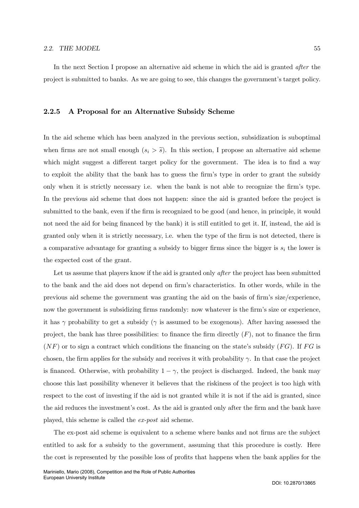In the next Section I propose an alternative aid scheme in which the aid is granted *after* the project is submitted to banks. As we are going to see, this changes the government's target policy.

#### 2.2.5 A Proposal for an Alternative Subsidy Scheme

In the aid scheme which has been analyzed in the previous section, subsidization is suboptimal when firms are not small enough  $(s_i > \tilde{s})$ . In this section, I propose an alternative aid scheme which might suggest a different target policy for the government. The idea is to find a way to exploit the ability that the bank has to guess the firm's type in order to grant the subsidy only when it is strictly necessary i.e. when the bank is not able to recognize the firm's type. In the previous aid scheme that does not happen: since the aid is granted before the project is submitted to the bank, even if the firm is recognized to be good (and hence, in principle, it would not need the aid for being financed by the bank) it is still entitled to get it. If, instead, the aid is granted only when it is strictly necessary, i.e. when the type of the firm is not detected, there is a comparative advantage for granting a subsidy to bigger firms since the bigger is  $s_i$  the lower is the expected cost of the grant.

Let us assume that players know if the aid is granted only *after* the project has been submitted to the bank and the aid does not depend on firm's characteristics. In other words, while in the previous aid scheme the government was granting the aid on the basis of firm's size/experience, now the government is subsidizing firms randomly: now whatever is the firm's size or experience, it has  $\gamma$  probability to get a subsidy ( $\gamma$  is assumed to be exogenous). After having assessed the project, the bank has three possibilities: to finance the firm directly  $(F)$ , not to finance the firm  $(NF)$  or to sign a contract which conditions the financing on the state's subsidy  $(FG)$ . If FG is chosen, the firm applies for the subsidy and receives it with probability  $\gamma$ . In that case the project is financed. Otherwise, with probability  $1 - \gamma$ , the project is discharged. Indeed, the bank may choose this last possibility whenever it believes that the riskiness of the project is too high with respect to the cost of investing if the aid is not granted while it is not if the aid is granted, since the aid reduces the investment's cost. As the aid is granted only after the firm and the bank have played, this scheme is called the ex-post aid scheme.

The ex-post aid scheme is equivalent to a scheme where banks and not firms are the subject entitled to ask for a subsidy to the government, assuming that this procedure is costly. Here the cost is represented by the possible loss of profits that happens when the bank applies for the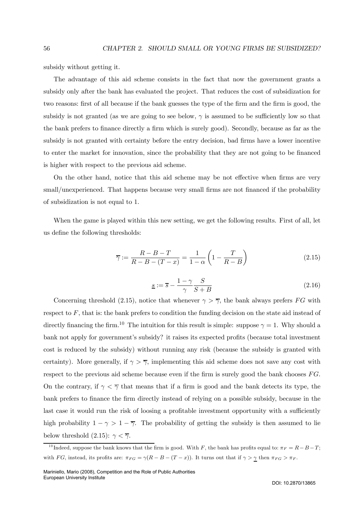subsidy without getting it.

The advantage of this aid scheme consists in the fact that now the government grants a subsidy only after the bank has evaluated the project. That reduces the cost of subsidization for two reasons: first of all because if the bank guesses the type of the firm and the firm is good, the subsidy is not granted (as we are going to see below,  $\gamma$  is assumed to be sufficiently low so that the bank prefers to finance directly a firm which is surely good). Secondly, because as far as the subsidy is not granted with certainty before the entry decision, bad firms have a lower incentive to enter the market for innovation, since the probability that they are not going to be financed is higher with respect to the previous aid scheme.

On the other hand, notice that this aid scheme may be not effective when firms are very small/unexperienced. That happens because very small firms are not financed if the probability of subsidization is not equal to 1.

When the game is played within this new setting, we get the following results. First of all, let us define the following thresholds:

$$
\overline{\gamma} := \frac{R - B - T}{R - B - (T - x)} = \frac{1}{1 - \alpha} \left( 1 - \frac{T}{R - B} \right) \tag{2.15}
$$

$$
\underline{s} := \overline{s} - \frac{1 - \gamma}{\gamma} \frac{S}{S + B} \tag{2.16}
$$

Concerning threshold (2.15), notice that whenever  $\gamma > \overline{\gamma}$ , the bank always prefers FG with respect to  $F$ , that is: the bank prefers to condition the funding decision on the state aid instead of directly financing the firm.<sup>10</sup> The intuition for this result is simple: suppose  $\gamma = 1$ . Why should a bank not apply for government's subsidy? it raises its expected profits (because total investment cost is reduced by the subsidy) without running any risk (because the subsidy is granted with certainty). More generally, if  $\gamma > \overline{\gamma}$ , implementing this aid scheme does not save any cost with respect to the previous aid scheme because even if the firm is surely good the bank chooses  $FG$ . On the contrary, if  $\gamma < \overline{\gamma}$  that means that if a firm is good and the bank detects its type, the bank prefers to finance the firm directly instead of relying on a possible subsidy, because in the last case it would run the risk of loosing a profitable investment opportunity with a sufficiently high probability  $1 - \gamma > 1 - \overline{\gamma}$ . The probability of getting the subsidy is then assumed to lie below threshold (2.15):  $\gamma < \overline{\gamma}$ .

<sup>&</sup>lt;sup>10</sup> Indeed, suppose the bank knows that the firm is good. With F, the bank has profits equal to:  $\pi_F = R - B - T$ ; with FG, instead, its profits are:  $\pi_{FG} = \gamma(R - B - (T - x))$ . It turns out that if  $\gamma > \gamma$  then  $\pi_{FG} > \pi_F$ .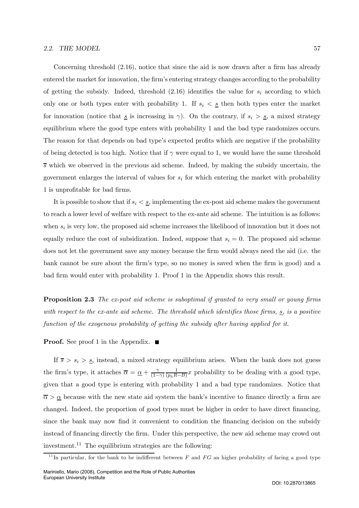#### 2.2. THE MODEL 57

Concerning threshold (2.16), notice that since the aid is now drawn after a firm has already entered the market for innovation, the firm's entering strategy changes according to the probability of getting the subsidy. Indeed, threshold  $(2.16)$  identifies the value for  $s_i$  according to which only one or both types enter with probability 1. If  $s_i < s$  then both types enter the market for innovation (notice that  $\underline{s}$  is increasing in  $\gamma$ ). On the contrary, if  $s_i > \underline{s}$ , a mixed strategy equilibrium where the good type enters with probability 1 and the bad type randomizes occurs. The reason for that depends on bad type's expected profits which are negative if the probability of being detected is too high. Notice that if  $\gamma$  were equal to 1, we would have the same threshold  $\overline{s}$  which we observed in the previous aid scheme. Indeed, by making the subsidy uncertain, the government enlarges the interval of values for  $s_i$  for which entering the market with probability 1 is unprofitable for bad firms.

It is possible to show that if  $s_i \leq \underline{s}$ , implementing the ex-post aid scheme makes the government to reach a lower level of welfare with respect to the ex-ante aid scheme. The intuition is as follows: when  $s_i$  is very low, the proposed aid scheme increases the likelihood of innovation but it does not equally reduce the cost of subsidization. Indeed, suppose that  $s_i = 0$ . The proposed aid scheme does not let the government save any money because the firm would always need the aid (i.e. the bank cannot be sure about the firm's type, so no money is saved when the firm is good) and a bad firm would enter with probability 1. Proof 1 in the Appendix shows this result.

Proposition 2.3 The ex-post aid scheme is suboptimal if granted to very small or young firms with respect to the ex-ante aid scheme. The threshold which identifies those firms,  $s$ , is a positive function of the exogenous probability of getting the subsidy after having applied for it.

**Proof.** See proof 1 in the Appendix.  $\blacksquare$ 

If  $\overline{s} > s_i > s$ , instead, a mixed strategy equilibrium arises. When the bank does not guess the firm's type, it attaches  $\overline{\alpha} = \underline{\alpha} + \frac{\gamma}{(1-\gamma)}$  $\frac{1}{(p_hR-B)}x$  probability to be dealing with a good type, given that a good type is entering with probability 1 and a bad type randomizes. Notice that  $\overline{\alpha} > \underline{\alpha}$  because with the new state aid system the bank's incentive to finance directly a firm are changed. Indeed, the proportion of good types must be higher in order to have direct financing, since the bank may now find it convenient to condition the financing decision on the subsidy instead of financing directly the firm. Under this perspective, the new aid scheme may crowd out investment.<sup>11</sup> The equilibrium strategies are the following:

<sup>&</sup>lt;sup>11</sup>In particular, for the bank to be indifferent between  $F$  and  $FG$  an higher probability of facing a good type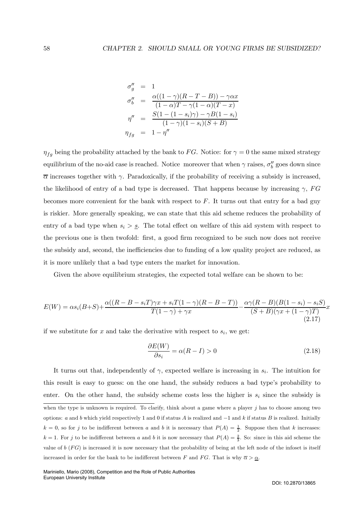$$
\sigma''_g = 1
$$
  
\n
$$
\sigma''_b = \frac{\alpha((1-\gamma)(R-T-B)) - \gamma \alpha x}{(1-\alpha)T - \gamma(1-\alpha)(T-x)}
$$
  
\n
$$
\eta'' = \frac{S(1 - (1-s_i)\gamma) - \gamma B(1-s_i)}{(1-\gamma)(1-s_i)(S+B)}
$$
  
\n
$$
\eta_{fg} = 1 - \eta''
$$

 $\eta_{fg}$  being the probability attached by the bank to FG. Notice: for  $\gamma = 0$  the same mixed strategy equilibrium of the no-aid case is reached. Notice moreover that when  $\gamma$  raises,  $\sigma''_b$  goes down since  $\overline{\alpha}$  increases together with  $\gamma$ . Paradoxically, if the probability of receiving a subsidy is increased, the likelihood of entry of a bad type is decreased. That happens because by increasing  $\gamma$ , FG becomes more convenient for the bank with respect to  $F$ . It turns out that entry for a bad guy is riskier. More generally speaking, we can state that this aid scheme reduces the probability of entry of a bad type when  $s_i > s$ . The total effect on welfare of this aid system with respect to the previous one is then twofold: first, a good firm recognized to be such now does not receive the subsidy and, second, the inefficiencies due to funding of a low quality project are reduced, as it is more unlikely that a bad type enters the market for innovation.

Given the above equilibrium strategies, the expected total welfare can be shown to be:

$$
E(W) = \alpha s_i (B+S) + \frac{\alpha((R-B-s_i T)\gamma x + s_i T(1-\gamma)(R-B-T))}{T(1-\gamma) + \gamma x} - \frac{\alpha \gamma (R-B)(B(1-s_i) - s_i S)}{(S+B)(\gamma x + (1-\gamma)T)}x
$$
\n(2.17)

if we substitute for x and take the derivative with respect to  $s_i$ , we get:

$$
\frac{\partial E(W)}{\partial s_i} = \alpha (R - I) > 0 \tag{2.18}
$$

It turns out that, independently of  $\gamma$ , expected welfare is increasing in  $s_i$ . The intuition for this result is easy to guess: on the one hand, the subsidy reduces a bad type's probability to enter. On the other hand, the subsidy scheme costs less the higher is  $s_i$  since the subsidy is when the type is unknown is required. To clarify, think about a game where a player  $j$  has to choose among two options: a and b which yield respectively 1 and 0 if status A is realized and  $-1$  and k if status B is realized. Initially  $k = 0$ , so for j to be indifferent between a and b it is necessary that  $P(A) = \frac{1}{2}$ . Suppose then that k increases:  $k = 1$ . For j to be indifferent between a and b it is now necessary that  $P(A) = \frac{2}{3}$ . So: since in this aid scheme the value of  $b$  ( $FG$ ) is increased it is now necessary that the probability of being at the left node of the infoset is itself increased in order for the bank to be indifferent between F and FG. That is why  $\overline{\alpha} > \underline{\alpha}$ .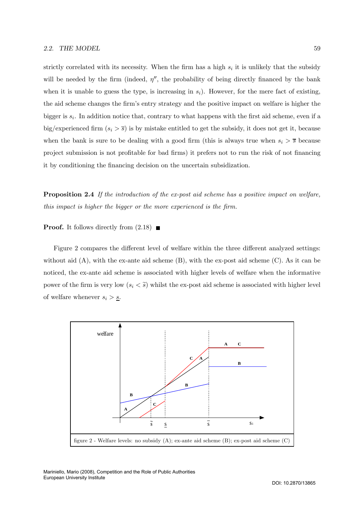strictly correlated with its necessity. When the firm has a high  $s_i$  it is unlikely that the subsidy will be needed by the firm (indeed,  $\eta''$ , the probability of being directly financed by the bank when it is unable to guess the type, is increasing in  $s_i$ ). However, for the mere fact of existing, the aid scheme changes the firm's entry strategy and the positive impact on welfare is higher the bigger is  $s_i$ . In addition notice that, contrary to what happens with the first aid scheme, even if a big/experienced firm  $(s_i > \overline{s})$  is by mistake entitled to get the subsidy, it does not get it, because when the bank is sure to be dealing with a good firm (this is always true when  $s_i > \overline{s}$  because project submission is not profitable for bad firms) it prefers not to run the risk of not financing it by conditioning the financing decision on the uncertain subsidization.

Proposition 2.4 If the introduction of the ex-post aid scheme has a positive impact on welfare, this impact is higher the bigger or the more experienced is the firm.

**Proof.** It follows directly from  $(2.18)$ 

Figure 2 compares the different level of welfare within the three different analyzed settings: without aid  $(A)$ , with the ex-ante aid scheme  $(B)$ , with the ex-post aid scheme  $(C)$ . As it can be noticed, the ex-ante aid scheme is associated with higher levels of welfare when the informative power of the firm is very low  $(s_i < \tilde{s})$  whilst the ex-post aid scheme is associated with higher level of welfare whenever  $s_i > \underline{s}$ .

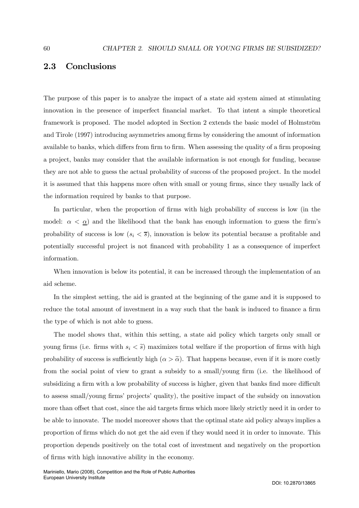# 2.3 Conclusions

The purpose of this paper is to analyze the impact of a state aid system aimed at stimulating innovation in the presence of imperfect financial market. To that intent a simple theoretical framework is proposed. The model adopted in Section 2 extends the basic model of Holmström and Tirole (1997) introducing asymmetries among firms by considering the amount of information available to banks, which differs from firm to firm. When assessing the quality of a firm proposing a project, banks may consider that the available information is not enough for funding, because they are not able to guess the actual probability of success of the proposed project. In the model it is assumed that this happens more often with small or young firms, since they usually lack of the information required by banks to that purpose.

In particular, when the proportion of firms with high probability of success is low (in the model:  $\alpha < \underline{\alpha}$  and the likelihood that the bank has enough information to guess the firm's probability of success is low  $(s_i < \overline{s})$ , innovation is below its potential because a profitable and potentially successful project is not financed with probability 1 as a consequence of imperfect information.

When innovation is below its potential, it can be increased through the implementation of an aid scheme.

In the simplest setting, the aid is granted at the beginning of the game and it is supposed to reduce the total amount of investment in a way such that the bank is induced to finance a firm the type of which is not able to guess.

The model shows that, within this setting, a state aid policy which targets only small or young firms (i.e. firms with  $s_i < \tilde{s}$ ) maximizes total welfare if the proportion of firms with high probability of success is sufficiently high  $(\alpha > \tilde{\alpha})$ . That happens because, even if it is more costly from the social point of view to grant a subsidy to a small/young firm (i.e. the likelihood of subsidizing a firm with a low probability of success is higher, given that banks find more difficult to assess small/young firms' projects' quality), the positive impact of the subsidy on innovation more than offset that cost, since the aid targets firms which more likely strictly need it in order to be able to innovate. The model moreover shows that the optimal state aid policy always implies a proportion of firms which do not get the aid even if they would need it in order to innovate. This proportion depends positively on the total cost of investment and negatively on the proportion of firms with high innovative ability in the economy.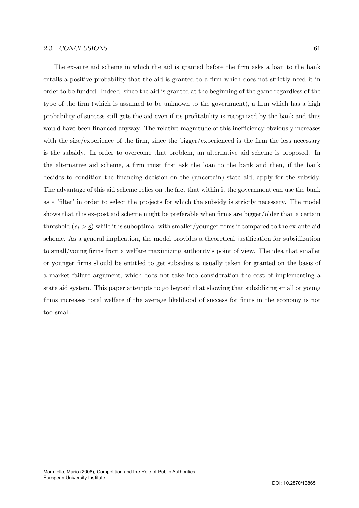#### 2.3. CONCLUSIONS 61

The ex-ante aid scheme in which the aid is granted before the firm asks a loan to the bank entails a positive probability that the aid is granted to a firm which does not strictly need it in order to be funded. Indeed, since the aid is granted at the beginning of the game regardless of the type of the firm (which is assumed to be unknown to the government), a firm which has a high probability of success still gets the aid even if its profitability is recognized by the bank and thus would have been financed anyway. The relative magnitude of this inefficiency obviously increases with the size/experience of the firm, since the bigger/experienced is the firm the less necessary is the subsidy. In order to overcome that problem, an alternative aid scheme is proposed. In the alternative aid scheme, a firm must first ask the loan to the bank and then, if the bank decides to condition the financing decision on the (uncertain) state aid, apply for the subsidy. The advantage of this aid scheme relies on the fact that within it the government can use the bank as a 'filter' in order to select the projects for which the subsidy is strictly necessary. The model shows that this ex-post aid scheme might be preferable when firms are bigger/older than a certain threshold  $(s_i > s)$  while it is suboptimal with smaller/younger firms if compared to the ex-ante aid scheme. As a general implication, the model provides a theoretical justification for subsidization to small/young firms from a welfare maximizing authority's point of view. The idea that smaller or younger firms should be entitled to get subsidies is usually taken for granted on the basis of a market failure argument, which does not take into consideration the cost of implementing a state aid system. This paper attempts to go beyond that showing that subsidizing small or young firms increases total welfare if the average likelihood of success for firms in the economy is not too small.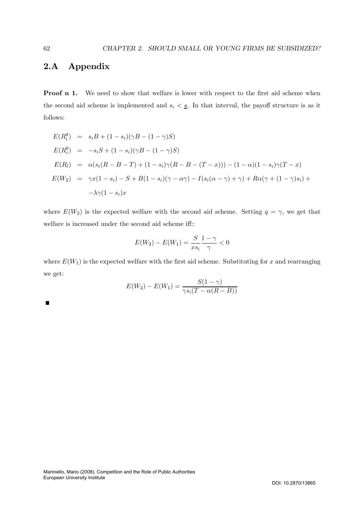## 2.A Appendix

Proof n 1. We need to show that welfare is lower with respect to the first aid scheme when the second aid scheme is implemented and  $s_i < \underline{s}$ . In that interval, the payoff structure is as it follows:

$$
E(R_i^g) = s_i B + (1 - s_i)(\gamma B - (1 - \gamma)S)
$$
  
\n
$$
E(R_i^b) = -s_i S + (1 - s_i)(\gamma B - (1 - \gamma)S)
$$
  
\n
$$
E(R_l) = \alpha(s_i (R - B - T) + (1 - s_i)\gamma (R - B - (T - x))) - (1 - \alpha)(1 - s_i)\gamma (T - x)
$$
  
\n
$$
E(W_2) = \gamma x (1 - s_i) - S + B(1 - s_i)(\gamma - \alpha \gamma) - I(s_i(\alpha - \gamma) + \gamma) + R\alpha(\gamma + (1 - \gamma)s_i) +
$$
  
\n
$$
-\lambda \gamma (1 - s_i)x
$$

where  $E(W_2)$  is the expected welfare with the second aid scheme. Setting  $q = \gamma$ , we get that welfare is increased under the second aid scheme iff::

$$
E(W_2) - E(W_1) = \frac{S}{xs_i} \frac{1-\gamma}{\gamma} < 0
$$

where  $E(W_1)$  is the expected welfare with the first aid scheme. Substituting for x and rearranging we get:

$$
E(W_2) - E(W_1) = \frac{S(1 - \gamma)}{\gamma s_i (T - \alpha (R - B))}
$$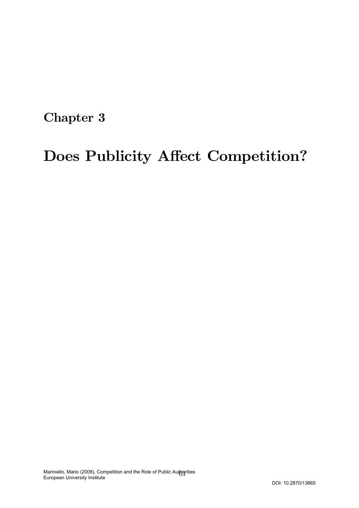Chapter 3

# Does Publicity Affect Competition?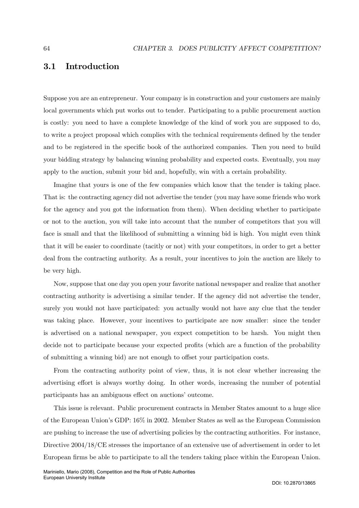## 3.1 Introduction

Suppose you are an entrepreneur. Your company is in construction and your customers are mainly local governments which put works out to tender. Participating to a public procurement auction is costly: you need to have a complete knowledge of the kind of work you are supposed to do, to write a project proposal which complies with the technical requirements defined by the tender and to be registered in the specific book of the authorized companies. Then you need to build your bidding strategy by balancing winning probability and expected costs. Eventually, you may apply to the auction, submit your bid and, hopefully, win with a certain probability.

Imagine that yours is one of the few companies which know that the tender is taking place. That is: the contracting agency did not advertise the tender (you may have some friends who work for the agency and you got the information from them). When deciding whether to participate or not to the auction, you will take into account that the number of competitors that you will face is small and that the likelihood of submitting a winning bid is high. You might even think that it will be easier to coordinate (tacitly or not) with your competitors, in order to get a better deal from the contracting authority. As a result, your incentives to join the auction are likely to be very high.

Now, suppose that one day you open your favorite national newspaper and realize that another contracting authority is advertising a similar tender. If the agency did not advertise the tender, surely you would not have participated: you actually would not have any clue that the tender was taking place. However, your incentives to participate are now smaller: since the tender is advertised on a national newspaper, you expect competition to be harsh. You might then decide not to participate because your expected profits (which are a function of the probability of submitting a winning bid) are not enough to offset your participation costs.

From the contracting authority point of view, thus, it is not clear whether increasing the advertising effort is always worthy doing. In other words, increasing the number of potential participants has an ambiguous effect on auctions' outcome.

This issue is relevant. Public procurement contracts in Member States amount to a huge slice of the European Union's GDP: 16% in 2002. Member States as well as the European Commission are pushing to increase the use of advertising policies by the contracting authorities. For instance, Directive 2004/18/CE stresses the importance of an extensive use of advertisement in order to let European firms be able to participate to all the tenders taking place within the European Union.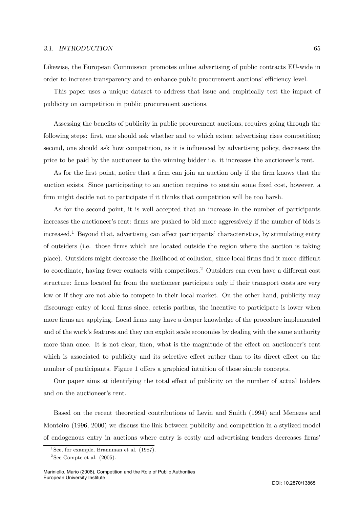#### 3.1. INTRODUCTION 65

Likewise, the European Commission promotes online advertising of public contracts EU-wide in order to increase transparency and to enhance public procurement auctions' efficiency level.

This paper uses a unique dataset to address that issue and empirically test the impact of publicity on competition in public procurement auctions.

Assessing the benefits of publicity in public procurement auctions, requires going through the following steps: first, one should ask whether and to which extent advertising rises competition; second, one should ask how competition, as it is influenced by advertising policy, decreases the price to be paid by the auctioneer to the winning bidder i.e. it increases the auctioneer's rent.

As for the first point, notice that a firm can join an auction only if the firm knows that the auction exists. Since participating to an auction requires to sustain some fixed cost, however, a firm might decide not to participate if it thinks that competition will be too harsh.

As for the second point, it is well accepted that an increase in the number of participants increases the auctioneer's rent: firms are pushed to bid more aggressively if the number of bids is increased.<sup>1</sup> Beyond that, advertising can affect participants' characteristics, by stimulating entry of outsiders (i.e. those firms which are located outside the region where the auction is taking place). Outsiders might decrease the likelihood of collusion, since local firms find it more difficult to coordinate, having fewer contacts with competitors.<sup>2</sup> Outsiders can even have a different cost structure: firms located far from the auctioneer participate only if their transport costs are very low or if they are not able to compete in their local market. On the other hand, publicity may discourage entry of local firms since, ceteris paribus, the incentive to participate is lower when more firms are applying. Local firms may have a deeper knowledge of the procedure implemented and of the work's features and they can exploit scale economies by dealing with the same authority more than once. It is not clear, then, what is the magnitude of the effect on auctioneer's rent which is associated to publicity and its selective effect rather than to its direct effect on the number of participants. Figure 1 offers a graphical intuition of those simple concepts.

Our paper aims at identifying the total effect of publicity on the number of actual bidders and on the auctioneer's rent.

Based on the recent theoretical contributions of Levin and Smith (1994) and Menezes and Monteiro (1996, 2000) we discuss the link between publicity and competition in a stylized model of endogenous entry in auctions where entry is costly and advertising tenders decreases firms'

<sup>&</sup>lt;sup>1</sup>See, for example, Brannman et al.  $(1987)$ .

 $2$ See Compte et al.  $(2005)$ .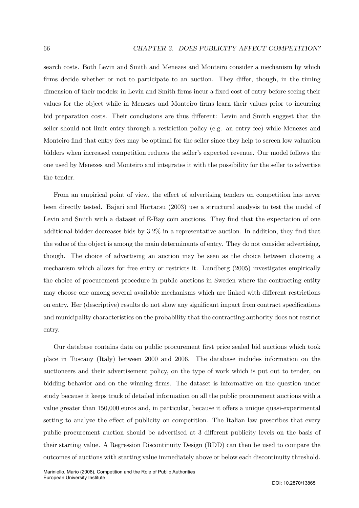search costs. Both Levin and Smith and Menezes and Monteiro consider a mechanism by which firms decide whether or not to participate to an auction. They differ, though, in the timing dimension of their models: in Levin and Smith firms incur a fixed cost of entry before seeing their values for the object while in Menezes and Monteiro firms learn their values prior to incurring bid preparation costs. Their conclusions are thus different: Levin and Smith suggest that the seller should not limit entry through a restriction policy (e.g. an entry fee) while Menezes and Monteiro find that entry fees may be optimal for the seller since they help to screen low valuation bidders when increased competition reduces the seller's expected revenue. Our model follows the one used by Menezes and Monteiro and integrates it with the possibility for the seller to advertise the tender.

From an empirical point of view, the effect of advertising tenders on competition has never been directly tested. Bajari and Hortacsu (2003) use a structural analysis to test the model of Levin and Smith with a dataset of E-Bay coin auctions. They find that the expectation of one additional bidder decreases bids by 3.2% in a representative auction. In addition, they find that the value of the object is among the main determinants of entry. They do not consider advertising, though. The choice of advertising an auction may be seen as the choice between choosing a mechanism which allows for free entry or restricts it. Lundberg (2005) investigates empirically the choice of procurement procedure in public auctions in Sweden where the contracting entity may choose one among several available mechanisms which are linked with different restrictions on entry. Her (descriptive) results do not show any significant impact from contract specifications and municipality characteristics on the probability that the contracting authority does not restrict entry.

Our database contains data on public procurement first price sealed bid auctions which took place in Tuscany (Italy) between 2000 and 2006. The database includes information on the auctioneers and their advertisement policy, on the type of work which is put out to tender, on bidding behavior and on the winning firms. The dataset is informative on the question under study because it keeps track of detailed information on all the public procurement auctions with a value greater than 150,000 euros and, in particular, because it offers a unique quasi-experimental setting to analyze the effect of publicity on competition. The Italian law prescribes that every public procurement auction should be advertised at 3 different publicity levels on the basis of their starting value. A Regression Discontinuity Design (RDD) can then be used to compare the outcomes of auctions with starting value immediately above or below each discontinuity threshold.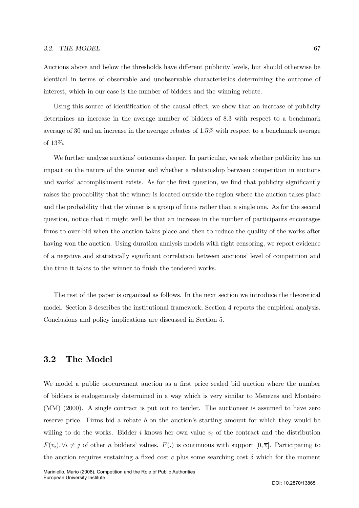#### 3.2. THE MODEL 67

Auctions above and below the thresholds have different publicity levels, but should otherwise be identical in terms of observable and unobservable characteristics determining the outcome of interest, which in our case is the number of bidders and the winning rebate.

Using this source of identification of the causal effect, we show that an increase of publicity determines an increase in the average number of bidders of 8.3 with respect to a benchmark average of 30 and an increase in the average rebates of 1.5% with respect to a benchmark average of 13%.

We further analyze auctions' outcomes deeper. In particular, we ask whether publicity has an impact on the nature of the winner and whether a relationship between competition in auctions and works' accomplishment exists. As for the first question, we find that publicity significantly raises the probability that the winner is located outside the region where the auction takes place and the probability that the winner is a group of firms rather than a single one. As for the second question, notice that it might well be that an increase in the number of participants encourages firms to over-bid when the auction takes place and then to reduce the quality of the works after having won the auction. Using duration analysis models with right censoring, we report evidence of a negative and statistically significant correlation between auctions' level of competition and the time it takes to the winner to finish the tendered works.

The rest of the paper is organized as follows. In the next section we introduce the theoretical model. Section 3 describes the institutional framework; Section 4 reports the empirical analysis. Conclusions and policy implications are discussed in Section 5.

## 3.2 The Model

We model a public procurement auction as a first price sealed bid auction where the number of bidders is endogenously determined in a way which is very similar to Menezes and Monteiro (MM) (2000). A single contract is put out to tender. The auctioneer is assumed to have zero reserve price. Firms bid a rebate b on the auction's starting amount for which they would be willing to do the works. Bidder i knows her own value  $v_i$  of the contract and the distribution  $F(v_i), \forall i \neq j$  of other n bidders' values.  $F(.)$  is continuous with support  $[0, \overline{v}]$ . Participating to the auction requires sustaining a fixed cost c plus some searching cost  $\delta$  which for the moment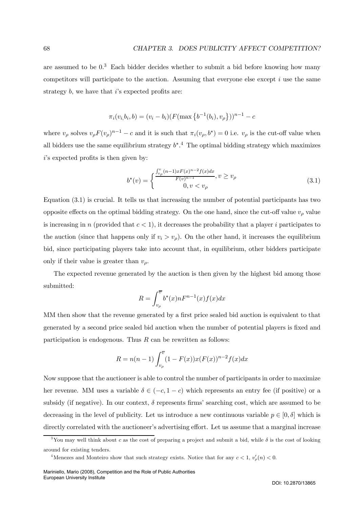are assumed to be  $0<sup>3</sup>$  Each bidder decides whether to submit a bid before knowing how many competitors will participate to the auction. Assuming that everyone else except  $i$  use the same strategy  $b$ , we have that  $i$ 's expected profits are:

$$
\pi_i(v_i, b_i, b) = (v_i - b_i)(F(\max\{b^{-1}(b_i), v_{\rho}\}))^{n-1} - c
$$

where  $v_{\rho}$  solves  $v_{\rho}F(v_{\rho})^{n-1}-c$  and it is such that  $\pi_i(v_{\rho},b^*)=0$  i.e.  $v_{\rho}$  is the cut-off value when all bidders use the same equilibrium strategy  $b^*$ .<sup>4</sup> The optimal bidding strategy which maximizes  $i$ 's expected profits is then given by:

$$
b^*(v) = \begin{cases} \frac{\int_{v_\rho}^v (n-1)x F(x)^{n-2} f(x) dx}{F(v)^{n-1}}, v \ge v_\rho\\ 0, v < v_\rho \end{cases}
$$
(3.1)

Equation (3.1) is crucial. It tells us that increasing the number of potential participants has two opposite effects on the optimal bidding strategy. On the one hand, since the cut-off value  $v_{\rho}$  value is increasing in n (provided that  $c < 1$ ), it decreases the probability that a player i participates to the auction (since that happens only if  $v_i > v_{\rho}$ ). On the other hand, it increases the equilibrium bid, since participating players take into account that, in equilibrium, other bidders participate only if their value is greater than  $v<sub>o</sub>$ .

The expected revenue generated by the auction is then given by the highest bid among those submitted:

$$
R = \int_{v_{\rho}}^{\overline{v}} b^*(x) n F^{n-1}(x) f(x) dx
$$

MM then show that the revenue generated by a first price sealed bid auction is equivalent to that generated by a second price sealed bid auction when the number of potential players is fixed and participation is endogenous. Thus  $R$  can be rewritten as follows:

$$
R = n(n-1) \int_{v_{\rho}}^{\overline{v}} (1 - F(x)) x(F(x))^{n-2} f(x) dx
$$

Now suppose that the auctioneer is able to control the number of participants in order to maximize her revenue. MM uses a variable  $\delta \in (-c, 1-c)$  which represents an entry fee (if positive) or a subsidy (if negative). In our context,  $\delta$  represents firms' searching cost, which are assumed to be decreasing in the level of publicity. Let us introduce a new continuous variable  $p \in [0, \delta]$  which is directly correlated with the auctioneer's advertising effort. Let us assume that a marginal increase

<sup>&</sup>lt;sup>3</sup>You may well think about c as the cost of preparing a project and submit a bid, while  $\delta$  is the cost of looking around for existing tenders.

<sup>&</sup>lt;sup>4</sup>Menezes and Monteiro show that such strategy exists. Notice that for any  $c < 1$ ,  $v'_{\rho}(n) < 0$ .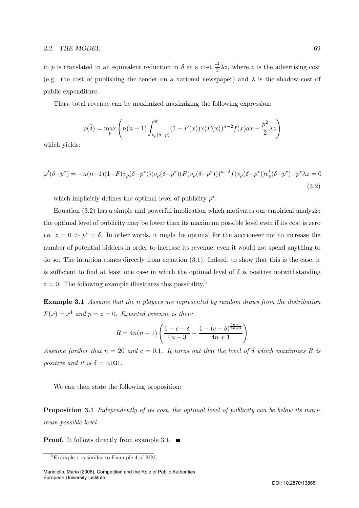in p is translated in an equivalent reduction in  $\delta$  at a cost  $\frac{p^2}{2}\lambda z$ , where z is the advertising cost (e.g. the cost of publishing the tender on a national newspaper) and  $\lambda$  is the shadow cost of public expenditure.

Thus, total revenue can be maximized maximizing the following expression:

$$
\varphi(\widehat{\delta}) = \max_{p} \left( n(n-1) \int_{v_{\rho}(\delta - p)}^{\overline{v}} (1 - F(x)) x(F(x))^{n-2} f(x) dx - \frac{p^2}{2} \lambda z \right)
$$

which yields:

$$
\varphi'(\delta - p^*) = -n(n-1)(1 - F(v_\rho(\delta - p^*)))v_\rho(\delta - p^*)(F(v_\rho(\delta - p^*)))^{n-2}f(v_\rho(\delta - p^*))v_\rho'(\delta - p^*) - p^*\lambda z = 0
$$
\n(3.2)

which implicitly defines the optimal level of publicity  $p^*$ .

Equation (3.2) has a simple and powerful implication which motivates our empirical analysis: the optimal level of publicity may be lower than its maximum possible level even if its cost is zero i.e.  $z = 0 \Rightarrow p^* = \delta$ . In other words, it might be optimal for the auctioneer not to increase the number of potential bidders in order to increase its revenue, even it would not spend anything to do so. The intuition comes directly from equation (3.1). Indeed, to show that this is the case, it is sufficient to find at least one case in which the optimal level of  $\delta$  is positive notwithstanding  $z = 0$ . The following example illustrates this possibility.<sup>5</sup>

Example 3.1 Assume that the n players are represented by random draws from the distribution  $F(x) = x^4$  and  $p = z = 0$ . Expected revenue is then:

$$
R = 4n(n-1)\left(\frac{1-c-\delta}{4n-3} - \frac{1-(c+\delta)^{\frac{4n-1}{4n+3}}}{4n+1}\right)
$$

Assume further that  $n = 20$  and  $c = 0.1$ . It turns out that the level of  $\delta$  which maximizes R is positive and it is  $\delta = 0.031$ .

We can then state the following proposition:

Proposition 3.1 Independently of its cost, the optimal level of publicity can be below its maximum possible level.

**Proof.** It follows directly from example 3.1.  $\blacksquare$ 

<sup>5</sup>Example 1 is similar to Example 4 of MM.

Mariniello, Mario (2008), Competition and the Role of Public Authorities European University Institute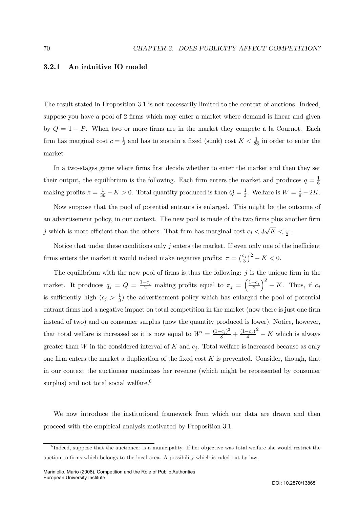#### 3.2.1 An intuitive IO model

The result stated in Proposition 3.1 is not necessarily limited to the context of auctions. Indeed, suppose you have a pool of 2 firms which may enter a market where demand is linear and given by  $Q = 1 - P$ . When two or more firms are in the market they compete à la Cournot. Each firm has marginal cost  $c = \frac{1}{2}$  and has to sustain a fixed (sunk) cost  $K < \frac{1}{36}$  in order to enter the market

In a two-stages game where firms first decide whether to enter the market and then they set their output, the equilibrium is the following. Each firm enters the market and produces  $q = \frac{1}{6}$ making profits  $\pi = \frac{1}{36} - K > 0$ . Total quantity produced is then  $Q = \frac{1}{3}$ . Welfare is  $W = \frac{1}{9} - 2K$ .

Now suppose that the pool of potential entrants is enlarged. This might be the outcome of an advertisement policy, in our context. The new pool is made of the two firms plus another firm j which is more efficient than the others. That firm has marginal cost  $c_j < 3\sqrt{K} < \frac{1}{2}$ .

Notice that under these conditions only  $j$  enters the market. If even only one of the inefficient firms enters the market it would indeed make negative profits:  $\pi = \left(\frac{c_j}{3}\right)^2 - K < 0$ .

The equilibrium with the new pool of firms is thus the following:  $j$  is the unique firm in the market. It produces  $q_j = Q = \frac{1-c_j}{2}$  making profits equal to  $\pi_j = \left(\frac{1-c_j}{2}\right)$  $\bigg)^2 - K$ . Thus, if  $c_j$ is sufficiently high  $(c_j > \frac{1}{3})$  the advertisement policy which has enlarged the pool of potential entrant firms had a negative impact on total competition in the market (now there is just one firm instead of two) and on consumer surplus (now the quantity produced is lower). Notice, however, that total welfare is increased as it is now equal to  $W' = \frac{(1-c_j)^2}{8} + \frac{(1-c_j)}{4}$  $2 - K$  which is always greater than W in the considered interval of K and  $c_i$ . Total welfare is increased because as only one firm enters the market a duplication of the fixed cost  $K$  is prevented. Consider, though, that in our context the auctioneer maximizes her revenue (which might be represented by consumer surplus) and not total social welfare. $6$ 

We now introduce the institutional framework from which our data are drawn and then proceed with the empirical analysis motivated by Proposition 3.1

 $6$ Indeed, suppose that the auctioneer is a municipality. If her objective was total welfare she would restrict the auction to firms which belongs to the local area. A possibility which is ruled out by law.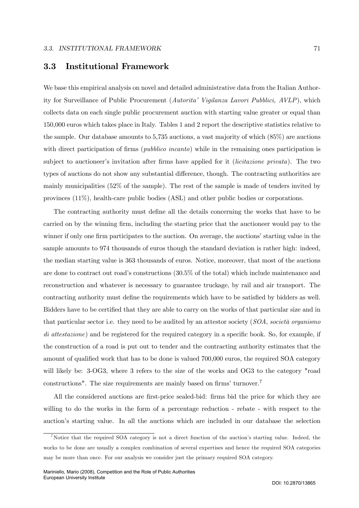## 3.3 Institutional Framework

We base this empirical analysis on novel and detailed administrative data from the Italian Authority for Surveillance of Public Procurement (Autorita' Vigilanza Lavori Pubblici, AVLP), which collects data on each single public procurement auction with starting value greater or equal than 150,000 euros which takes place in Italy. Tables 1 and 2 report the descriptive statistics relative to the sample. Our database amounts to 5,735 auctions, a vast majority of which (85%) are auctions with direct participation of firms (*pubblico incanto*) while in the remaining ones participation is subject to auctioneer's invitation after firms have applied for it (licitazione privata). The two types of auctions do not show any substantial difference, though. The contracting authorities are mainly municipalities (52% of the sample). The rest of the sample is made of tenders invited by provinces (11%), health-care public bodies (ASL) and other public bodies or corporations.

The contracting authority must define all the details concerning the works that have to be carried on by the winning firm, including the starting price that the auctioneer would pay to the winner if only one firm participates to the auction. On average, the auctions' starting value in the sample amounts to 974 thousands of euros though the standard deviation is rather high: indeed, the median starting value is 363 thousands of euros. Notice, moreover, that most of the auctions are done to contract out road's constructions (30.5% of the total) which include maintenance and reconstruction and whatever is necessary to guarantee truckage, by rail and air transport. The contracting authority must define the requirements which have to be satisfied by bidders as well. Bidders have to be certified that they are able to carry on the works of that particular size and in that particular sector i.e. they need to be audited by an attestor society  $(SOA, \textit{social} or \textit{ganismo})$ di attestazione) and be registered for the required category in a specific book. So, for example, if the construction of a road is put out to tender and the contracting authority estimates that the amount of qualified work that has to be done is valued 700,000 euros, the required SOA category will likely be: 3-OG3, where 3 refers to the size of the works and OG3 to the category "road constructions". The size requirements are mainly based on firms' turnover.7

All the considered auctions are first-price sealed-bid: firms bid the price for which they are willing to do the works in the form of a percentage reduction - rebate - with respect to the auction's starting value. In all the auctions which are included in our database the selection

<sup>&</sup>lt;sup>7</sup>Notice that the required SOA category is not a direct function of the auction's starting value. Indeed, the works to be done are usually a complex combination of several expertises and hence the required SOA categories may be more than once. For our analysis we consider just the primary required SOA category.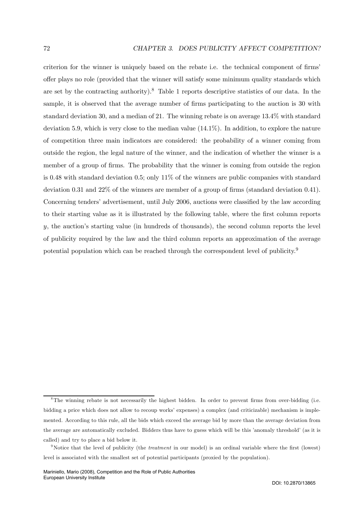criterion for the winner is uniquely based on the rebate i.e. the technical component of firms' offer plays no role (provided that the winner will satisfy some minimum quality standards which are set by the contracting authority).<sup>8</sup> Table 1 reports descriptive statistics of our data. In the sample, it is observed that the average number of firms participating to the auction is 30 with standard deviation 30, and a median of 21. The winning rebate is on average 13.4% with standard deviation 5.9, which is very close to the median value (14.1%). In addition, to explore the nature of competition three main indicators are considered: the probability of a winner coming from outside the region, the legal nature of the winner, and the indication of whether the winner is a member of a group of firms. The probability that the winner is coming from outside the region is 0.48 with standard deviation 0.5; only  $11\%$  of the winners are public companies with standard deviation 0.31 and 22% of the winners are member of a group of firms (standard deviation 0.41). Concerning tenders' advertisement, until July 2006, auctions were classified by the law according to their starting value as it is illustrated by the following table, where the first column reports y, the auction's starting value (in hundreds of thousands), the second column reports the level of publicity required by the law and the third column reports an approximation of the average potential population which can be reached through the correspondent level of publicity.<sup>9</sup>

<sup>&</sup>lt;sup>8</sup>The winning rebate is not necessarily the highest bidden. In order to prevent firms from over-bidding (i.e. bidding a price which does not allow to recoup works' expenses) a complex (and criticizable) mechanism is implemented. According to this rule, all the bids which exceed the average bid by more than the average deviation from the average are automatically excluded. Bidders thus have to guess which will be this 'anomaly threshold' (as it is called) and try to place a bid below it.

<sup>&</sup>lt;sup>9</sup>Notice that the level of publicity (the *treatment* in our model) is an ordinal variable where the first (lowest) level is associated with the smallest set of potential participants (proxied by the population).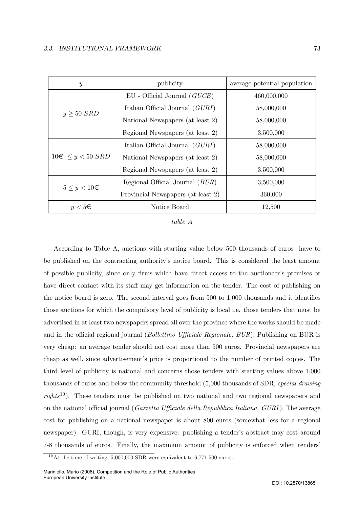| $\boldsymbol{y}$         | publicity                                | average potential population |
|--------------------------|------------------------------------------|------------------------------|
|                          | $EU$ - Official Journal $(GUCE)$         | 460,000,000                  |
| $y \geq 50$ SRD          | Italian Official Journal $(GURI)$        | 58,000,000                   |
|                          | National Newspapers (at least 2)         | 58,000,000                   |
|                          | Regional Newspapers (at least 2)         | 3,500,000                    |
|                          | Italian Official Journal $(GURI)$        | 58,000,000                   |
| $10 \in \leq y < 50$ SRD | National Newspapers (at least 2)         | 58,000,000                   |
|                          | Regional Newspapers (at least 2)         | 3,500,000                    |
| $5 \leq y < 10 \in$      | Regional Official Journal ( <i>BUR</i> ) | 3,500,000                    |
|                          | Provincial Newspapers (at least 2)       | 360,000                      |
| $y < 5 \in$              | Notice Board                             | 12,500                       |

table A

According to Table A, auctions with starting value below 500 thousands of euros have to be published on the contracting authority's notice board. This is considered the least amount of possible publicity, since only firms which have direct access to the auctioneer's premises or have direct contact with its staff may get information on the tender. The cost of publishing on the notice board is zero. The second interval goes from 500 to 1,000 thousands and it identifies those auctions for which the compulsory level of publicity is local i.e. those tenders that must be advertised in at least two newspapers spread all over the province where the works should be made and in the official regional journal (Bollettino Ufficiale Regionale, BUR). Publishing on BUR is very cheap: an average tender should not cost more than 500 euros. Provincial newspapers are cheap as well, since advertisement's price is proportional to the number of printed copies. The third level of publicity is national and concerns those tenders with starting values above 1,000 thousands of euros and below the community threshold (5,000 thousands of SDR, special drawing  $rights^{10}$ ). These tenders must be published on two national and two regional newspapers and on the national official journal (Gazzetta Ufficiale della Repubblica Italiana, GURI). The average cost for publishing on a national newspaper is about 800 euros (somewhat less for a regional newspaper). GURI, though, is very expensive: publishing a tender's abstract may cost around 7-8 thousands of euros. Finally, the maximum amount of publicity is enforced when tenders'

 $10$  At the time of writing, 5,000,000 SDR were equivalent to 6,771,500 euros.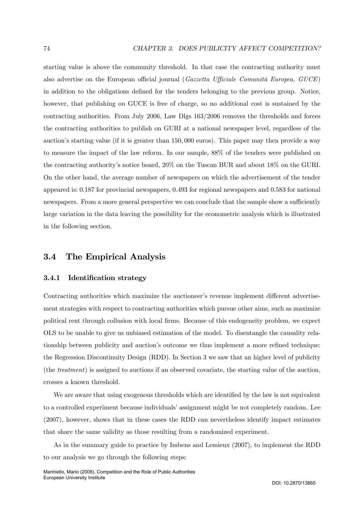starting value is above the community threshold. In that case the contracting authority must also advertise on the European official journal (Gazzetta Ufficiale Comunità Europea, GUCE) in addition to the obligations defined for the tenders belonging to the previous group. Notice, however, that publishing on GUCE is free of charge, so no additional cost is sustained by the contracting authorities. From July 2006, Law Dlgs 163/2006 removes the thresholds and forces the contracting authorities to publish on GURI at a national newspaper level, regardless of the auction's starting value (if it is greater than 150, 000 euros). This paper may then provide a way to measure the impact of the law reform. In our sample, 88% of the tenders were published on the contracting authority's notice board, 20% on the Tuscan BUR and about 18% on the GURI. On the other hand, the average number of newspapers on which the advertisement of the tender appeared is: 0.187 for provincial newspapers, 0.493 for regional newspapers and 0.583 for national newspapers. From a more general perspective we can conclude that the sample show a sufficiently large variation in the data leaving the possibility for the econometric analysis which is illustrated in the following section.

## 3.4 The Empirical Analysis

#### 3.4.1 Identification strategy

Contracting authorities which maximize the auctioneer's revenue implement different advertisement strategies with respect to contracting authorities which pursue other aims, such as maximize political rent through collusion with local firms. Because of this endogeneity problem, we expect OLS to be unable to give us unbiased estimation of the model. To disentangle the causality relationship between publicity and auction's outcome we thus implement a more refined technique: the Regression Discontinuity Design (RDD). In Section 3 we saw that an higher level of publicity (the treatment) is assigned to auctions if an observed covariate, the starting value of the auction, crosses a known threshold.

We are aware that using exogenous thresholds which are identified by the law is not equivalent to a controlled experiment because individuals' assignment might be not completely random. Lee (2007), however, shows that in these cases the RDD can nevertheless identify impact estimates that share the same validity as those resulting from a randomized experiment.

As in the summary guide to practice by Imbens and Lemieux (2007), to implement the RDD to our analysis we go through the following steps: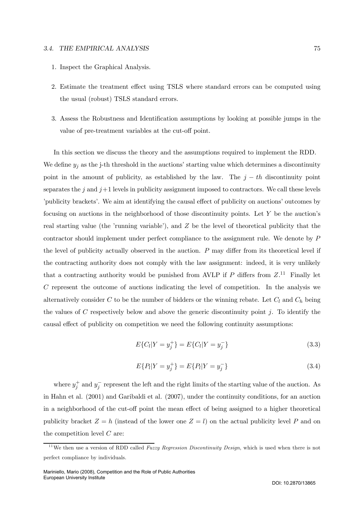#### 3.4. THE EMPIRICAL ANALYSIS 75

- 1. Inspect the Graphical Analysis.
- 2. Estimate the treatment effect using TSLS where standard errors can be computed using the usual (robust) TSLS standard errors.
- 3. Assess the Robustness and Identification assumptions by looking at possible jumps in the value of pre-treatment variables at the cut-off point.

In this section we discuss the theory and the assumptions required to implement the RDD. We define  $y_j$  as the j-th threshold in the auctions' starting value which determines a discontinuity point in the amount of publicity, as established by the law. The  $j - th$  discontinuity point separates the j and  $j+1$  levels in publicity assignment imposed to contractors. We call these levels 'publicity brackets'. We aim at identifying the causal effect of publicity on auctions' outcomes by focusing on auctions in the neighborhood of those discontinuity points. Let Y be the auction's real starting value (the 'running variable'), and  $Z$  be the level of theoretical publicity that the contractor should implement under perfect compliance to the assignment rule. We denote by P the level of publicity actually observed in the auction. P may differ from its theoretical level if the contracting authority does not comply with the law assignment: indeed, it is very unlikely that a contracting authority would be punished from AVLP if P differs from  $Z$ .<sup>11</sup> Finally let C represent the outcome of auctions indicating the level of competition. In the analysis we alternatively consider C to be the number of bidders or the winning rebate. Let  $C_l$  and  $C_h$  being the values of  $C$  respectively below and above the generic discontinuity point  $j$ . To identify the causal effect of publicity on competition we need the following continuity assumptions:

$$
E\{C_l|Y=y_j^+\}=E\{C_l|Y=y_j^-\}\tag{3.3}
$$

$$
E\{P_l|Y=y_j^+\}=E\{P_l|Y=y_j^-\}\tag{3.4}
$$

where  $y_j^+$  and  $y_j^-$  represent the left and the right limits of the starting value of the auction. As in Hahn et al. (2001) and Garibaldi et al. (2007), under the continuity conditions, for an auction in a neighborhood of the cut-off point the mean effect of being assigned to a higher theoretical publicity bracket  $Z = h$  (instead of the lower one  $Z = l$ ) on the actual publicity level P and on the competition level  $C$  are:

<sup>&</sup>lt;sup>11</sup>We then use a version of RDD called *Fuzzy Regression Discontinuity Design*, which is used when there is not perfect compliance by individuals.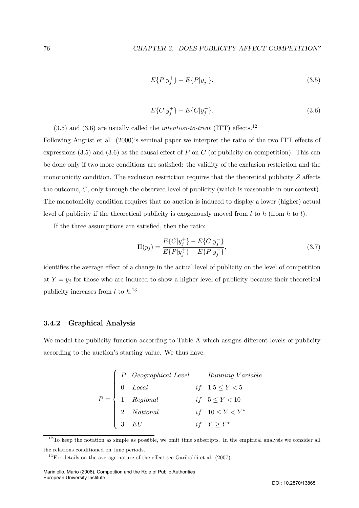$$
E\{P|y_j^+\} - E\{P|y_j^-\}.\tag{3.5}
$$

$$
E\{C|y_j^+\} - E\{C|y_j^-\}.\tag{3.6}
$$

 $(3.5)$  and  $(3.6)$  are usually called the *intention-to-treat* (ITT) effects.<sup>12</sup>

Following Angrist et al. (2000)'s seminal paper we interpret the ratio of the two ITT effects of expressions  $(3.5)$  and  $(3.6)$  as the causal effect of P on C (of publicity on competition). This can be done only if two more conditions are satisfied: the validity of the exclusion restriction and the monotonicity condition. The exclusion restriction requires that the theoretical publicity  $Z$  affects the outcome, C, only through the observed level of publicity (which is reasonable in our context). The monotonicity condition requires that no auction is induced to display a lower (higher) actual level of publicity if the theoretical publicity is exogenously moved from  $l$  to  $h$  (from  $h$  to  $l$ ).

If the three assumptions are satisfied, then the ratio:

$$
\Pi(y_j) = \frac{E\{C|y_j^+\} - E\{C|y_j^-\}}{E\{P|y_j^+\} - E\{P|y_j^-\}},
$$
\n(3.7)

identifies the average effect of a change in the actual level of publicity on the level of competition at  $Y = y_j$  for those who are induced to show a higher level of publicity because their theoretical publicity increases from  $l$  to  $h$ .<sup>13</sup>

#### 3.4.2 Graphical Analysis

We model the publicity function according to Table A which assigns different levels of publicity according to the auction's starting value. We thus have:

|  | $P = \left\{ \begin{array}{lll} P & \textit{Geographical Level} & \textit{Running Variable} \\ 0 & \textit{Local} & \textit{if} & 1.5 \leq Y < 5 \\ 1 & \textit{Regional} & \textit{if} & 5 \leq Y < 10 \\ 2 & \textit{National} & \textit{if} & 10 \leq Y < Y^* \\ 3 & \textit{EU} & \textit{if} & Y \geq Y^* \end{array} \right.$ |  |
|--|-------------------------------------------------------------------------------------------------------------------------------------------------------------------------------------------------------------------------------------------------------------------------------------------------------------------------------------|--|
|  |                                                                                                                                                                                                                                                                                                                                     |  |
|  |                                                                                                                                                                                                                                                                                                                                     |  |
|  |                                                                                                                                                                                                                                                                                                                                     |  |
|  |                                                                                                                                                                                                                                                                                                                                     |  |

 $12$ To keep the notation as simple as possible, we omit time subscripts. In the empirical analysis we consider all the relations conditioned on time periods.

 $13$  For details on the average nature of the effect see Garibaldi et al. (2007).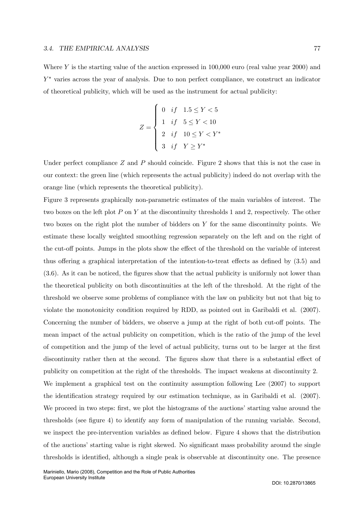Where Y is the starting value of the auction expressed in 100,000 euro (real value year 2000) and  $Y^*$  varies across the year of analysis. Due to non perfect compliance, we construct an indicator of theoretical publicity, which will be used as the instrument for actual publicity:

$$
Z = \begin{cases} 0 & if & 1.5 \le Y < 5 \\ 1 & if & 5 \le Y < 10 \\ 2 & if & 10 \le Y < Y^* \\ 3 & if & Y \ge Y^* \end{cases}
$$

Under perfect compliance  $Z$  and  $P$  should coincide. Figure 2 shows that this is not the case in our context: the green line (which represents the actual publicity) indeed do not overlap with the orange line (which represents the theoretical publicity).

Figure 3 represents graphically non-parametric estimates of the main variables of interest. The two boxes on the left plot P on Y at the discontinuity thresholds 1 and 2, respectively. The other two boxes on the right plot the number of bidders on Y for the same discontinuity points. We estimate these locally weighted smoothing regression separately on the left and on the right of the cut-off points. Jumps in the plots show the effect of the threshold on the variable of interest thus offering a graphical interpretation of the intention-to-treat effects as defined by (3.5) and (3.6). As it can be noticed, the figures show that the actual publicity is uniformly not lower than the theoretical publicity on both discontinuities at the left of the threshold. At the right of the threshold we observe some problems of compliance with the law on publicity but not that big to violate the monotonicity condition required by RDD, as pointed out in Garibaldi et al. (2007). Concerning the number of bidders, we observe a jump at the right of both cut-off points. The mean impact of the actual publicity on competition, which is the ratio of the jump of the level of competition and the jump of the level of actual publicity, turns out to be larger at the first discontinuity rather then at the second. The figures show that there is a substantial effect of publicity on competition at the right of the thresholds. The impact weakens at discontinuity 2. We implement a graphical test on the continuity assumption following Lee (2007) to support the identification strategy required by our estimation technique, as in Garibaldi et al. (2007). We proceed in two steps: first, we plot the histograms of the auctions' starting value around the thresholds (see figure 4) to identify any form of manipulation of the running variable. Second, we inspect the pre-intervention variables as defined below. Figure 4 shows that the distribution of the auctions' starting value is right skewed. No significant mass probability around the single thresholds is identified, although a single peak is observable at discontinuity one. The presence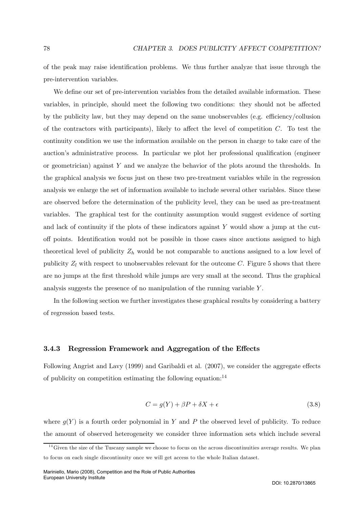of the peak may raise identification problems. We thus further analyze that issue through the pre-intervention variables.

We define our set of pre-intervention variables from the detailed available information. These variables, in principle, should meet the following two conditions: they should not be affected by the publicity law, but they may depend on the same unobservables (e.g. efficiency/collusion of the contractors with participants), likely to affect the level of competition  $C$ . To test the continuity condition we use the information available on the person in charge to take care of the auction's administrative process. In particular we plot her professional qualification (engineer or geometrician) against Y and we analyze the behavior of the plots around the thresholds. In the graphical analysis we focus just on these two pre-treatment variables while in the regression analysis we enlarge the set of information available to include several other variables. Since these are observed before the determination of the publicity level, they can be used as pre-treatment variables. The graphical test for the continuity assumption would suggest evidence of sorting and lack of continuity if the plots of these indicators against Y would show a jump at the cutoff points. Identification would not be possible in those cases since auctions assigned to high theoretical level of publicity  $Z_h$  would be not comparable to auctions assigned to a low level of publicity  $Z_l$  with respect to unobservables relevant for the outcome C. Figure 5 shows that there are no jumps at the first threshold while jumps are very small at the second. Thus the graphical analysis suggests the presence of no manipulation of the running variable Y .

In the following section we further investigates these graphical results by considering a battery of regression based tests.

#### 3.4.3 Regression Framework and Aggregation of the Effects

Following Angrist and Lavy (1999) and Garibaldi et al. (2007), we consider the aggregate effects of publicity on competition estimating the following equation: $^{14}$ 

$$
C = g(Y) + \beta P + \delta X + \epsilon \tag{3.8}
$$

where  $g(Y)$  is a fourth order polynomial in Y and P the observed level of publicity. To reduce the amount of observed heterogeneity we consider three information sets which include several

 $14$  Given the size of the Tuscany sample we choose to focus on the across discontinuities average results. We plan to focus on each single discontinuity once we will get access to the whole Italian dataset.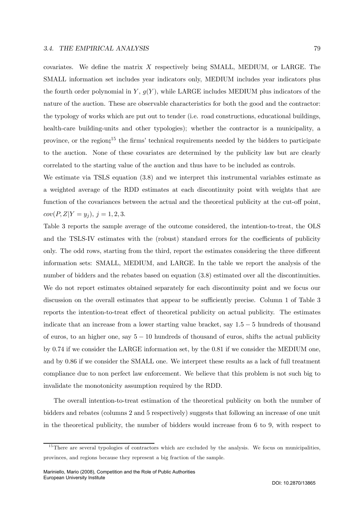covariates. We define the matrix X respectively being SMALL, MEDIUM, or LARGE. The SMALL information set includes year indicators only, MEDIUM includes year indicators plus the fourth order polynomial in Y,  $g(Y)$ , while LARGE includes MEDIUM plus indicators of the nature of the auction. These are observable characteristics for both the good and the contractor: the typology of works which are put out to tender (i.e. road constructions, educational buildings, health-care building-units and other typologies); whether the contractor is a municipality, a province, or the region;<sup>15</sup> the firms' technical requirements needed by the bidders to participate to the auction. None of these covariates are determined by the publicity law but are clearly correlated to the starting value of the auction and thus have to be included as controls.

We estimate via TSLS equation (3.8) and we interpret this instrumental variables estimate as a weighted average of the RDD estimates at each discontinuity point with weights that are function of the covariances between the actual and the theoretical publicity at the cut-off point,  $cov(P, Z|Y = y_j), j = 1, 2, 3.$ 

Table 3 reports the sample average of the outcome considered, the intention-to-treat, the OLS and the TSLS-IV estimates with the (robust) standard errors for the coefficients of publicity only. The odd rows, starting from the third, report the estimates considering the three different information sets: SMALL, MEDIUM, and LARGE. In the table we report the analysis of the number of bidders and the rebates based on equation (3.8) estimated over all the discontinuities. We do not report estimates obtained separately for each discontinuity point and we focus our discussion on the overall estimates that appear to be sufficiently precise. Column 1 of Table 3 reports the intention-to-treat effect of theoretical publicity on actual publicity. The estimates indicate that an increase from a lower starting value bracket, say 1.5 − 5 hundreds of thousand of euros, to an higher one, say  $5 - 10$  hundreds of thousand of euros, shifts the actual publicity by 0.74 if we consider the LARGE information set, by the 0.81 if we consider the MEDIUM one, and by 0.86 if we consider the SMALL one. We interpret these results as a lack of full treatment compliance due to non perfect law enforcement. We believe that this problem is not such big to invalidate the monotonicity assumption required by the RDD.

The overall intention-to-treat estimation of the theoretical publicity on both the number of bidders and rebates (columns 2 and 5 respectively) suggests that following an increase of one unit in the theoretical publicity, the number of bidders would increase from 6 to 9, with respect to

 $15$ There are several typologies of contractors which are excluded by the analysis. We focus on municipalities, provinces, and regions because they represent a big fraction of the sample.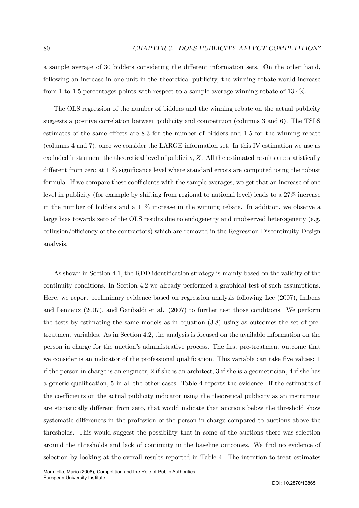a sample average of 30 bidders considering the different information sets. On the other hand, following an increase in one unit in the theoretical publicity, the winning rebate would increase from 1 to 1.5 percentages points with respect to a sample average winning rebate of 13.4%.

The OLS regression of the number of bidders and the winning rebate on the actual publicity suggests a positive correlation between publicity and competition (columns 3 and 6). The TSLS estimates of the same effects are 8.3 for the number of bidders and 1.5 for the winning rebate (columns 4 and 7), once we consider the LARGE information set. In this IV estimation we use as excluded instrument the theoretical level of publicity, Z. All the estimated results are statistically different from zero at 1 % significance level where standard errors are computed using the robust formula. If we compare these coefficients with the sample averages, we get that an increase of one level in publicity (for example by shifting from regional to national level) leads to a 27% increase in the number of bidders and a 11% increase in the winning rebate. In addition, we observe a large bias towards zero of the OLS results due to endogeneity and unobserved heterogeneity (e.g. collusion/efficiency of the contractors) which are removed in the Regression Discontinuity Design analysis.

As shown in Section 4.1, the RDD identification strategy is mainly based on the validity of the continuity conditions. In Section 4.2 we already performed a graphical test of such assumptions. Here, we report preliminary evidence based on regression analysis following Lee (2007), Imbens and Lemieux (2007), and Garibaldi et al. (2007) to further test those conditions. We perform the tests by estimating the same models as in equation (3.8) using as outcomes the set of pretreatment variables. As in Section 4.2, the analysis is focused on the available information on the person in charge for the auction's administrative process. The first pre-treatment outcome that we consider is an indicator of the professional qualification. This variable can take five values: 1 if the person in charge is an engineer, 2 if she is an architect, 3 if she is a geometrician, 4 if she has a generic qualification, 5 in all the other cases. Table 4 reports the evidence. If the estimates of the coefficients on the actual publicity indicator using the theoretical publicity as an instrument are statistically different from zero, that would indicate that auctions below the threshold show systematic differences in the profession of the person in charge compared to auctions above the thresholds. This would suggest the possibility that in some of the auctions there was selection around the thresholds and lack of continuity in the baseline outcomes. We find no evidence of selection by looking at the overall results reported in Table 4. The intention-to-treat estimates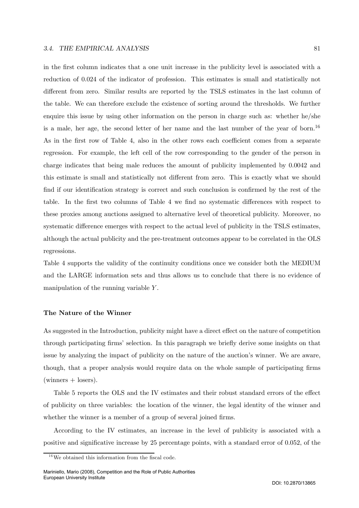in the first column indicates that a one unit increase in the publicity level is associated with a reduction of 0.024 of the indicator of profession. This estimates is small and statistically not different from zero. Similar results are reported by the TSLS estimates in the last column of the table. We can therefore exclude the existence of sorting around the thresholds. We further enquire this issue by using other information on the person in charge such as: whether he/she is a male, her age, the second letter of her name and the last number of the year of born.<sup>16</sup> As in the first row of Table 4, also in the other rows each coefficient comes from a separate regression. For example, the left cell of the row corresponding to the gender of the person in charge indicates that being male reduces the amount of publicity implemented by 0.0042 and this estimate is small and statistically not different from zero. This is exactly what we should find if our identification strategy is correct and such conclusion is confirmed by the rest of the table. In the first two columns of Table 4 we find no systematic differences with respect to these proxies among auctions assigned to alternative level of theoretical publicity. Moreover, no systematic difference emerges with respect to the actual level of publicity in the TSLS estimates, although the actual publicity and the pre-treatment outcomes appear to be correlated in the OLS regressions.

Table 4 supports the validity of the continuity conditions once we consider both the MEDIUM and the LARGE information sets and thus allows us to conclude that there is no evidence of manipulation of the running variable Y.

#### The Nature of the Winner

As suggested in the Introduction, publicity might have a direct effect on the nature of competition through participating firms' selection. In this paragraph we briefly derive some insights on that issue by analyzing the impact of publicity on the nature of the auction's winner. We are aware, though, that a proper analysis would require data on the whole sample of participating firms  $(\text{winners} + \text{lossrs}).$ 

Table 5 reports the OLS and the IV estimates and their robust standard errors of the effect of publicity on three variables: the location of the winner, the legal identity of the winner and whether the winner is a member of a group of several joined firms.

According to the IV estimates, an increase in the level of publicity is associated with a positive and significative increase by 25 percentage points, with a standard error of 0.052, of the

 $16$ We obtained this information from the fiscal code.

Mariniello, Mario (2008), Competition and the Role of Public Authorities European University Institute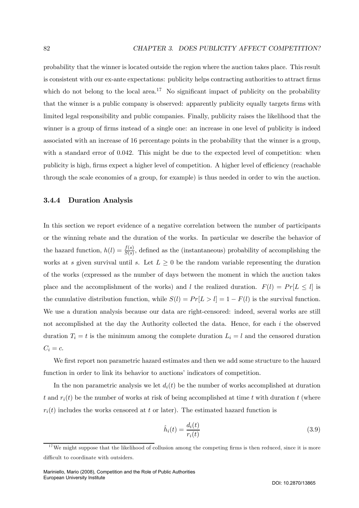probability that the winner is located outside the region where the auction takes place. This result is consistent with our ex-ante expectations: publicity helps contracting authorities to attract firms which do not belong to the local area.<sup>17</sup> No significant impact of publicity on the probability that the winner is a public company is observed: apparently publicity equally targets firms with limited legal responsibility and public companies. Finally, publicity raises the likelihood that the winner is a group of firms instead of a single one: an increase in one level of publicity is indeed associated with an increase of 16 percentage points in the probability that the winner is a group, with a standard error of 0.042. This might be due to the expected level of competition: when publicity is high, firms expect a higher level of competition. A higher level of efficiency (reachable through the scale economies of a group, for example) is thus needed in order to win the auction.

#### 3.4.4 Duration Analysis

In this section we report evidence of a negative correlation between the number of participants or the winning rebate and the duration of the works. In particular we describe the behavior of the hazard function,  $h(l) = \frac{f(s)}{S(s)}$ , defined as the (instantaneous) probability of accomplishing the works at s given survival until s. Let  $L \geq 0$  be the random variable representing the duration of the works (expressed as the number of days between the moment in which the auction takes place and the accomplishment of the works) and l the realized duration.  $F(l) = Pr[L \le l]$  is the cumulative distribution function, while  $S(l) = Pr[L > l] = 1 - F(l)$  is the survival function. We use a duration analysis because our data are right-censored: indeed, several works are still not accomplished at the day the Authority collected the data. Hence, for each i the observed duration  $T_i = t$  is the minimum among the complete duration  $L_i = l$  and the censored duration  $C_i = c$ .

We first report non parametric hazard estimates and then we add some structure to the hazard function in order to link its behavior to auctions' indicators of competition.

In the non parametric analysis we let  $d_i(t)$  be the number of works accomplished at duration t and  $r_i(t)$  be the number of works at risk of being accomplished at time t with duration t (where  $r_i(t)$  includes the works censored at t or later). The estimated hazard function is

$$
\hat{h}_i(t) = \frac{d_i(t)}{r_i(t)}\tag{3.9}
$$

 $17$  We might suppose that the likelihood of collusion among the competing firms is then reduced, since it is more difficult to coordinate with outsiders.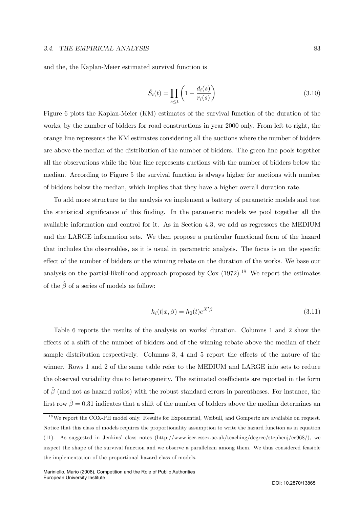#### 3.4. THE EMPIRICAL ANALYSIS 83

and the, the Kaplan-Meier estimated survival function is

$$
\hat{S}_i(t) = \prod_{s \le t} \left( 1 - \frac{d_i(s)}{r_i(s)} \right) \tag{3.10}
$$

Figure 6 plots the Kaplan-Meier (KM) estimates of the survival function of the duration of the works, by the number of bidders for road constructions in year 2000 only. From left to right, the orange line represents the KM estimates considering all the auctions where the number of bidders are above the median of the distribution of the number of bidders. The green line pools together all the observations while the blue line represents auctions with the number of bidders below the median. According to Figure 5 the survival function is always higher for auctions with number of bidders below the median, which implies that they have a higher overall duration rate.

To add more structure to the analysis we implement a battery of parametric models and test the statistical significance of this finding. In the parametric models we pool together all the available information and control for it. As in Section 4.3, we add as regressors the MEDIUM and the LARGE information sets. We then propose a particular functional form of the hazard that includes the observables, as it is usual in parametric analysis. The focus is on the specific effect of the number of bidders or the winning rebate on the duration of the works. We base our analysis on the partial-likelihood approach proposed by  $\text{Cox } (1972).^{18}$  We report the estimates of the  $\hat{\beta}$  of a series of models as follow:

$$
h_i(t|x,\beta) = h_0(t)e^{X'\beta} \tag{3.11}
$$

Table 6 reports the results of the analysis on works' duration. Columns 1 and 2 show the effects of a shift of the number of bidders and of the winning rebate above the median of their sample distribution respectively. Columns 3, 4 and 5 report the effects of the nature of the winner. Rows 1 and 2 of the same table refer to the MEDIUM and LARGE info sets to reduce the observed variability due to heterogeneity. The estimated coefficients are reported in the form of  $\hat{\beta}$  (and not as hazard ratios) with the robust standard errors in parentheses. For instance, the first row  $\hat{\beta} = 0.31$  indicates that a shift of the number of bidders above the median determines an

<sup>&</sup>lt;sup>18</sup>We report the COX-PH model only. Results for Exponential, Weibull, and Gompertz are available on request. Notice that this class of models requires the proportionality assumption to write the hazard function as in equation (11). As suggested in Jenkins' class notes (http://www.iser.essex.ac.uk/teaching/degree/stephenj/ec968/), we inspect the shape of the survival function and we observe a parallelism among them. We thus considered feasible the implementation of the proportional hazard class of models.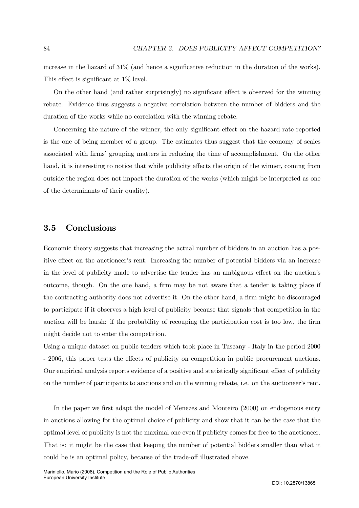increase in the hazard of 31% (and hence a significative reduction in the duration of the works). This effect is significant at 1% level.

On the other hand (and rather surprisingly) no significant effect is observed for the winning rebate. Evidence thus suggests a negative correlation between the number of bidders and the duration of the works while no correlation with the winning rebate.

Concerning the nature of the winner, the only significant effect on the hazard rate reported is the one of being member of a group. The estimates thus suggest that the economy of scales associated with firms' grouping matters in reducing the time of accomplishment. On the other hand, it is interesting to notice that while publicity affects the origin of the winner, coming from outside the region does not impact the duration of the works (which might be interpreted as one of the determinants of their quality).

## 3.5 Conclusions

Economic theory suggests that increasing the actual number of bidders in an auction has a positive effect on the auctioneer's rent. Increasing the number of potential bidders via an increase in the level of publicity made to advertise the tender has an ambiguous effect on the auction's outcome, though. On the one hand, a firm may be not aware that a tender is taking place if the contracting authority does not advertise it. On the other hand, a firm might be discouraged to participate if it observes a high level of publicity because that signals that competition in the auction will be harsh: if the probability of recouping the participation cost is too low, the firm might decide not to enter the competition.

Using a unique dataset on public tenders which took place in Tuscany - Italy in the period 2000 - 2006, this paper tests the effects of publicity on competition in public procurement auctions. Our empirical analysis reports evidence of a positive and statistically significant effect of publicity on the number of participants to auctions and on the winning rebate, i.e. on the auctioneer's rent.

In the paper we first adapt the model of Menezes and Monteiro (2000) on endogenous entry in auctions allowing for the optimal choice of publicity and show that it can be the case that the optimal level of publicity is not the maximal one even if publicity comes for free to the auctioneer. That is: it might be the case that keeping the number of potential bidders smaller than what it could be is an optimal policy, because of the trade-off illustrated above.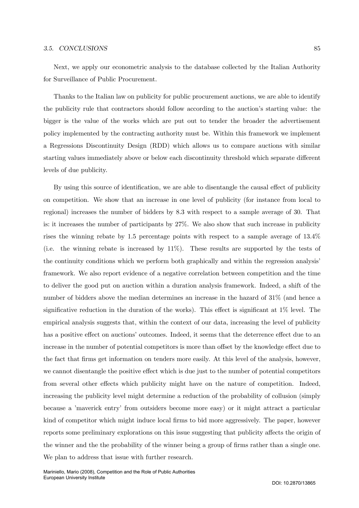#### 3.5. CONCLUSIONS 85

Next, we apply our econometric analysis to the database collected by the Italian Authority for Surveillance of Public Procurement.

Thanks to the Italian law on publicity for public procurement auctions, we are able to identify the publicity rule that contractors should follow according to the auction's starting value: the bigger is the value of the works which are put out to tender the broader the advertisement policy implemented by the contracting authority must be. Within this framework we implement a Regressions Discontinuity Design (RDD) which allows us to compare auctions with similar starting values immediately above or below each discontinuity threshold which separate different levels of due publicity.

By using this source of identification, we are able to disentangle the causal effect of publicity on competition. We show that an increase in one level of publicity (for instance from local to regional) increases the number of bidders by 8.3 with respect to a sample average of 30. That is: it increases the number of participants by 27%. We also show that such increase in publicity rises the winning rebate by 1.5 percentage points with respect to a sample average of 13.4% (i.e. the winning rebate is increased by 11%). These results are supported by the tests of the continuity conditions which we perform both graphically and within the regression analysis' framework. We also report evidence of a negative correlation between competition and the time to deliver the good put on auction within a duration analysis framework. Indeed, a shift of the number of bidders above the median determines an increase in the hazard of 31% (and hence a significative reduction in the duration of the works). This effect is significant at 1% level. The empirical analysis suggests that, within the context of our data, increasing the level of publicity has a positive effect on auctions' outcomes. Indeed, it seems that the deterrence effect due to an increase in the number of potential competitors is more than offset by the knowledge effect due to the fact that firms get information on tenders more easily. At this level of the analysis, however, we cannot disentangle the positive effect which is due just to the number of potential competitors from several other effects which publicity might have on the nature of competition. Indeed, increasing the publicity level might determine a reduction of the probability of collusion (simply because a 'maverick entry' from outsiders become more easy) or it might attract a particular kind of competitor which might induce local firms to bid more aggressively. The paper, however reports some preliminary explorations on this issue suggesting that publicity affects the origin of the winner and the the probability of the winner being a group of firms rather than a single one. We plan to address that issue with further research.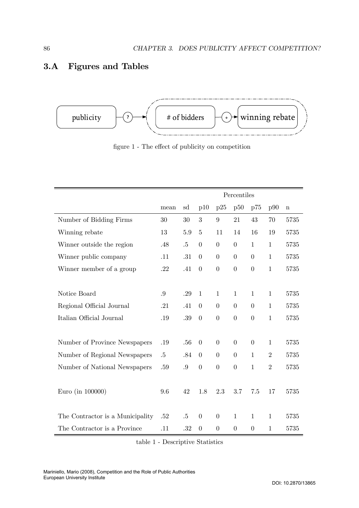## 3.A Figures and Tables



figure 1 - The effect of publicity on competition

|                                  | Percentiles |        |                  |                  |                |                |                |         |
|----------------------------------|-------------|--------|------------------|------------------|----------------|----------------|----------------|---------|
|                                  | mean        | sd     | p10              | p25              | p50            | p75            | p90            | $\bf n$ |
| Number of Bidding Firms          | 30          | 30     | 3                | 9                | 21             | 43             | 70             | 5735    |
| Winning rebate                   | 13          | 5.9    | $\overline{5}$   | 11               | 14             | 16             | 19             | 5735    |
| Winner outside the region        | .48         | $.5\,$ | $\overline{0}$   | $\overline{0}$   | $\overline{0}$ | $\mathbf{1}$   | $\mathbf{1}$   | 5735    |
| Winner public company            | .11         | .31    | $\overline{0}$   | $\overline{0}$   | $\overline{0}$ | $\overline{0}$ | $\mathbf{1}$   | 5735    |
| Winner member of a group         | .22         | .41    | $\overline{0}$   | $\overline{0}$   | $\overline{0}$ | $\overline{0}$ | $\mathbf{1}$   | 5735    |
|                                  |             |        |                  |                  |                |                |                |         |
| Notice Board                     | .9          | .29    | $\mathbf{1}$     | $\mathbf{1}$     | $\mathbf{1}$   | $\mathbf{1}$   | $\mathbf{1}$   | 5735    |
| Regional Official Journal        | .21         | .41    | $\overline{0}$   | $\overline{0}$   | $\overline{0}$ | $\overline{0}$ | $\mathbf{1}$   | 5735    |
| Italian Official Journal         | .19         | .39    | $\theta$         | $\boldsymbol{0}$ | $\overline{0}$ | $\overline{0}$ | $\mathbf{1}$   | 5735    |
|                                  |             |        |                  |                  |                |                |                |         |
| Number of Province Newspapers    | .19         | .56    | $\overline{0}$   | $\overline{0}$   | $\overline{0}$ | $\overline{0}$ | $\mathbf{1}$   | 5735    |
| Number of Regional Newspapers    | .5          | .84    | $\overline{0}$   | $\overline{0}$   | $\overline{0}$ | $\mathbf{1}$   | $\overline{2}$ | 5735    |
| Number of National Newspapers    | $.59\,$     | .9     | $\overline{0}$   | $\overline{0}$   | $\overline{0}$ | $\mathbf{1}$   | $\overline{2}$ | 5735    |
|                                  |             |        |                  |                  |                |                |                |         |
| Euro (in 100000)                 | 9.6         | 42     | 1.8              | 2.3              | 3.7            | 7.5            | 17             | 5735    |
|                                  |             |        |                  |                  |                |                |                |         |
| The Contractor is a Municipality | .52         | $.5\,$ | $\boldsymbol{0}$ | $\boldsymbol{0}$ | $\mathbf{1}$   | $\mathbf{1}$   | $\mathbf 1$    | 5735    |
| The Contractor is a Province     | .11         | .32    | $\overline{0}$   | $\overline{0}$   | $\overline{0}$ | $\overline{0}$ | 1              | 5735    |

table 1 - Descriptive Statistics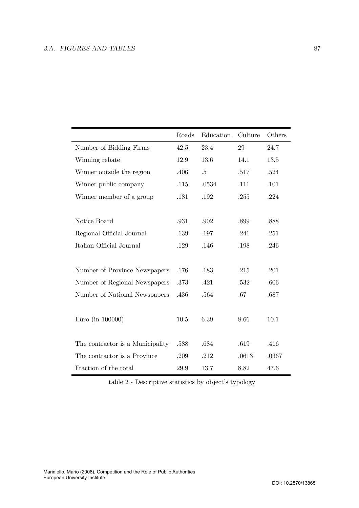## 3.A. FIGURES AND TABLES 87

|                                  | Roads | Education | Culture | Others |
|----------------------------------|-------|-----------|---------|--------|
| Number of Bidding Firms          | 42.5  | 23.4      | 29      | 24.7   |
| Winning rebate                   | 12.9  | 13.6      | 14.1    | 13.5   |
| Winner outside the region        | .406  | .5        | .517    | .524   |
| Winner public company            | .115  | .0534     | .111    | .101   |
| Winner member of a group         | .181  | .192      | .255    | .224   |
|                                  |       |           |         |        |
| Notice Board                     | .931  | .902      | .899    | .888   |
| Regional Official Journal        | .139  | .197      | .241    | .251   |
| Italian Official Journal         | .129  | .146      | .198    | .246   |
|                                  |       |           |         |        |
| Number of Province Newspapers    | .176  | .183      | .215    | .201   |
| Number of Regional Newspapers    | .373  | .421      | .532    | .606   |
| Number of National Newspapers    | .436  | .564      | .67     | .687   |
|                                  |       |           |         |        |
| Euro (in 100000)                 | 10.5  | 6.39      | 8.66    | 10.1   |
|                                  |       |           |         |        |
| The contractor is a Municipality | .588  | .684      | .619    | .416   |
| The contractor is a Province     | .209  | .212      | .0613   | .0367  |
| Fraction of the total            | 29.9  | 13.7      | 8.82    | 47.6   |

table 2 - Descriptive statistics by object's typology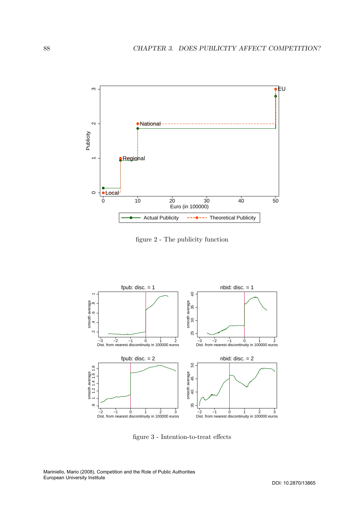

figure 2 - The publicity function



figure 3 - Intention-to-treat effects

Mariniello, Mario (2008), Competition and the Role of Public Authorities European University Institute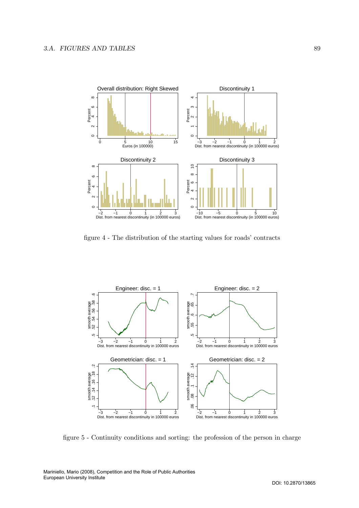

figure 4 - The distribution of the starting values for roads' contracts



figure 5 - Continuity conditions and sorting: the profession of the person in charge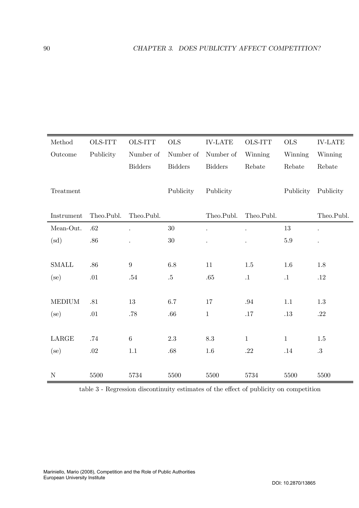| Method        | OLS-ITT    | <b>OLS-ITT</b>   | <b>OLS</b>     | <b>IV-LATE</b>  | OLS-ITT      | <b>OLS</b> | <b>IV-LATE</b>       |
|---------------|------------|------------------|----------------|-----------------|--------------|------------|----------------------|
| Outcome       | Publicity  | Number of        | Number of      | Number of       | Winning      | Winning    | Winning              |
|               |            | <b>Bidders</b>   | <b>Bidders</b> | <b>Bidders</b>  | Rebate       | Rebate     | Rebate               |
|               |            |                  |                |                 |              |            |                      |
| Treatment     |            |                  | Publicity      | Publicity       |              | Publicity  | Publicity            |
|               |            |                  |                |                 |              |            |                      |
| Instrument    | Theo.Publ. | Theo.Publ.       |                | Theo.Publ.      | Theo.Publ.   |            | Theo.Publ.           |
| Mean-Out.     | .62        |                  | $30\,$         |                 |              | 13         | $\ddot{\phantom{0}}$ |
| (sd)          | .86        |                  | $30\,$         |                 |              | $5.9\,$    |                      |
|               |            |                  |                |                 |              |            |                      |
| <b>SMALL</b>  | .86        | $\boldsymbol{9}$ | 6.8            | 11              | 1.5          | 1.6        | 1.8                  |
| $(\text{se})$ | .01        | $.54\,$          | $.5\,$         | .65             | $\cdot 1$    | $\cdot$ 1  | .12                  |
|               |            |                  |                |                 |              |            |                      |
| <b>MEDIUM</b> | .81        | 13               | 6.7            | 17              | .94          | 1.1        | 1.3                  |
| (se)          | .01        | .78              | .66            | $\mathbf{1}$    | .17          | .13        | .22                  |
|               |            |                  |                |                 |              |            |                      |
| LARGE         | .74        | $\boldsymbol{6}$ | 2.3            | $\!\!\!\!\!8.3$ | $\mathbf{1}$ | $\,1$      | 1.5                  |
| (se)          | $.02\,$    | 1.1              | .68            | $1.6\,$         | .22          | .14        | $.3\,$               |
|               |            |                  |                |                 |              |            |                      |
| $\mathbf N$   | 5500       | 5734             | 5500           | 5500            | 5734         | 5500       | 5500                 |

table 3 - Regression discontinuity estimates of the effect of publicity on competition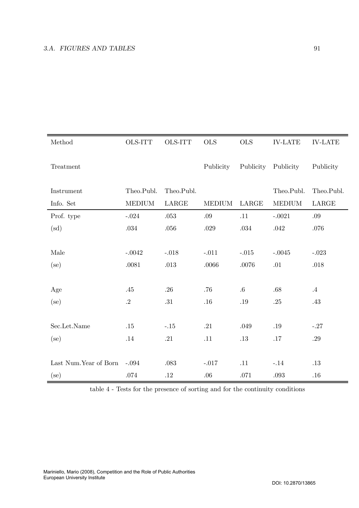| Method                | OLS-ITT       | <b>OLS-ITT</b> | <b>OLS</b>    | <b>OLS</b> | <b>IV-LATE</b> | <b>IV-LATE</b> |
|-----------------------|---------------|----------------|---------------|------------|----------------|----------------|
| Treatment             |               |                | Publicity     | Publicity  | Publicity      | Publicity      |
| Instrument            | Theo.Publ.    | Theo.Publ.     |               |            | Theo.Publ.     | Theo.Publ.     |
| Info. Set             | <b>MEDIUM</b> | LARGE          | <b>MEDIUM</b> | LARGE      | <b>MEDIUM</b>  | LARGE          |
| Prof. type            | $-.024$       | $.053\,$       | .09           | .11        | $-.0021$       | .09            |
| $\rm (sd)$            | $.034\,$      | .056           | .029          | .034       | .042           | .076           |
|                       |               |                |               |            |                |                |
| Male                  | $-.0042$      | $-.018$        | $-.011$       | $-.015$    | $-.0045$       | $-.023$        |
| $(\text{se})$         | .0081         | .013           | .0066         | .0076      | .01            | .018           |
|                       |               |                |               |            |                |                |
| Age                   | .45           | .26            | .76           | $.6\,$     | .68            | $.4\,$         |
| $(\text{se})$         | $\cdot$ 2     | .31            | $.16\,$       | $.19\,$    | $.25\,$        | $.43\,$        |
|                       |               |                |               |            |                |                |
| Sec.Let.Name          | .15           | $-.15$         | .21           | .049       | .19            | $-.27$         |
| $(\text{se})$         | .14           | .21            | .11           | .13        | .17            | $.29\,$        |
|                       |               |                |               |            |                |                |
| Last Num.Year of Born | $-.094$       | .083           | $-.017$       | .11        | $-.14$         | .13            |
| $(\text{se})$         | $.074\,$      | .12            | .06           | .071       | .093           | .16            |

table 4 - Tests for the presence of sorting and for the continuity conditions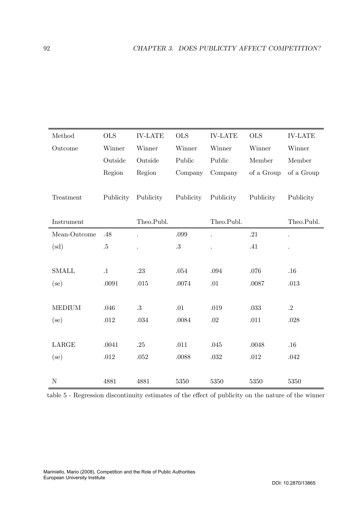| Method        | <b>OLS</b> | <b>IV-LATE</b> | <b>OLS</b> | <b>IV-LATE</b>       | <b>OLS</b> | $\operatorname{IV-LATE}$ |
|---------------|------------|----------------|------------|----------------------|------------|--------------------------|
| Outcome       | Winner     | Winner         | Winner     | Winner               | Winner     | Winner                   |
|               | Outside    | Outside        | Public     | Public               | Member     | Member                   |
|               | Region     | Region         | Company    | Company              | of a Group | of a Group               |
|               |            |                |            |                      |            |                          |
| Treatment     | Publicity  | Publicity      | Publicity  | Publicity            | Publicity  | Publicity                |
|               |            |                |            |                      |            |                          |
| Instrument    |            | Theo.Publ.     |            | Theo.Publ.           |            | Theo.Publ.               |
| Mean-Outcome  | .48        |                | .099       | $\ddot{\phantom{a}}$ | .21        |                          |
| $\rm (sd)$    | $.5\,$     |                | $.3\,$     |                      | .41        |                          |
|               |            |                |            |                      |            |                          |
| <b>SMALL</b>  | $\cdot$ 1  | .23            | .054       | .094                 | .076       | .16                      |
| $(\text{se})$ | .0091      | .015           | .0074      | .01                  | .0087      | .013                     |
|               |            |                |            |                      |            |                          |
| <b>MEDIUM</b> | .046       | .3             | .01        | .019                 | $.033\,$   | $\cdot$ .2               |
| $(\text{se})$ | .012       | .034           | .0084      | $.02\,$              | .011       | .028                     |
|               |            |                |            |                      |            |                          |
| <b>LARGE</b>  | .0041      | .25            | .011       | .045                 | .0048      | .16                      |
| $(\text{se})$ | .012       | .052           | .0088      | .032                 | .012       | .042                     |
|               |            |                |            |                      |            |                          |
| ${\bf N}$     | 4881       | 4881           | 5350       | 5350                 | 5350       | 5350                     |

table 5 - Regression discontinuity estimates of the effect of publicity on the nature of the winner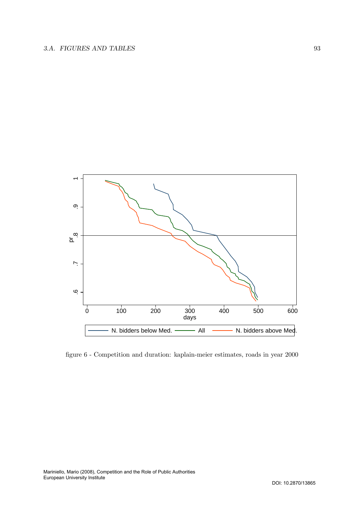

figure 6 - Competition and duration: kaplain-meier estimates, roads in year 2000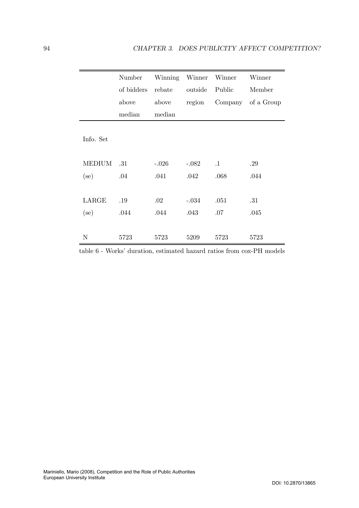|               | Number     | Winning | Winner  | Winner    | Winner     |
|---------------|------------|---------|---------|-----------|------------|
|               | of bidders | rebate  | outside | Public    | Member     |
|               | above      | above   | region  | Company   | of a Group |
|               | median     | median  |         |           |            |
| Info. Set     |            |         |         |           |            |
| <b>MEDIUM</b> | .31        | $-.026$ | $-.082$ | $\cdot$ 1 | .29        |
| $(\text{se})$ | .04        | .041    | .042    | .068      | .044       |
|               |            |         |         |           |            |
| LARGE         | .19        | .02     | $-.034$ | .051      | .31        |
| $\rm (se)$    | .044       | .044    | .043    | .07       | .045       |
|               |            |         |         |           |            |
| N             | 5723       | 5723    | 5209    | 5723      | 5723       |

table 6 - Works' duration, estimated hazard ratios from cox-PH models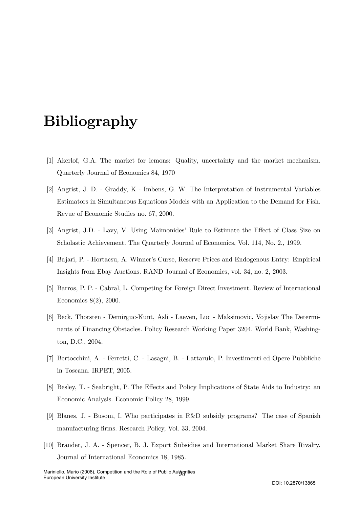## Bibliography

- [1] Akerlof, G.A. The market for lemons: Quality, uncertainty and the market mechanism. Quarterly Journal of Economics 84, 1970
- [2] Angrist, J. D. Graddy, K Imbens, G. W. The Interpretation of Instrumental Variables Estimators in Simultaneous Equations Models with an Application to the Demand for Fish. Revue of Economic Studies no. 67, 2000.
- [3] Angrist, J.D. Lavy, V. Using Maimonides' Rule to Estimate the Effect of Class Size on Scholastic Achievement. The Quarterly Journal of Economics, Vol. 114, No. 2., 1999.
- [4] Bajari, P. Hortacsu, A. Winner's Curse, Reserve Prices and Endogenous Entry: Empirical Insights from Ebay Auctions. RAND Journal of Economics, vol. 34, no. 2, 2003.
- [5] Barros, P. P. Cabral, L. Competing for Foreign Direct Investment. Review of International Economics 8(2), 2000.
- [6] Beck, Thorsten Demirguc-Kunt, Asli Laeven, Luc Maksimovic, Vojislav The Determinants of Financing Obstacles. Policy Research Working Paper 3204. World Bank, Washington, D.C., 2004.
- [7] Bertocchini, A. Ferretti, C. Lasagni, B. Lattarulo, P. Investimenti ed Opere Pubbliche in Toscana. IRPET, 2005.
- [8] Besley, T. Seabright, P. The Effects and Policy Implications of State Aids to Industry: an Economic Analysis. Economic Policy 28, 1999.
- [9] Blanes, J. Busom, I. Who participates in R&D subsidy programs? The case of Spanish manufacturing firms. Research Policy, Vol. 33, 2004.
- [10] Brander, J. A. Spencer, B. J. Export Subsidies and International Market Share Rivalry. Journal of International Economics 18, 1985.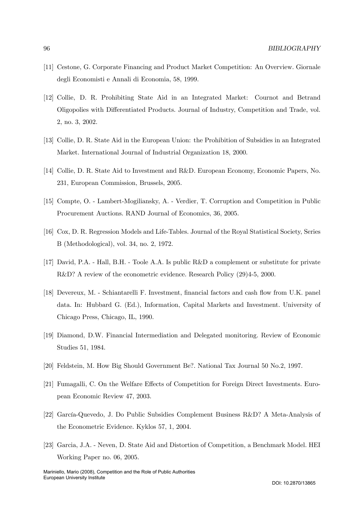- [11] Cestone, G. Corporate Financing and Product Market Competition: An Overview. Giornale degli Economisti e Annali di Economia, 58, 1999.
- [12] Collie, D. R. Prohibiting State Aid in an Integrated Market: Cournot and Betrand Oligopolies with Differentiated Products. Journal of Industry, Competition and Trade, vol. 2, no. 3, 2002.
- [13] Collie, D. R. State Aid in the European Union: the Prohibition of Subsidies in an Integrated Market. International Journal of Industrial Organization 18, 2000.
- [14] Collie, D. R. State Aid to Investment and R&D. European Economy, Economic Papers, No. 231, European Commission, Brussels, 2005.
- [15] Compte, O. Lambert-Mogiliansky, A. Verdier, T. Corruption and Competition in Public Procurement Auctions. RAND Journal of Economics, 36, 2005.
- [16] Cox, D. R. Regression Models and Life-Tables. Journal of the Royal Statistical Society, Series B (Methodological), vol. 34, no. 2, 1972.
- [17] David, P.A. Hall, B.H. Toole A.A. Is public R&D a complement or substitute for private R&D? A review of the econometric evidence. Research Policy (29)4-5, 2000.
- [18] Devereux, M. Schiantarelli F. Investment, financial factors and cash flow from U.K. panel data. In: Hubbard G. (Ed.), Information, Capital Markets and Investment. University of Chicago Press, Chicago, IL, 1990.
- [19] Diamond, D.W. Financial Intermediation and Delegated monitoring. Review of Economic Studies 51, 1984.
- [20] Feldstein, M. How Big Should Government Be?. National Tax Journal 50 No.2, 1997.
- [21] Fumagalli, C. On the Welfare Effects of Competition for Foreign Direct Investments. European Economic Review 47, 2003.
- [22] García-Quevedo, J. Do Public Subsidies Complement Business R&D? A Meta-Analysis of the Econometric Evidence. Kyklos 57, 1, 2004.
- [23] Garcia, J.A. Neven, D. State Aid and Distortion of Competition, a Benchmark Model. HEI Working Paper no. 06, 2005.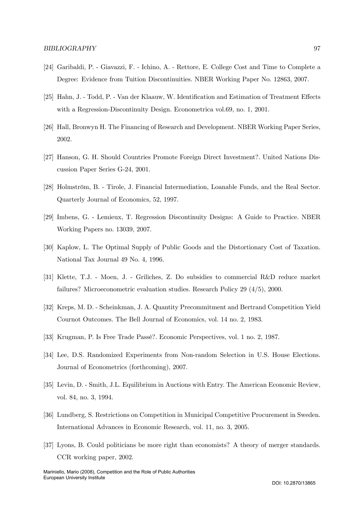- [24] Garibaldi, P. Giavazzi, F. Ichino, A. Rettore, E. College Cost and Time to Complete a Degree: Evidence from Tuition Discontinuities. NBER Working Paper No. 12863, 2007.
- [25] Hahn, J. Todd, P. Van der Klaauw, W. Identification and Estimation of Treatment Effects with a Regression-Discontinuity Design. Econometrica vol.69, no. 1, 2001.
- [26] Hall, Bronwyn H. The Financing of Research and Development. NBER Working Paper Series, 2002.
- [27] Hanson, G. H. Should Countries Promote Foreign Direct Investment?. United Nations Discussion Paper Series G-24, 2001.
- [28] Holmström, B. Tirole, J. Financial Intermediation, Loanable Funds, and the Real Sector. Quarterly Journal of Economics, 52, 1997.
- [29] Imbens, G. Lemieux, T. Regression Discontinuity Designs: A Guide to Practice. NBER Working Papers no. 13039, 2007.
- [30] Kaplow, L. The Optimal Supply of Public Goods and the Distortionary Cost of Taxation. National Tax Journal 49 No. 4, 1996.
- [31] Klette, T.J. Moen, J. Griliches, Z. Do subsidies to commercial R&D reduce market failures? Microeconometric evaluation studies. Research Policy 29 (4/5), 2000.
- [32] Kreps, M. D. Scheinkman, J. A. Quantity Precommitment and Bertrand Competition Yield Cournot Outcomes. The Bell Journal of Economics, vol. 14 no. 2, 1983.
- [33] Krugman, P. Is Free Trade Passé?. Economic Perspectives, vol. 1 no. 2, 1987.
- [34] Lee, D.S. Randomized Experiments from Non-random Selection in U.S. House Elections. Journal of Econometrics (forthcoming), 2007.
- [35] Levin, D. Smith, J.L. Equilibrium in Auctions with Entry. The American Economic Review, vol. 84, no. 3, 1994.
- [36] Lundberg, S. Restrictions on Competition in Municipal Competitive Procurement in Sweden. International Advances in Economic Research, vol. 11, no. 3, 2005.
- [37] Lyons, B. Could politicians be more right than economists? A theory of merger standards. CCR working paper, 2002.